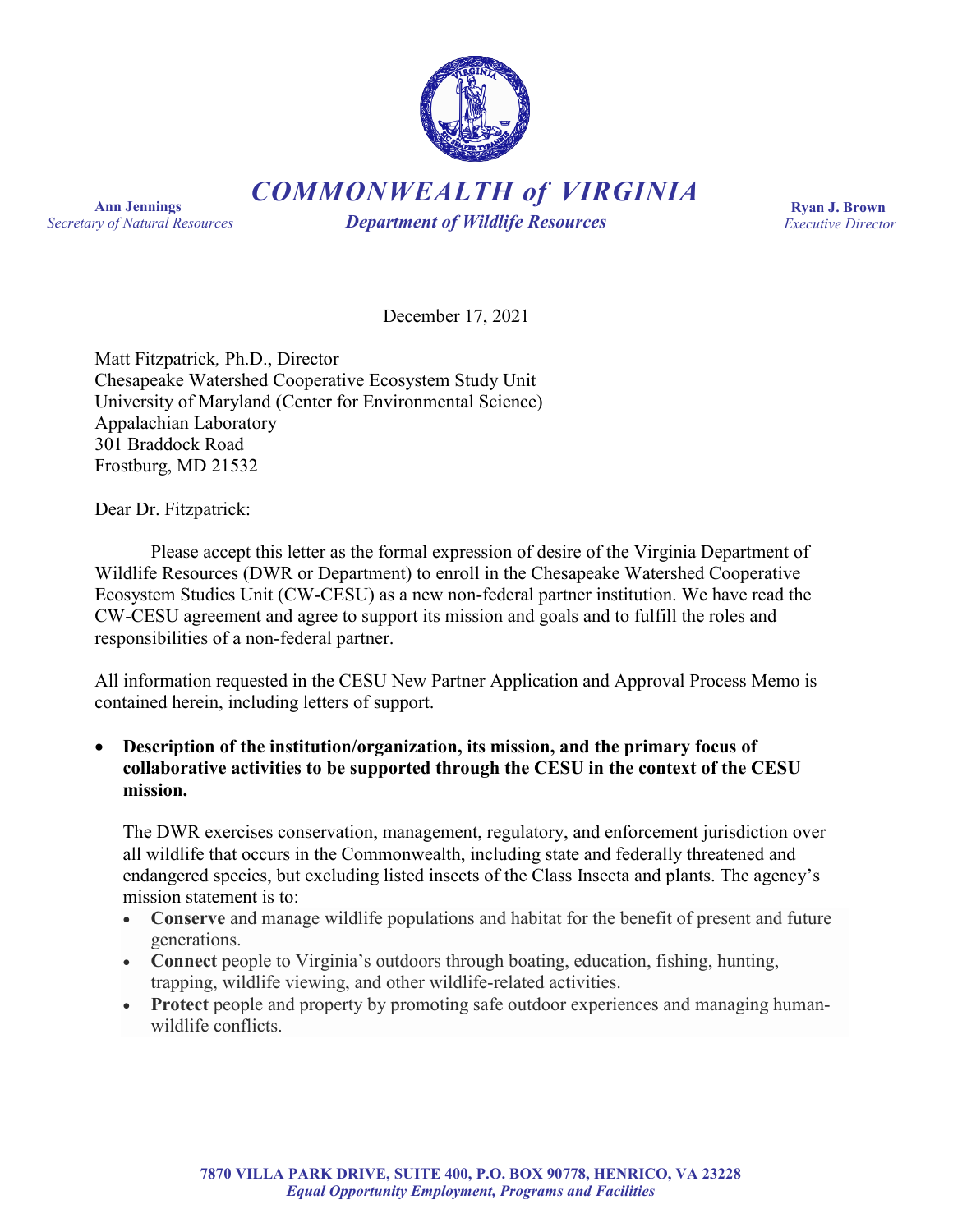

*COMMONWEALTH of VIRGINIA*

**Ann Jennings** *Secretary of Natural Resources*

*Department of Wildlife Resources*

**Ryan J. Brown** *Executive Director*

December 17, 2021

Matt Fitzpatrick*,* Ph.D., Director Chesapeake Watershed Cooperative Ecosystem Study Unit University of Maryland (Center for Environmental Science) Appalachian Laboratory 301 Braddock Road Frostburg, MD 21532

Dear Dr. Fitzpatrick:

Please accept this letter as the formal expression of desire of the Virginia Department of Wildlife Resources (DWR or Department) to enroll in the Chesapeake Watershed Cooperative Ecosystem Studies Unit (CW-CESU) as a new non-federal partner institution. We have read the CW-CESU agreement and agree to support its mission and goals and to fulfill the roles and responsibilities of a non-federal partner.

All information requested in the CESU New Partner Application and Approval Process Memo is contained herein, including letters of support.

• **Description of the institution/organization, its mission, and the primary focus of collaborative activities to be supported through the CESU in the context of the CESU mission.**

The DWR exercises conservation, management, regulatory, and enforcement jurisdiction over all wildlife that occurs in the Commonwealth, including state and federally threatened and endangered species, but excluding listed insects of the Class Insecta and plants. The agency's mission statement is to:

- **Conserve** and manage wildlife populations and habitat for the benefit of present and future generations.
- **Connect** people to Virginia's outdoors through boating, education, fishing, hunting, trapping, wildlife viewing, and other wildlife-related activities.
- **Protect** people and property by promoting safe outdoor experiences and managing humanwildlife conflicts.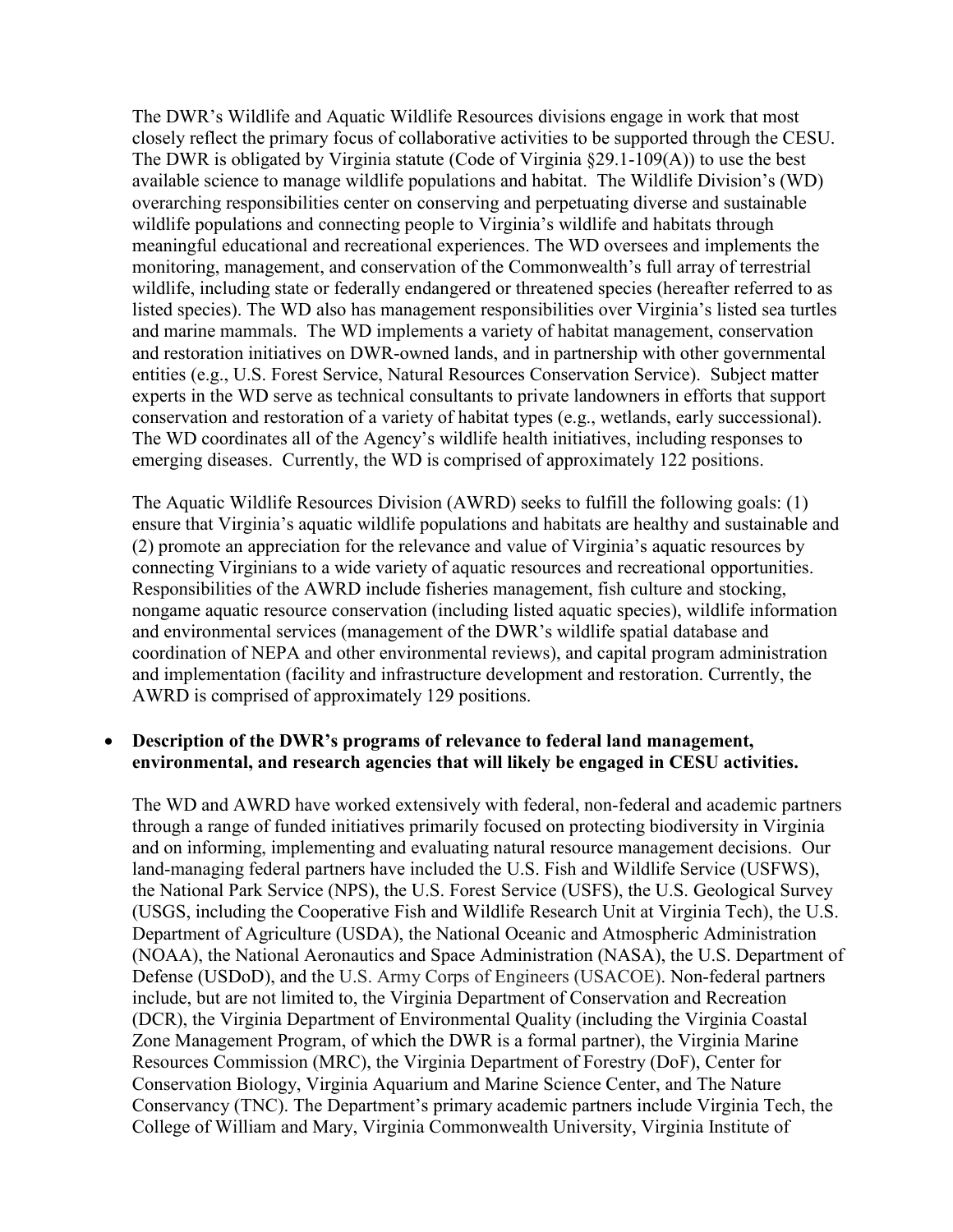The DWR's Wildlife and Aquatic Wildlife Resources divisions engage in work that most closely reflect the primary focus of collaborative activities to be supported through the CESU. The DWR is obligated by Virginia statute (Code of Virginia §29.1-109(A)) to use the best available science to manage wildlife populations and habitat. The Wildlife Division's (WD) overarching responsibilities center on conserving and perpetuating diverse and sustainable wildlife populations and connecting people to Virginia's wildlife and habitats through meaningful educational and recreational experiences. The WD oversees and implements the monitoring, management, and conservation of the Commonwealth's full array of terrestrial wildlife, including state or federally endangered or threatened species (hereafter referred to as listed species). The WD also has management responsibilities over Virginia's listed sea turtles and marine mammals. The WD implements a variety of habitat management, conservation and restoration initiatives on DWR-owned lands, and in partnership with other governmental entities (e.g., U.S. Forest Service, Natural Resources Conservation Service). Subject matter experts in the WD serve as technical consultants to private landowners in efforts that support conservation and restoration of a variety of habitat types (e.g., wetlands, early successional). The WD coordinates all of the Agency's wildlife health initiatives, including responses to emerging diseases. Currently, the WD is comprised of approximately 122 positions.

The Aquatic Wildlife Resources Division (AWRD) seeks to fulfill the following goals: (1) ensure that Virginia's aquatic wildlife populations and habitats are healthy and sustainable and (2) promote an appreciation for the relevance and value of Virginia's aquatic resources by connecting Virginians to a wide variety of aquatic resources and recreational opportunities. Responsibilities of the AWRD include fisheries management, fish culture and stocking, nongame aquatic resource conservation (including listed aquatic species), wildlife information and environmental services (management of the DWR's wildlife spatial database and coordination of NEPA and other environmental reviews), and capital program administration and implementation (facility and infrastructure development and restoration. Currently, the AWRD is comprised of approximately 129 positions.

# • **Description of the DWR's programs of relevance to federal land management, environmental, and research agencies that will likely be engaged in CESU activities.**

The WD and AWRD have worked extensively with federal, non-federal and academic partners through a range of funded initiatives primarily focused on protecting biodiversity in Virginia and on informing, implementing and evaluating natural resource management decisions. Our land-managing federal partners have included the U.S. Fish and Wildlife Service (USFWS), the National Park Service (NPS), the U.S. Forest Service (USFS), the U.S. Geological Survey (USGS, including the Cooperative Fish and Wildlife Research Unit at Virginia Tech), the U.S. Department of Agriculture (USDA), the National Oceanic and Atmospheric Administration (NOAA), the National Aeronautics and Space Administration (NASA), the U.S. Department of Defense (USDoD), and the U.S. Army Corps of Engineers (USACOE). Non-federal partners include, but are not limited to, the Virginia Department of Conservation and Recreation (DCR), the Virginia Department of Environmental Quality (including the Virginia Coastal Zone Management Program, of which the DWR is a formal partner), the Virginia Marine Resources Commission (MRC), the Virginia Department of Forestry (DoF), Center for Conservation Biology, Virginia Aquarium and Marine Science Center, and The Nature Conservancy (TNC). The Department's primary academic partners include Virginia Tech, the College of William and Mary, Virginia Commonwealth University, Virginia Institute of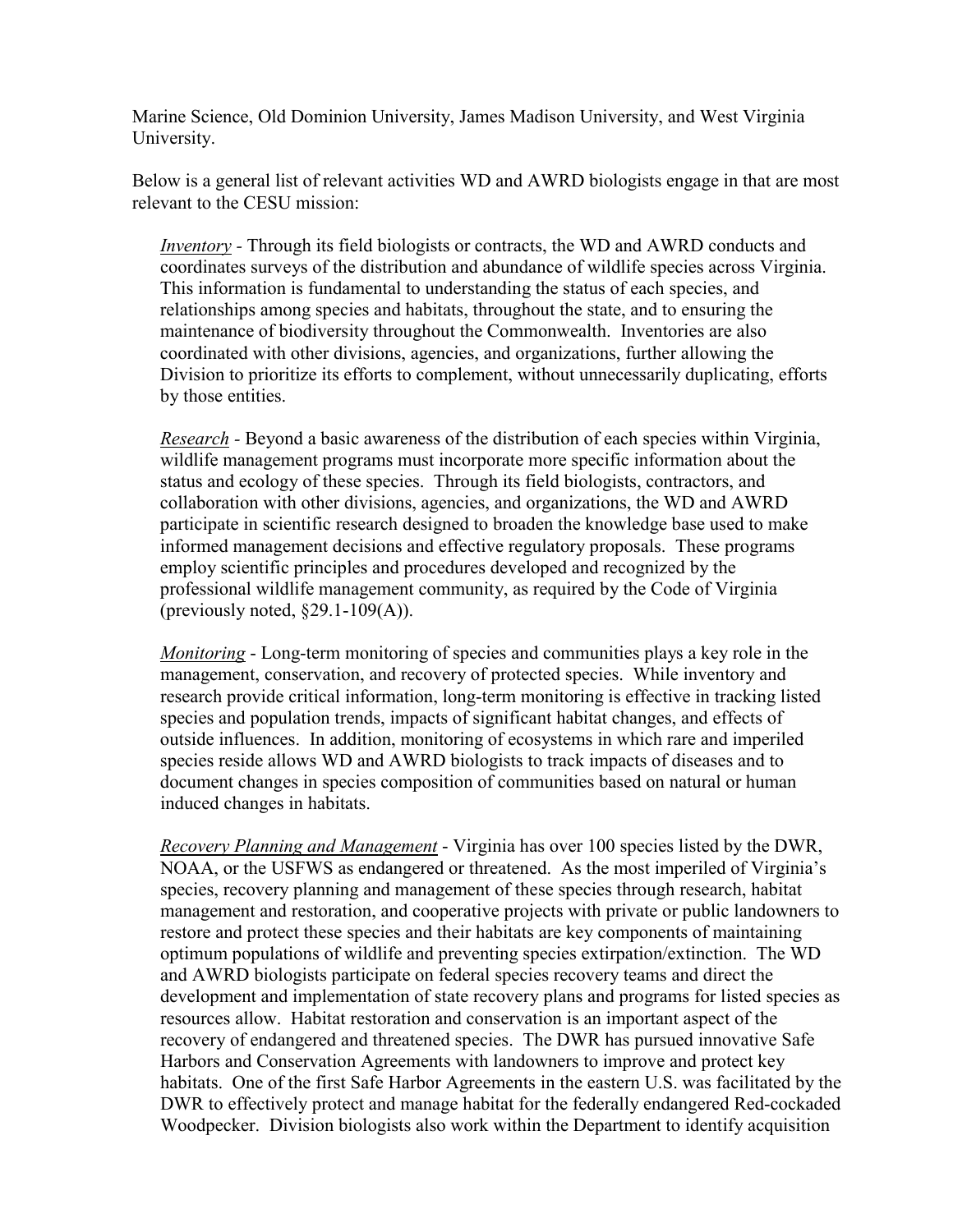Marine Science, Old Dominion University, James Madison University, and West Virginia University.

Below is a general list of relevant activities WD and AWRD biologists engage in that are most relevant to the CESU mission:

*Inventory* - Through its field biologists or contracts, the WD and AWRD conducts and coordinates surveys of the distribution and abundance of wildlife species across Virginia. This information is fundamental to understanding the status of each species, and relationships among species and habitats, throughout the state, and to ensuring the maintenance of biodiversity throughout the Commonwealth. Inventories are also coordinated with other divisions, agencies, and organizations, further allowing the Division to prioritize its efforts to complement, without unnecessarily duplicating, efforts by those entities.

*Research -* Beyond a basic awareness of the distribution of each species within Virginia, wildlife management programs must incorporate more specific information about the status and ecology of these species. Through its field biologists, contractors, and collaboration with other divisions, agencies, and organizations, the WD and AWRD participate in scientific research designed to broaden the knowledge base used to make informed management decisions and effective regulatory proposals. These programs employ scientific principles and procedures developed and recognized by the professional wildlife management community, as required by the Code of Virginia (previously noted,  $\S29.1-109(A)$ ).

*Monitoring* - Long-term monitoring of species and communities plays a key role in the management, conservation, and recovery of protected species. While inventory and research provide critical information, long-term monitoring is effective in tracking listed species and population trends, impacts of significant habitat changes, and effects of outside influences. In addition, monitoring of ecosystems in which rare and imperiled species reside allows WD and AWRD biologists to track impacts of diseases and to document changes in species composition of communities based on natural or human induced changes in habitats.

*Recovery Planning and Management* - Virginia has over 100 species listed by the DWR, NOAA, or the USFWS as endangered or threatened. As the most imperiled of Virginia's species, recovery planning and management of these species through research, habitat management and restoration, and cooperative projects with private or public landowners to restore and protect these species and their habitats are key components of maintaining optimum populations of wildlife and preventing species extirpation/extinction. The WD and AWRD biologists participate on federal species recovery teams and direct the development and implementation of state recovery plans and programs for listed species as resources allow. Habitat restoration and conservation is an important aspect of the recovery of endangered and threatened species. The DWR has pursued innovative Safe Harbors and Conservation Agreements with landowners to improve and protect key habitats. One of the first Safe Harbor Agreements in the eastern U.S. was facilitated by the DWR to effectively protect and manage habitat for the federally endangered Red-cockaded Woodpecker. Division biologists also work within the Department to identify acquisition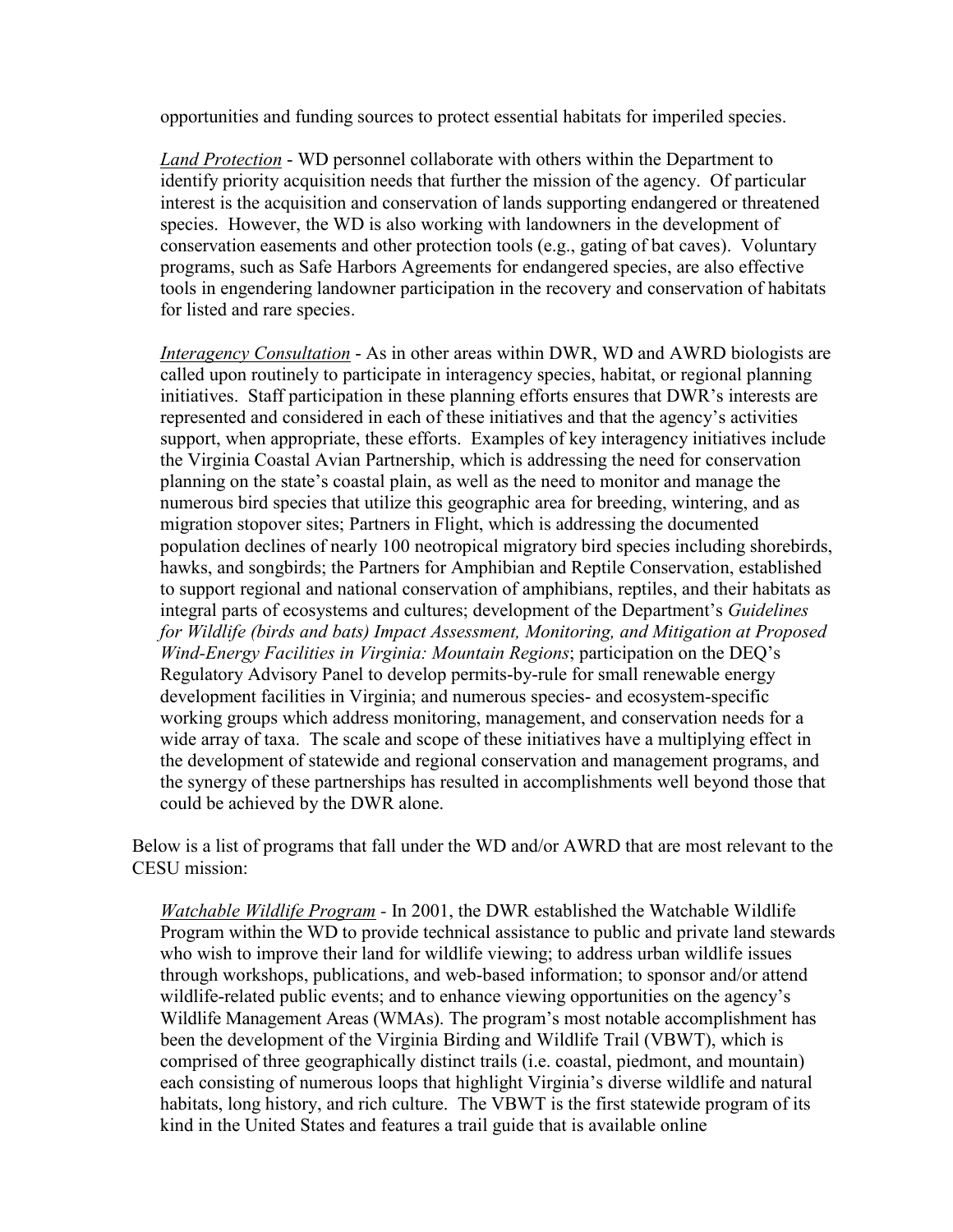opportunities and funding sources to protect essential habitats for imperiled species.

*Land Protection* - WD personnel collaborate with others within the Department to identify priority acquisition needs that further the mission of the agency. Of particular interest is the acquisition and conservation of lands supporting endangered or threatened species. However, the WD is also working with landowners in the development of conservation easements and other protection tools (e.g., gating of bat caves). Voluntary programs, such as Safe Harbors Agreements for endangered species, are also effective tools in engendering landowner participation in the recovery and conservation of habitats for listed and rare species.

*Interagency Consultation* - As in other areas within DWR, WD and AWRD biologists are called upon routinely to participate in interagency species, habitat, or regional planning initiatives. Staff participation in these planning efforts ensures that DWR's interests are represented and considered in each of these initiatives and that the agency's activities support, when appropriate, these efforts. Examples of key interagency initiatives include the Virginia Coastal Avian Partnership, which is addressing the need for conservation planning on the state's coastal plain, as well as the need to monitor and manage the numerous bird species that utilize this geographic area for breeding, wintering, and as migration stopover sites; Partners in Flight, which is addressing the documented population declines of nearly 100 neotropical migratory bird species including shorebirds, hawks, and songbirds; the Partners for Amphibian and Reptile Conservation, established to support regional and national conservation of amphibians, reptiles, and their habitats as integral parts of ecosystems and cultures; development of the Department's *Guidelines for Wildlife (birds and bats) Impact Assessment, Monitoring, and Mitigation at Proposed Wind-Energy Facilities in Virginia: Mountain Regions*; participation on the DEQ's Regulatory Advisory Panel to develop permits-by-rule for small renewable energy development facilities in Virginia; and numerous species- and ecosystem-specific working groups which address monitoring, management, and conservation needs for a wide array of taxa. The scale and scope of these initiatives have a multiplying effect in the development of statewide and regional conservation and management programs, and the synergy of these partnerships has resulted in accomplishments well beyond those that could be achieved by the DWR alone.

Below is a list of programs that fall under the WD and/or AWRD that are most relevant to the CESU mission:

*Watchable Wildlife Program -* In 2001, the DWR established the Watchable Wildlife Program within the WD to provide technical assistance to public and private land stewards who wish to improve their land for wildlife viewing; to address urban wildlife issues through workshops, publications, and web-based information; to sponsor and/or attend wildlife-related public events; and to enhance viewing opportunities on the agency's Wildlife Management Areas (WMAs). The program's most notable accomplishment has been the development of the [Virginia Birding and Wildlife Trail](http://www.dgif.virginia.gov/wildlife/vbwt/index.asp) (VBWT), which is comprised of three geographically distinct trails (i.e. coastal, piedmont, and mountain) each consisting of numerous loops that highlight Virginia's diverse wildlife and natural habitats, long history, and rich culture. The VBWT is the first statewide program of its kind in the United States and features a trail guide that is available online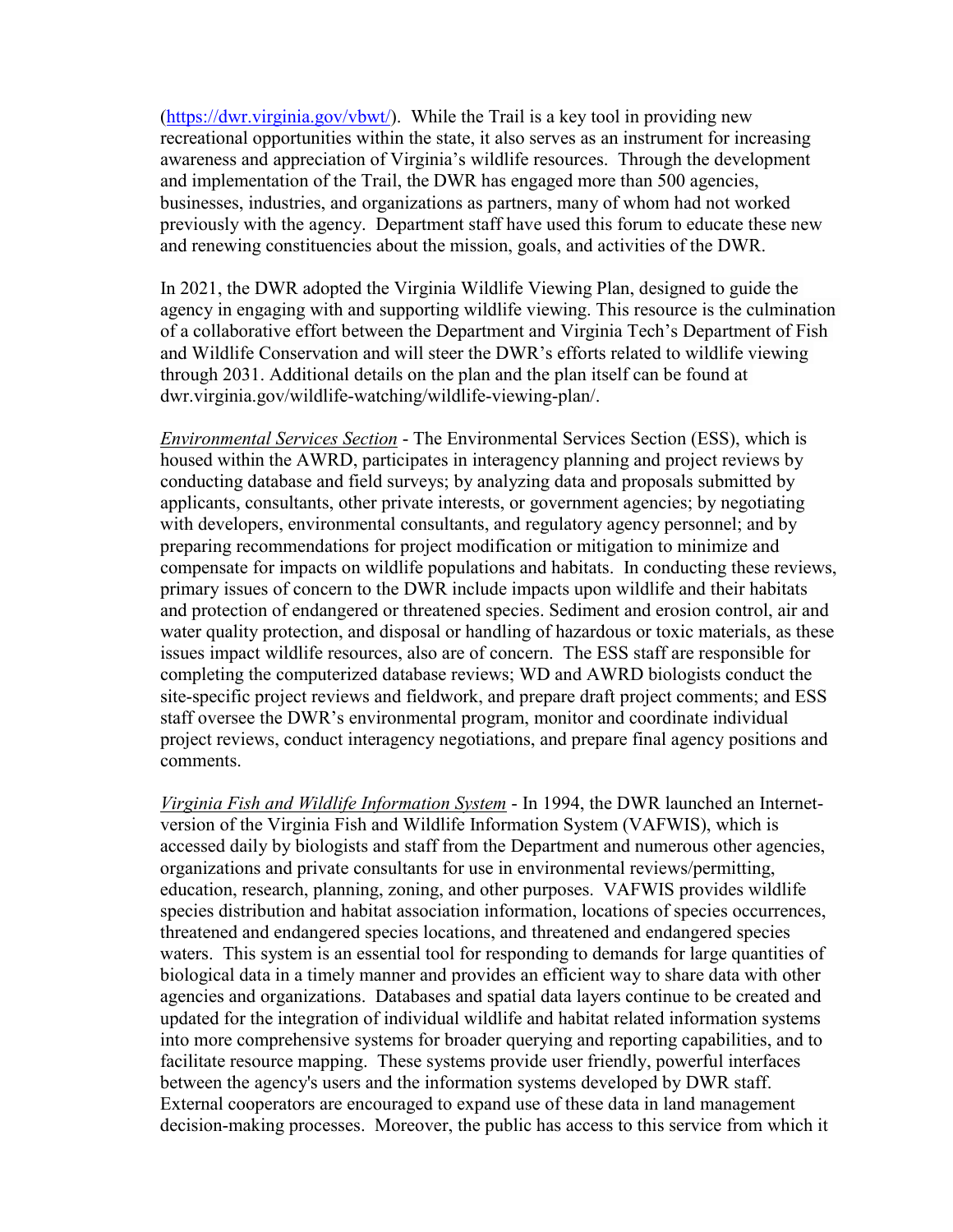[\(https://dwr.virginia.gov/vbwt/\)](https://dwr.virginia.gov/vbwt/). While the Trail is a key tool in providing new recreational opportunities within the state, it also serves as an instrument for increasing awareness and appreciation of Virginia's wildlife resources. Through the development and implementation of the Trail, the DWR has engaged more than 500 agencies, businesses, industries, and organizations as partners, many of whom had not worked previously with the agency. Department staff have used this forum to educate these new and renewing constituencies about the mission, goals, and activities of the DWR.

In 2021, the DWR adopted the Virginia Wildlife Viewing Plan, designed to guide the agency in engaging with and supporting wildlife viewing. This resource is the culmination of a collaborative effort between the Department and Virginia Tech's Department of Fish and Wildlife Conservation and will steer the DWR's efforts related to wildlife viewing through 2031. Additional details on the plan and the plan itself can be found at [dwr.virginia.gov/wildlife-watching/wildlife-viewing-plan/.](http://dwr.virginia.gov/wildlife-watching/wildlife-viewing-plan/)

*Environmental Services Section* - The Environmental Services Section (ESS), which is housed within the AWRD, participates in interagency planning and project reviews by conducting database and field surveys; by analyzing data and proposals submitted by applicants, consultants, other private interests, or government agencies; by negotiating with developers, environmental consultants, and regulatory agency personnel; and by preparing recommendations for project modification or mitigation to minimize and compensate for impacts on wildlife populations and habitats. In conducting these reviews, primary issues of concern to the DWR include impacts upon wildlife and their habitats and protection of endangered or threatened species. Sediment and erosion control, air and water quality protection, and disposal or handling of hazardous or toxic materials, as these issues impact wildlife resources, also are of concern. The ESS staff are responsible for completing the computerized database reviews; WD and AWRD biologists conduct the site-specific project reviews and fieldwork, and prepare draft project comments; and ESS staff oversee the DWR's environmental program, monitor and coordinate individual project reviews, conduct interagency negotiations, and prepare final agency positions and comments.

*Virginia Fish and Wildlife Information System* - In 1994, the DWR launched an Internetversion of the Virginia Fish and Wildlife Information System (VAFWIS), which is accessed daily by biologists and staff from the Department and numerous other agencies, organizations and private consultants for use in environmental reviews/permitting, education, research, planning, zoning, and other purposes. VAFWIS provides wildlife species distribution and habitat association information, locations of species occurrences, threatened and endangered species locations, and threatened and endangered species waters. This system is an essential tool for responding to demands for large quantities of biological data in a timely manner and provides an efficient way to share data with other agencies and organizations. Databases and spatial data layers continue to be created and updated for the integration of individual wildlife and habitat related information systems into more comprehensive systems for broader querying and reporting capabilities, and to facilitate resource mapping. These systems provide user friendly, powerful interfaces between the agency's users and the information systems developed by DWR staff. External cooperators are encouraged to expand use of these data in land management decision-making processes. Moreover, the public has access to this service from which it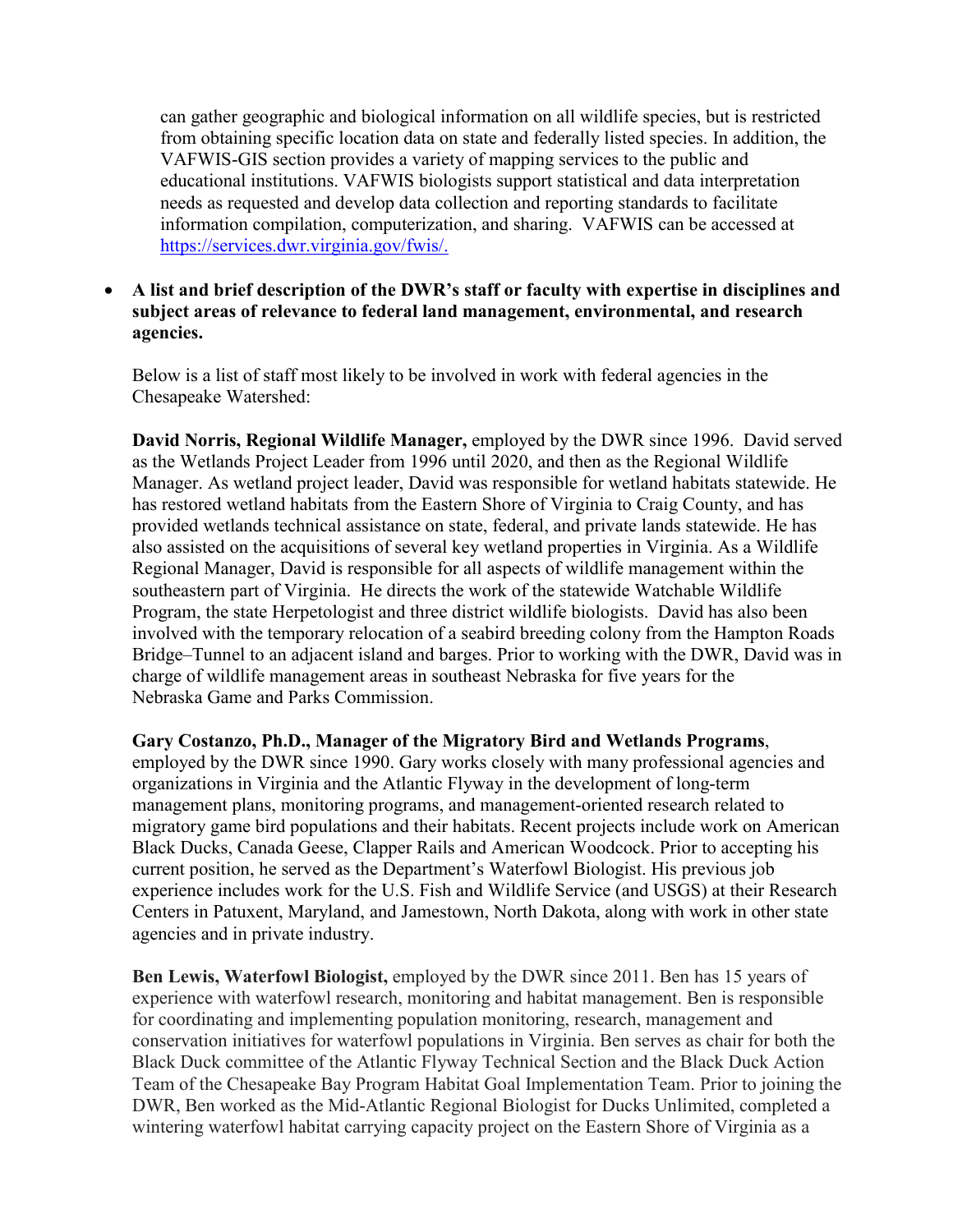can gather geographic and biological information on all wildlife species, but is restricted from obtaining specific location data on state and federally listed species. In addition, the VAFWIS-GIS section provides a variety of mapping services to the public and educational institutions. VAFWIS biologists support statistical and data interpretation needs as requested and develop data collection and reporting standards to facilitate information compilation, computerization, and sharing. VAFWIS can be accessed at [https://services.dwr.virginia.gov/fwis/.](https://services.dwr.virginia.gov/fwis/)

# • **A list and brief description of the DWR's staff or faculty with expertise in disciplines and subject areas of relevance to federal land management, environmental, and research agencies.**

Below is a list of staff most likely to be involved in work with federal agencies in the Chesapeake Watershed:

**David Norris, Regional Wildlife Manager,** employed by the DWR since 1996. David served as the Wetlands Project Leader from 1996 until 2020, and then as the Regional Wildlife Manager. As wetland project leader, David was responsible for wetland habitats statewide. He has restored wetland habitats from the Eastern Shore of Virginia to Craig County, and has provided wetlands technical assistance on state, federal, and private lands statewide. He has also assisted on the acquisitions of several key wetland properties in Virginia. As a Wildlife Regional Manager, David is responsible for all aspects of wildlife management within the southeastern part of Virginia. He directs the work of the statewide Watchable Wildlife Program, the state Herpetologist and three district wildlife biologists. David has also been involved with the temporary relocation of a seabird breeding colony from the Hampton Roads Bridge–Tunnel to an adjacent island and barges. Prior to working with the DWR, David was in charge of wildlife management areas in southeast Nebraska for five years for the Nebraska Game and Parks Commission.

**Gary Costanzo, Ph.D., Manager of the Migratory Bird and Wetlands Programs**, employed by the DWR since 1990. Gary works closely with many professional agencies and organizations in Virginia and the Atlantic Flyway in the development of long-term management plans, monitoring programs, and management-oriented research related to migratory game bird populations and their habitats. Recent projects include work on American Black Ducks, Canada Geese, Clapper Rails and American Woodcock. Prior to accepting his current position, he served as the Department's Waterfowl Biologist. His previous job experience includes work for the U.S. Fish and Wildlife Service (and USGS) at their Research Centers in Patuxent, Maryland, and Jamestown, North Dakota, along with work in other state agencies and in private industry.

**Ben Lewis, Waterfowl Biologist,** employed by the DWR since 2011. Ben has 15 years of experience with waterfowl research, monitoring and habitat management. Ben is responsible for coordinating and implementing population monitoring, research, management and conservation initiatives for waterfowl populations in Virginia. Ben serves as chair for both the Black Duck committee of the Atlantic Flyway Technical Section and the Black Duck Action Team of the Chesapeake Bay Program Habitat Goal Implementation Team. Prior to joining the DWR, Ben worked as the Mid-Atlantic Regional Biologist for Ducks Unlimited, completed a wintering waterfowl habitat carrying capacity project on the Eastern Shore of Virginia as a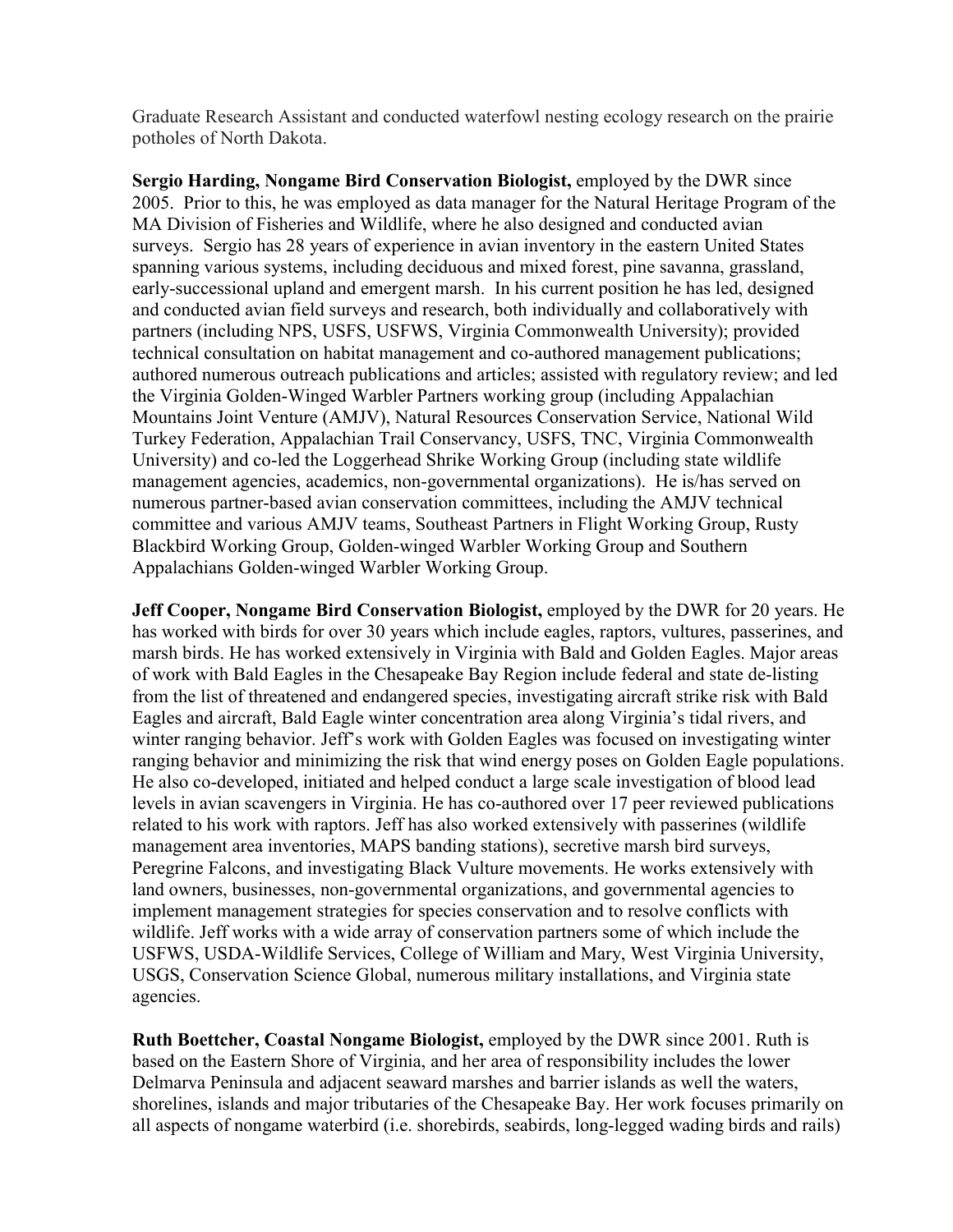Graduate Research Assistant and conducted waterfowl nesting ecology research on the prairie potholes of North Dakota.

**Sergio Harding, Nongame Bird Conservation Biologist,** employed by the DWR since 2005. Prior to this, he was employed as data manager for the Natural Heritage Program of the MA Division of Fisheries and Wildlife, where he also designed and conducted avian surveys. Sergio has 28 years of experience in avian inventory in the eastern United States spanning various systems, including deciduous and mixed forest, pine savanna, grassland, early-successional upland and emergent marsh. In his current position he has led, designed and conducted avian field surveys and research, both individually and collaboratively with partners (including NPS, USFS, USFWS, Virginia Commonwealth University); provided technical consultation on habitat management and co-authored management publications; authored numerous outreach publications and articles; assisted with regulatory review; and led the Virginia Golden-Winged Warbler Partners working group (including Appalachian Mountains Joint Venture (AMJV), Natural Resources Conservation Service, National Wild Turkey Federation, Appalachian Trail Conservancy, USFS, TNC, Virginia Commonwealth University) and co-led the Loggerhead Shrike Working Group (including state wildlife management agencies, academics, non-governmental organizations). He is/has served on numerous partner-based avian conservation committees, including the AMJV technical committee and various AMJV teams, Southeast Partners in Flight Working Group, Rusty Blackbird Working Group, Golden-winged Warbler Working Group and Southern Appalachians Golden-winged Warbler Working Group.

**Jeff Cooper, Nongame Bird Conservation Biologist,** employed by the DWR for 20 years. He has worked with birds for over 30 years which include eagles, raptors, vultures, passerines, and marsh birds. He has worked extensively in Virginia with Bald and Golden Eagles. Major areas of work with Bald Eagles in the Chesapeake Bay Region include federal and state de-listing from the list of threatened and endangered species, investigating aircraft strike risk with Bald Eagles and aircraft, Bald Eagle winter concentration area along Virginia's tidal rivers, and winter ranging behavior. Jeff's work with Golden Eagles was focused on investigating winter ranging behavior and minimizing the risk that wind energy poses on Golden Eagle populations. He also co-developed, initiated and helped conduct a large scale investigation of blood lead levels in avian scavengers in Virginia. He has co-authored over 17 peer reviewed publications related to his work with raptors. Jeff has also worked extensively with passerines (wildlife management area inventories, MAPS banding stations), secretive marsh bird surveys, Peregrine Falcons, and investigating Black Vulture movements. He works extensively with land owners, businesses, non-governmental organizations, and governmental agencies to implement management strategies for species conservation and to resolve conflicts with wildlife. Jeff works with a wide array of conservation partners some of which include the USFWS, USDA-Wildlife Services, College of William and Mary, West Virginia University, USGS, Conservation Science Global, numerous military installations, and Virginia state agencies.

**Ruth Boettcher, Coastal Nongame Biologist,** employed by the DWR since 2001. Ruth is based on the Eastern Shore of Virginia, and her area of responsibility includes the lower Delmarva Peninsula and adjacent seaward marshes and barrier islands as well the waters, shorelines, islands and major tributaries of the Chesapeake Bay. Her work focuses primarily on all aspects of nongame waterbird (i.e. shorebirds, seabirds, long-legged wading birds and rails)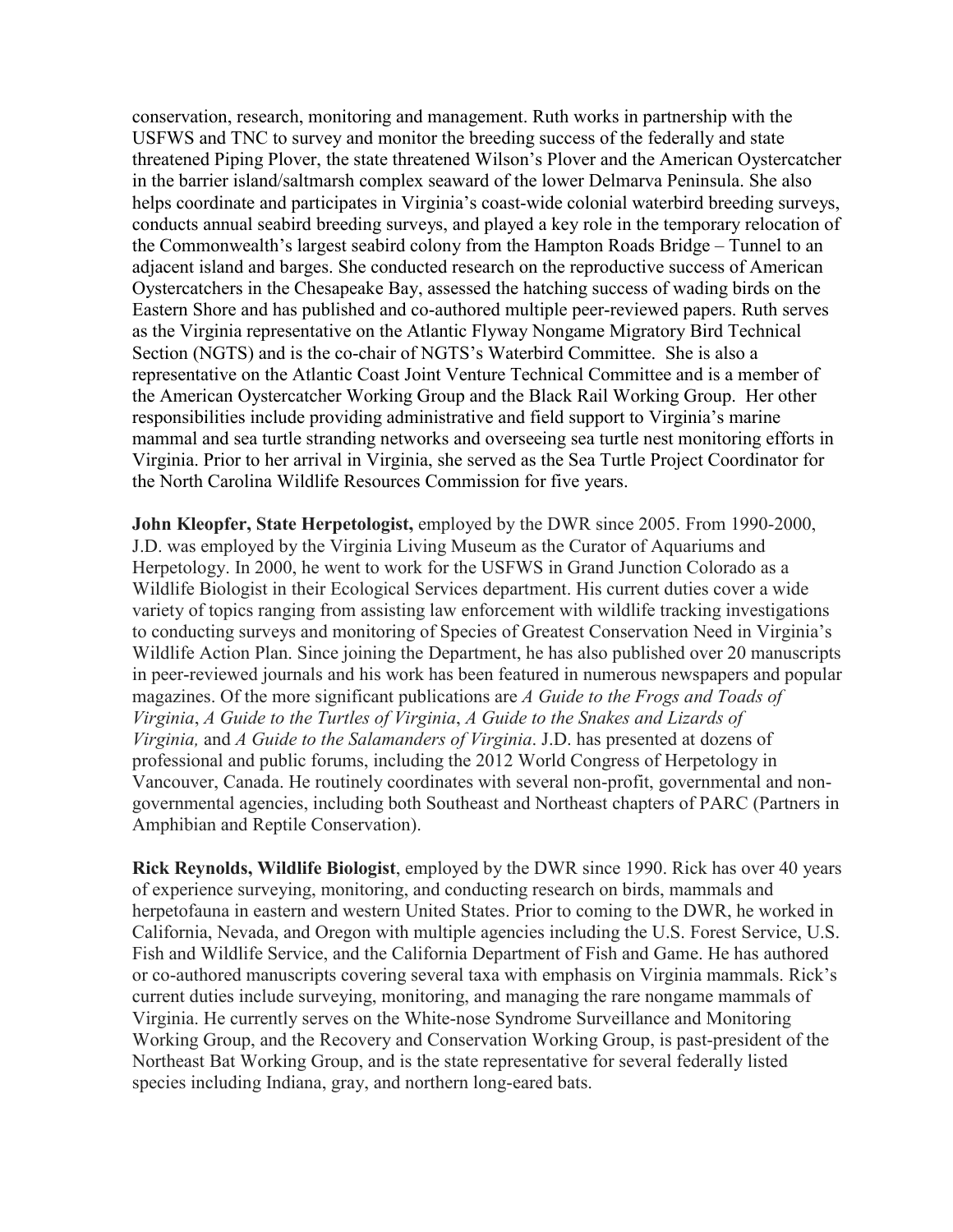conservation, research, monitoring and management. Ruth works in partnership with the USFWS and TNC to survey and monitor the breeding success of the federally and state threatened Piping Plover, the state threatened Wilson's Plover and the American Oystercatcher in the barrier island/saltmarsh complex seaward of the lower Delmarva Peninsula. She also helps coordinate and participates in Virginia's coast-wide colonial waterbird breeding surveys, conducts annual seabird breeding surveys, and played a key role in the temporary relocation of the Commonwealth's largest seabird colony from the Hampton Roads Bridge – Tunnel to an adjacent island and barges. She conducted research on the reproductive success of American Oystercatchers in the Chesapeake Bay, assessed the hatching success of wading birds on the Eastern Shore and has published and co-authored multiple peer-reviewed papers. Ruth serves as the Virginia representative on the Atlantic Flyway Nongame Migratory Bird Technical Section (NGTS) and is the co-chair of NGTS's Waterbird Committee. She is also a representative on the Atlantic Coast Joint Venture Technical Committee and is a member of the American Oystercatcher Working Group and the Black Rail Working Group. Her other responsibilities include providing administrative and field support to Virginia's marine mammal and sea turtle stranding networks and overseeing sea turtle nest monitoring efforts in Virginia. Prior to her arrival in Virginia, she served as the Sea Turtle Project Coordinator for the North Carolina Wildlife Resources Commission for five years.

**John Kleopfer, State Herpetologist,** employed by the DWR since 2005. From 1990-2000, J.D. was employed by the Virginia Living Museum as the Curator of Aquariums and Herpetology. In 2000, he went to work for the USFWS in Grand Junction Colorado as a Wildlife Biologist in their Ecological Services department. His current duties cover a wide variety of topics ranging from assisting law enforcement with wildlife tracking investigations to conducting surveys and monitoring of Species of Greatest Conservation Need in Virginia's Wildlife Action Plan. Since joining the Department, he has also published over 20 manuscripts in peer-reviewed journals and his work has been featured in numerous newspapers and popular magazines. Of the more significant publications are *A Guide to the Frogs and Toads of Virginia*, *A Guide to the Turtles of Virginia*, *A Guide to the Snakes and Lizards of Virginia,* and *A Guide to the Salamanders of Virginia*. J.D. has presented at dozens of professional and public forums, including the 2012 World Congress of Herpetology in Vancouver, Canada. He routinely coordinates with several non-profit, governmental and nongovernmental agencies, including both Southeast and Northeast chapters of PARC (Partners in Amphibian and Reptile Conservation).

**Rick Reynolds, Wildlife Biologist**, employed by the DWR since 1990. Rick has over 40 years of experience surveying, monitoring, and conducting research on birds, mammals and herpetofauna in eastern and western United States. Prior to coming to the DWR, he worked in California, Nevada, and Oregon with multiple agencies including the U.S. Forest Service, U.S. Fish and Wildlife Service, and the California Department of Fish and Game. He has authored or co-authored manuscripts covering several taxa with emphasis on Virginia mammals. Rick's current duties include surveying, monitoring, and managing the rare nongame mammals of Virginia. He currently serves on the White-nose Syndrome Surveillance and Monitoring Working Group, and the Recovery and Conservation Working Group, is past-president of the Northeast Bat Working Group, and is the state representative for several federally listed species including Indiana, gray, and northern long-eared bats.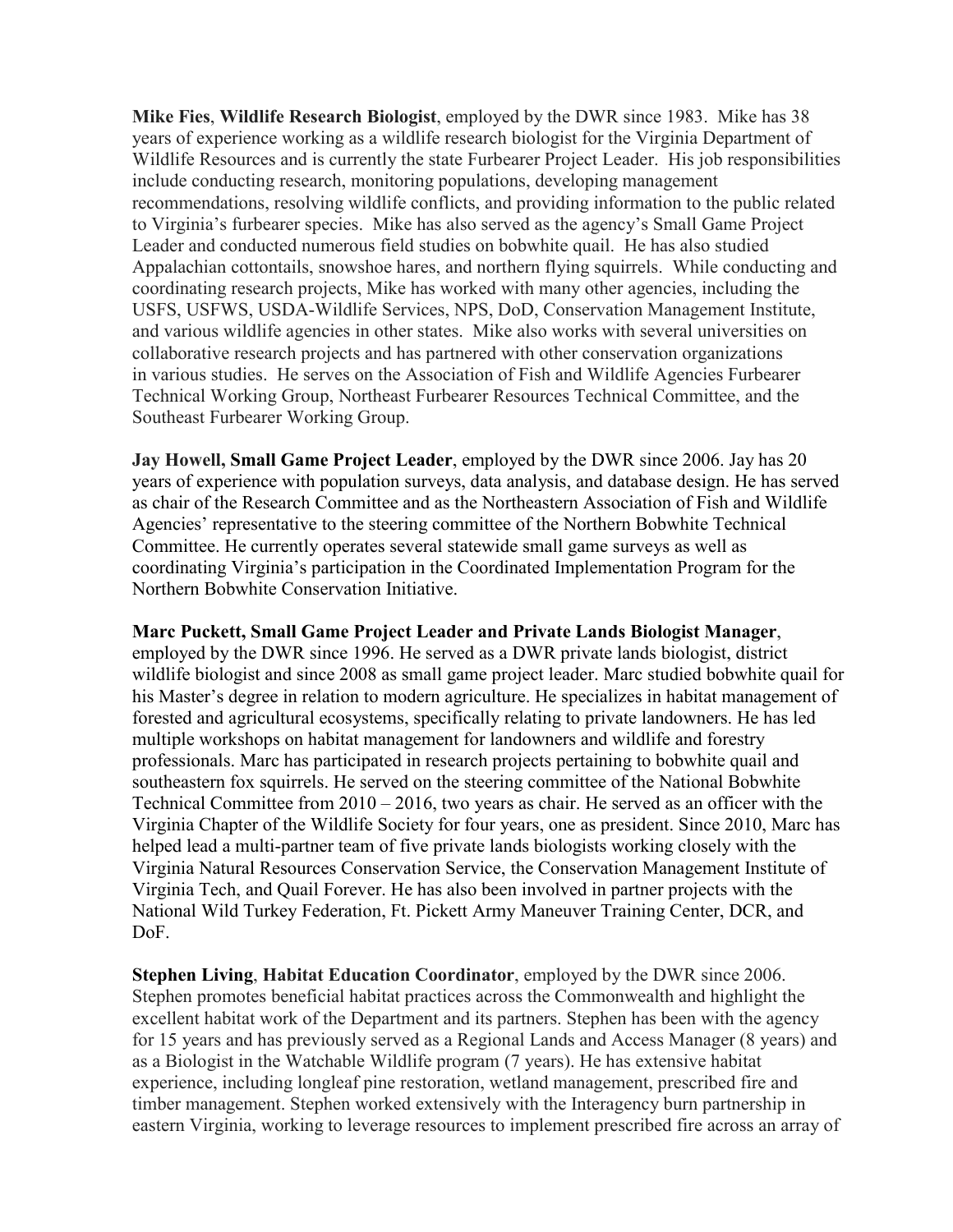**Mike Fies**, **Wildlife Research Biologist**, employed by the DWR since 1983. Mike has 38 years of experience working as a wildlife research biologist for the Virginia Department of Wildlife Resources and is currently the state Furbearer Project Leader. His job responsibilities include conducting research, monitoring populations, developing management recommendations, resolving wildlife conflicts, and providing information to the public related to Virginia's furbearer species. Mike has also served as the agency's Small Game Project Leader and conducted numerous field studies on bobwhite quail. He has also studied Appalachian cottontails, snowshoe hares, and northern flying squirrels. While conducting and coordinating research projects, Mike has worked with many other agencies, including the USFS, USFWS, USDA-Wildlife Services, NPS, DoD, Conservation Management Institute, and various wildlife agencies in other states. Mike also works with several universities on collaborative research projects and has partnered with other conservation organizations in various studies. He serves on the Association of Fish and Wildlife Agencies Furbearer Technical Working Group, Northeast Furbearer Resources Technical Committee, and the Southeast Furbearer Working Group.

**Jay Howell, Small Game Project Leader**, employed by the DWR since 2006. Jay has 20 years of experience with population surveys, data analysis, and database design. He has served as chair of the Research Committee and as the Northeastern Association of Fish and Wildlife Agencies' representative to the steering committee of the Northern Bobwhite Technical Committee. He currently operates several statewide small game surveys as well as coordinating Virginia's participation in the Coordinated Implementation Program for the Northern Bobwhite Conservation Initiative.

#### **Marc Puckett, Small Game Project Leader and Private Lands Biologist Manager**,

employed by the DWR since 1996. He served as a DWR private lands biologist, district wildlife biologist and since 2008 as small game project leader. Marc studied bobwhite quail for his Master's degree in relation to modern agriculture. He specializes in habitat management of forested and agricultural ecosystems, specifically relating to private landowners. He has led multiple workshops on habitat management for landowners and wildlife and forestry professionals. Marc has participated in research projects pertaining to bobwhite quail and southeastern fox squirrels. He served on the steering committee of the National Bobwhite Technical Committee from 2010 – 2016, two years as chair. He served as an officer with the Virginia Chapter of the Wildlife Society for four years, one as president. Since 2010, Marc has helped lead a multi-partner team of five private lands biologists working closely with the Virginia Natural Resources Conservation Service, the Conservation Management Institute of Virginia Tech, and Quail Forever. He has also been involved in partner projects with the National Wild Turkey Federation, Ft. Pickett Army Maneuver Training Center, DCR, and DoF.

**Stephen Living**, **Habitat Education Coordinator**, employed by the DWR since 2006. Stephen promotes beneficial habitat practices across the Commonwealth and highlight the excellent habitat work of the Department and its partners. Stephen has been with the agency for 15 years and has previously served as a Regional Lands and Access Manager (8 years) and as a Biologist in the Watchable Wildlife program (7 years). He has extensive habitat experience, including longleaf pine restoration, wetland management, prescribed fire and timber management. Stephen worked extensively with the Interagency burn partnership in eastern Virginia, working to leverage resources to implement prescribed fire across an array of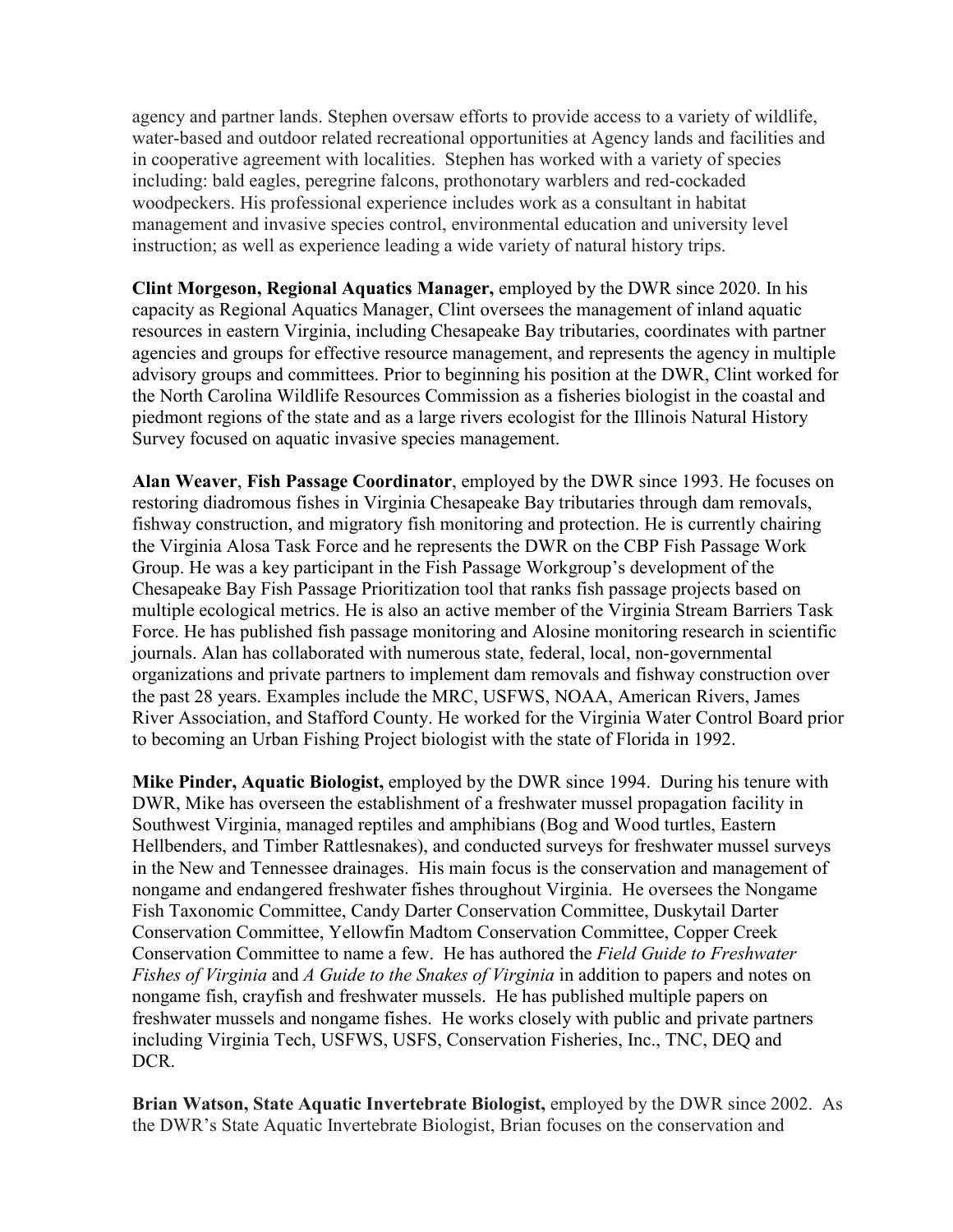agency and partner lands. Stephen oversaw efforts to provide access to a variety of wildlife, water-based and outdoor related recreational opportunities at Agency lands and facilities and in cooperative agreement with localities. Stephen has worked with a variety of species including: bald eagles, peregrine falcons, prothonotary warblers and red-cockaded woodpeckers. His professional experience includes work as a consultant in habitat management and invasive species control, environmental education and university level instruction; as well as experience leading a wide variety of natural history trips.

**Clint Morgeson, Regional Aquatics Manager,** employed by the DWR since 2020. In his capacity as Regional Aquatics Manager, Clint oversees the management of inland aquatic resources in eastern Virginia, including Chesapeake Bay tributaries, coordinates with partner agencies and groups for effective resource management, and represents the agency in multiple advisory groups and committees. Prior to beginning his position at the DWR, Clint worked for the North Carolina Wildlife Resources Commission as a fisheries biologist in the coastal and piedmont regions of the state and as a large rivers ecologist for the Illinois Natural History Survey focused on aquatic invasive species management.

**Alan Weaver**, **Fish Passage Coordinator**, employed by the DWR since 1993. He focuses on restoring diadromous fishes in Virginia Chesapeake Bay tributaries through dam removals, fishway construction, and migratory fish monitoring and protection. He is currently chairing the Virginia Alosa Task Force and he represents the DWR on the CBP Fish Passage Work Group. He was a key participant in the Fish Passage Workgroup's development of the Chesapeake Bay Fish Passage Prioritization tool that ranks fish passage projects based on multiple ecological metrics. He is also an active member of the Virginia Stream Barriers Task Force. He has published fish passage monitoring and Alosine monitoring research in scientific journals. Alan has collaborated with numerous state, federal, local, non-governmental organizations and private partners to implement dam removals and fishway construction over the past 28 years. Examples include the MRC, USFWS, NOAA, American Rivers, James River Association, and Stafford County. He worked for the Virginia Water Control Board prior to becoming an Urban Fishing Project biologist with the state of Florida in 1992.

**Mike Pinder, Aquatic Biologist,** employed by the DWR since 1994. During his tenure with DWR, Mike has overseen the establishment of a freshwater mussel propagation facility in Southwest Virginia, managed reptiles and amphibians (Bog and Wood turtles, Eastern Hellbenders, and Timber Rattlesnakes), and conducted surveys for freshwater mussel surveys in the New and Tennessee drainages. His main focus is the conservation and management of nongame and endangered freshwater fishes throughout Virginia. He oversees the Nongame Fish Taxonomic Committee, Candy Darter Conservation Committee, Duskytail Darter Conservation Committee, Yellowfin Madtom Conservation Committee, Copper Creek Conservation Committee to name a few. He has authored the *Field Guide to Freshwater Fishes of Virginia* and *A Guide to the Snakes of Virginia* in addition to papers and notes on nongame fish, crayfish and freshwater mussels. He has published multiple papers on freshwater mussels and nongame fishes. He works closely with public and private partners including Virginia Tech, USFWS, USFS, Conservation Fisheries, Inc., TNC, DEQ and DCR.

**Brian Watson, State Aquatic Invertebrate Biologist,** employed by the DWR since 2002. As the DWR's State Aquatic Invertebrate Biologist, Brian focuses on the conservation and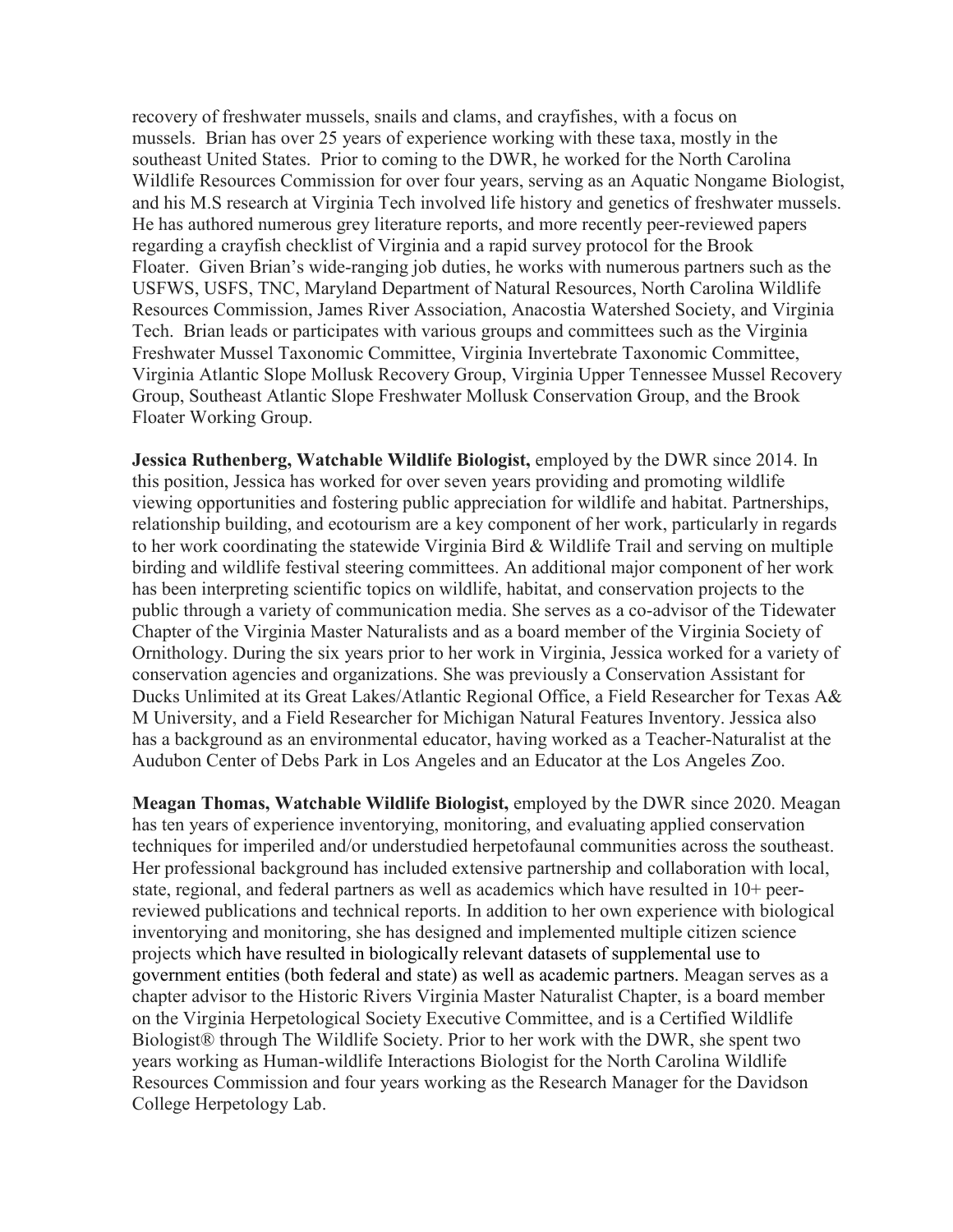recovery of freshwater mussels, snails and clams, and crayfishes, with a focus on mussels. Brian has over 25 years of experience working with these taxa, mostly in the southeast United States. Prior to coming to the DWR, he worked for the North Carolina Wildlife Resources Commission for over four years, serving as an Aquatic Nongame Biologist, and his M.S research at Virginia Tech involved life history and genetics of freshwater mussels. He has authored numerous grey literature reports, and more recently peer-reviewed papers regarding a crayfish checklist of Virginia and a rapid survey protocol for the Brook Floater. Given Brian's wide-ranging job duties, he works with numerous partners such as the USFWS, USFS, TNC, Maryland Department of Natural Resources, North Carolina Wildlife Resources Commission, James River Association, Anacostia Watershed Society, and Virginia Tech. Brian leads or participates with various groups and committees such as the Virginia Freshwater Mussel Taxonomic Committee, Virginia Invertebrate Taxonomic Committee, Virginia Atlantic Slope Mollusk Recovery Group, Virginia Upper Tennessee Mussel Recovery Group, Southeast Atlantic Slope Freshwater Mollusk Conservation Group, and the Brook Floater Working Group.

**Jessica Ruthenberg, Watchable Wildlife Biologist,** employed by the DWR since 2014. In this position, Jessica has worked for over seven years providing and promoting wildlife viewing opportunities and fostering public appreciation for wildlife and habitat. Partnerships, relationship building, and ecotourism are a key component of her work, particularly in regards to her work coordinating the statewide Virginia Bird & Wildlife Trail and serving on multiple birding and wildlife festival steering committees. An additional major component of her work has been interpreting scientific topics on wildlife, habitat, and conservation projects to the public through a variety of communication media. She serves as a co-advisor of the Tidewater Chapter of the Virginia Master Naturalists and as a board member of the Virginia Society of Ornithology. During the six years prior to her work in Virginia, Jessica worked for a variety of conservation agencies and organizations. She was previously a Conservation Assistant for Ducks Unlimited at its Great Lakes/Atlantic Regional Office, a Field Researcher for Texas A& M University, and a Field Researcher for Michigan Natural Features Inventory. Jessica also has a background as an environmental educator, having worked as a Teacher-Naturalist at the Audubon Center of Debs Park in Los Angeles and an Educator at the Los Angeles Zoo.

**Meagan Thomas, Watchable Wildlife Biologist,** employed by the DWR since 2020. Meagan has ten years of experience inventorying, monitoring, and evaluating applied conservation techniques for imperiled and/or understudied herpetofaunal communities across the southeast. Her professional background has included extensive partnership and collaboration with local, state, regional, and federal partners as well as academics which have resulted in 10+ peerreviewed publications and technical reports. In addition to her own experience with biological inventorying and monitoring, she has designed and implemented multiple citizen science projects which have resulted in biologically relevant datasets of supplemental use to government entities (both federal and state) as well as academic partners. Meagan serves as a chapter advisor to the Historic Rivers Virginia Master Naturalist Chapter, is a board member on the Virginia Herpetological Society Executive Committee, and is a Certified Wildlife Biologist® through The Wildlife Society. Prior to her work with the DWR, she spent two years working as Human-wildlife Interactions Biologist for the North Carolina Wildlife Resources Commission and four years working as the Research Manager for the Davidson College Herpetology Lab.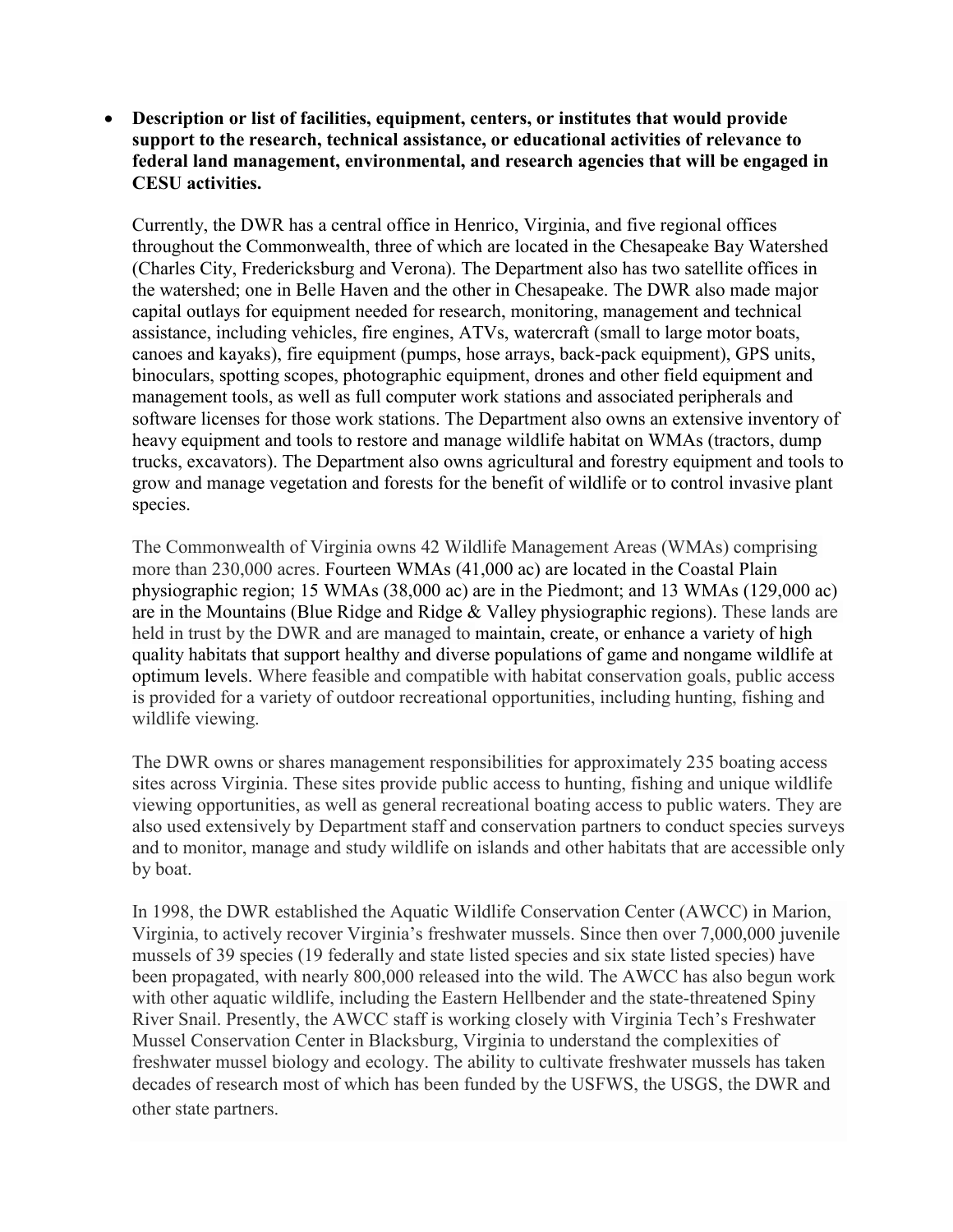# • **Description or list of facilities, equipment, centers, or institutes that would provide support to the research, technical assistance, or educational activities of relevance to federal land management, environmental, and research agencies that will be engaged in CESU activities.**

Currently, the DWR has a central office in Henrico, Virginia, and five regional offices throughout the Commonwealth, three of which are located in the Chesapeake Bay Watershed (Charles City, Fredericksburg and Verona). The Department also has two satellite offices in the watershed; one in Belle Haven and the other in Chesapeake. The DWR also made major capital outlays for equipment needed for research, monitoring, management and technical assistance, including vehicles, fire engines, ATVs, watercraft (small to large motor boats, canoes and kayaks), fire equipment (pumps, hose arrays, back-pack equipment), GPS units, binoculars, spotting scopes, photographic equipment, drones and other field equipment and management tools, as well as full computer work stations and associated peripherals and software licenses for those work stations. The Department also owns an extensive inventory of heavy equipment and tools to restore and manage wildlife habitat on WMAs (tractors, dump trucks, excavators). The Department also owns agricultural and forestry equipment and tools to grow and manage vegetation and forests for the benefit of wildlife or to control invasive plant species.

The Commonwealth of Virginia owns 42 Wildlife Management Areas (WMAs) comprising more than 230,000 acres. Fourteen WMAs (41,000 ac) are located in the Coastal Plain physiographic region; 15 WMAs (38,000 ac) are in the Piedmont; and 13 WMAs (129,000 ac) are in the Mountains (Blue Ridge and Ridge & Valley physiographic regions). These lands are held in trust by the DWR and are managed to maintain, create, or enhance a variety of high quality habitats that support healthy and diverse populations of game and nongame wildlife at optimum levels. Where feasible and compatible with habitat conservation goals, public access is provided for a variety of outdoor recreational opportunities, including hunting, fishing and wildlife viewing.

The DWR owns or shares management responsibilities for approximately 235 boating access sites across Virginia. These sites provide public access to hunting, fishing and unique wildlife viewing opportunities, as well as general recreational boating access to public waters. They are also used extensively by Department staff and conservation partners to conduct species surveys and to monitor, manage and study wildlife on islands and other habitats that are accessible only by boat.

In 1998, the DWR established the Aquatic Wildlife Conservation Center (AWCC) in Marion, Virginia, to actively recover Virginia's freshwater mussels. Since then over 7,000,000 juvenile mussels of 39 species (19 federally and state listed species and six state listed species) have been propagated, with nearly 800,000 released into the wild. The AWCC has also begun work with other aquatic wildlife, including the Eastern Hellbender and the state-threatened Spiny River Snail. Presently, the AWCC staff is working closely with Virginia Tech's Freshwater Mussel Conservation Center in Blacksburg, Virginia to understand the complexities of freshwater mussel biology and ecology. The ability to cultivate freshwater mussels has taken decades of research most of which has been funded by the USFWS, the USGS, the DWR and other state partners.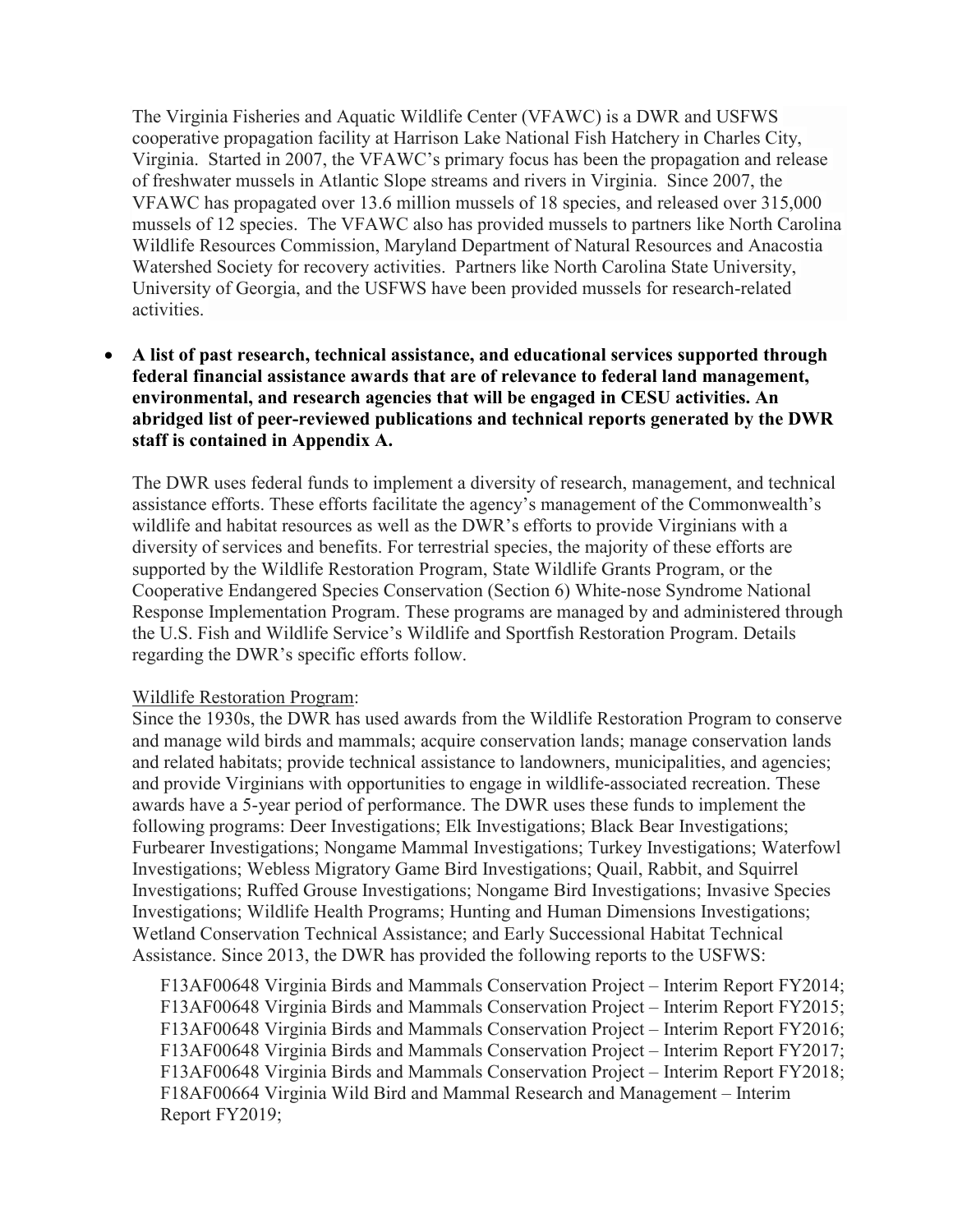The Virginia Fisheries and Aquatic Wildlife Center (VFAWC) is a DWR and USFWS cooperative propagation facility at Harrison Lake National Fish Hatchery in Charles City, Virginia. Started in 2007, the VFAWC's primary focus has been the propagation and release of freshwater mussels in Atlantic Slope streams and rivers in Virginia. Since 2007, the VFAWC has propagated over 13.6 million mussels of 18 species, and released over 315,000 mussels of 12 species. The VFAWC also has provided mussels to partners like North Carolina Wildlife Resources Commission, Maryland Department of Natural Resources and Anacostia Watershed Society for recovery activities. Partners like North Carolina State University, University of Georgia, and the USFWS have been provided mussels for research-related activities.

• **A list of past research, technical assistance, and educational services supported through federal financial assistance awards that are of relevance to federal land management, environmental, and research agencies that will be engaged in CESU activities. An abridged list of peer-reviewed publications and technical reports generated by the DWR staff is contained in Appendix A.** 

The DWR uses federal funds to implement a diversity of research, management, and technical assistance efforts. These efforts facilitate the agency's management of the Commonwealth's wildlife and habitat resources as well as the DWR's efforts to provide Virginians with a diversity of services and benefits. For terrestrial species, the majority of these efforts are supported by the Wildlife Restoration Program, State Wildlife Grants Program, or the Cooperative Endangered Species Conservation (Section 6) White-nose Syndrome National Response Implementation Program. These programs are managed by and administered through the U.S. Fish and Wildlife Service's Wildlife and Sportfish Restoration Program. Details regarding the DWR's specific efforts follow.

# Wildlife Restoration Program:

Since the 1930s, the DWR has used awards from the Wildlife Restoration Program to conserve and manage wild birds and mammals; acquire conservation lands; manage conservation lands and related habitats; provide technical assistance to landowners, municipalities, and agencies; and provide Virginians with opportunities to engage in wildlife-associated recreation. These awards have a 5-year period of performance. The DWR uses these funds to implement the following programs: Deer Investigations; Elk Investigations; Black Bear Investigations; Furbearer Investigations; Nongame Mammal Investigations; Turkey Investigations; Waterfowl Investigations; Webless Migratory Game Bird Investigations; Quail, Rabbit, and Squirrel Investigations; Ruffed Grouse Investigations; Nongame Bird Investigations; Invasive Species Investigations; Wildlife Health Programs; Hunting and Human Dimensions Investigations; Wetland Conservation Technical Assistance; and Early Successional Habitat Technical Assistance. Since 2013, the DWR has provided the following reports to the USFWS:

F13AF00648 Virginia Birds and Mammals Conservation Project – Interim Report FY2014; F13AF00648 Virginia Birds and Mammals Conservation Project – Interim Report FY2015; F13AF00648 Virginia Birds and Mammals Conservation Project – Interim Report FY2016; F13AF00648 Virginia Birds and Mammals Conservation Project – Interim Report FY2017; F13AF00648 Virginia Birds and Mammals Conservation Project – Interim Report FY2018; F18AF00664 Virginia Wild Bird and Mammal Research and Management – Interim Report FY2019;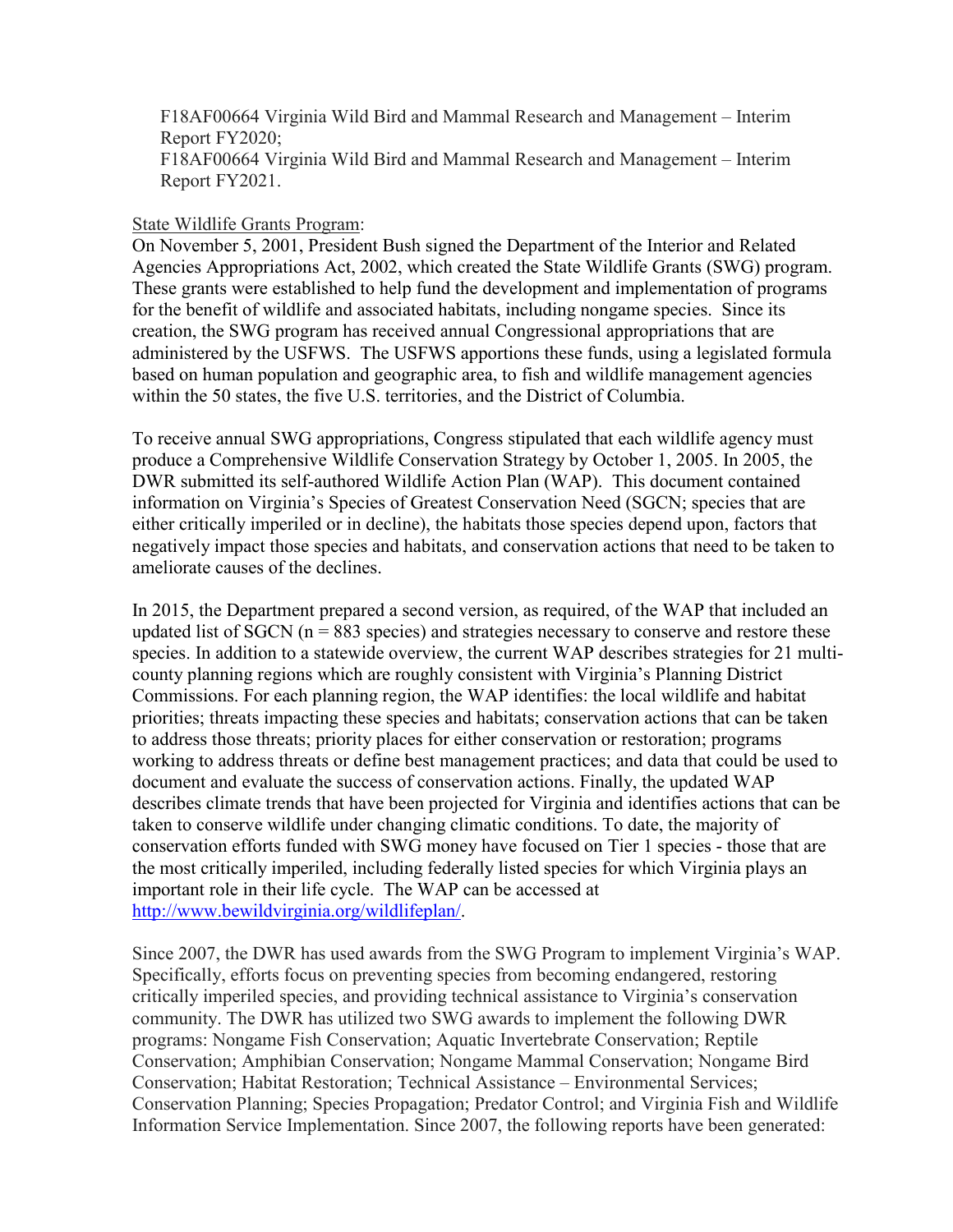F18AF00664 Virginia Wild Bird and Mammal Research and Management – Interim Report FY2020; F18AF00664 Virginia Wild Bird and Mammal Research and Management – Interim Report FY2021.

# State Wildlife Grants Program:

On November 5, 2001, President Bush signed the Department of the Interior and Related Agencies Appropriations Act, 2002, which created the State Wildlife Grants (SWG) program. These grants were established to help fund the development and implementation of programs for the benefit of wildlife and associated habitats, including nongame species. Since its creation, the SWG program has received annual Congressional appropriations that are administered by the USFWS. The USFWS apportions these funds, using a legislated formula based on human population and geographic area, to fish and wildlife management agencies within the 50 states, the five U.S. territories, and the District of Columbia.

To receive annual SWG appropriations, Congress stipulated that each wildlife agency must produce a Comprehensive Wildlife Conservation Strategy by October 1, 2005. In 2005, the DWR submitted its self-authored Wildlife Action Plan (WAP). This document contained information on Virginia's Species of Greatest Conservation Need (SGCN; species that are either critically imperiled or in decline), the habitats those species depend upon, factors that negatively impact those species and habitats, and conservation actions that need to be taken to ameliorate causes of the declines.

In 2015, the Department prepared a second version, as required, of the WAP that included an updated list of SGCN ( $n = 883$  species) and strategies necessary to conserve and restore these species. In addition to a statewide overview, the current WAP describes strategies for 21 multicounty planning regions which are roughly consistent with Virginia's Planning District Commissions. For each planning region, the WAP identifies: the local wildlife and habitat priorities; threats impacting these species and habitats; conservation actions that can be taken to address those threats; priority places for either conservation or restoration; programs working to address threats or define best management practices; and data that could be used to document and evaluate the success of conservation actions. Finally, the updated WAP describes climate trends that have been projected for Virginia and identifies actions that can be taken to conserve wildlife under changing climatic conditions. To date, the majority of conservation efforts funded with SWG money have focused on Tier 1 species - those that are the most critically imperiled, including federally listed species for which Virginia plays an important role in their life cycle. The WAP can be accessed at [http://www.bewildvirginia.org/wildlifeplan/.](http://www.bewildvirginia.org/wildlifeplan/)

Since 2007, the DWR has used awards from the SWG Program to implement Virginia's WAP. Specifically, efforts focus on preventing species from becoming endangered, restoring critically imperiled species, and providing technical assistance to Virginia's conservation community. The DWR has utilized two SWG awards to implement the following DWR programs: Nongame Fish Conservation; Aquatic Invertebrate Conservation; Reptile Conservation; Amphibian Conservation; Nongame Mammal Conservation; Nongame Bird Conservation; Habitat Restoration; Technical Assistance – Environmental Services; Conservation Planning; Species Propagation; Predator Control; and Virginia Fish and Wildlife Information Service Implementation. Since 2007, the following reports have been generated: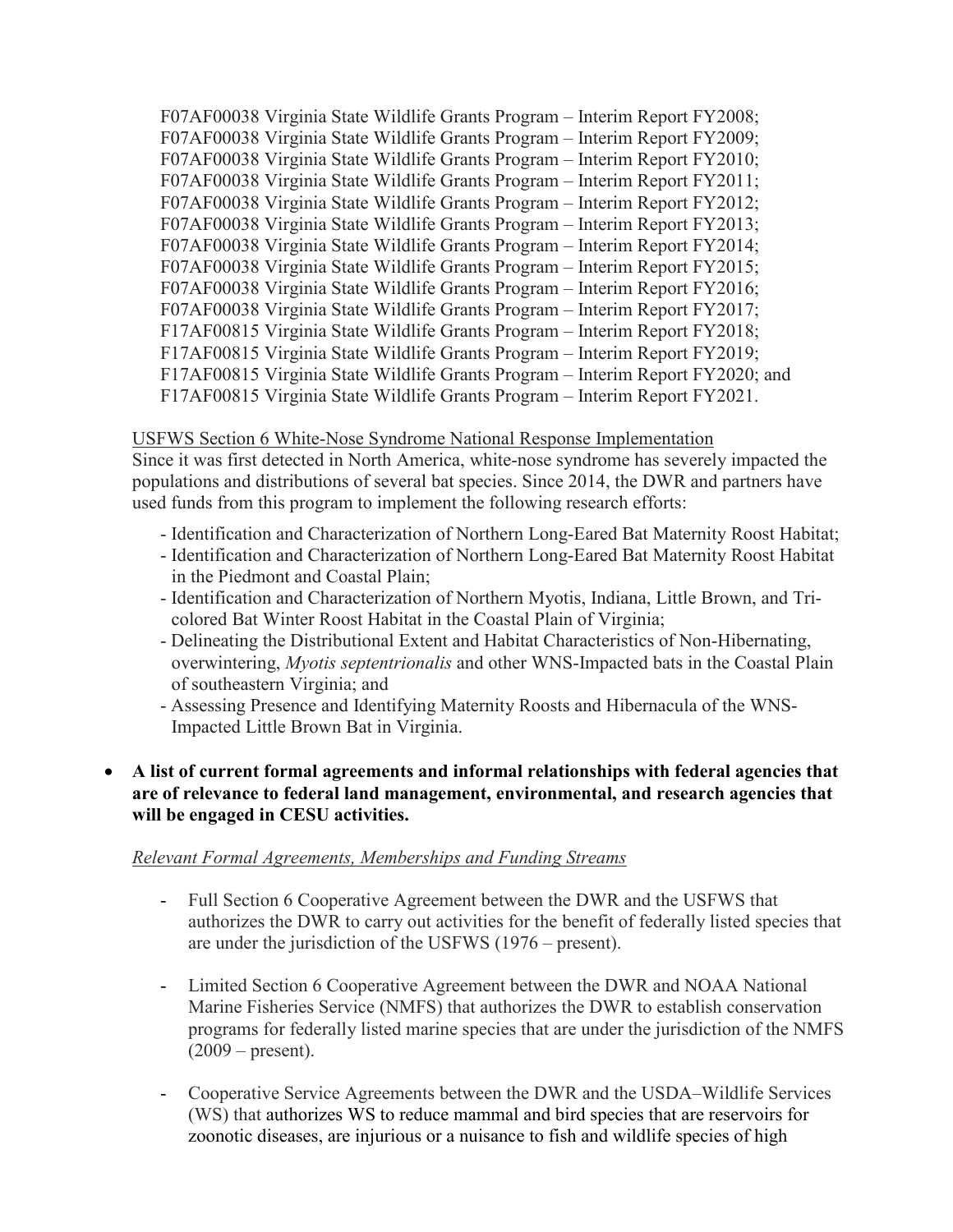F07AF00038 Virginia State Wildlife Grants Program – Interim Report FY2008; F07AF00038 Virginia State Wildlife Grants Program – Interim Report FY2009; F07AF00038 Virginia State Wildlife Grants Program – Interim Report FY2010; F07AF00038 Virginia State Wildlife Grants Program – Interim Report FY2011; F07AF00038 Virginia State Wildlife Grants Program – Interim Report FY2012; F07AF00038 Virginia State Wildlife Grants Program – Interim Report FY2013; F07AF00038 Virginia State Wildlife Grants Program – Interim Report FY2014; F07AF00038 Virginia State Wildlife Grants Program – Interim Report FY2015; F07AF00038 Virginia State Wildlife Grants Program – Interim Report FY2016; F07AF00038 Virginia State Wildlife Grants Program – Interim Report FY2017; F17AF00815 Virginia State Wildlife Grants Program – Interim Report FY2018; F17AF00815 Virginia State Wildlife Grants Program – Interim Report FY2019; F17AF00815 Virginia State Wildlife Grants Program – Interim Report FY2020; and F17AF00815 Virginia State Wildlife Grants Program – Interim Report FY2021.

# USFWS Section 6 White-Nose Syndrome National Response Implementation

Since it was first detected in North America, white-nose syndrome has severely impacted the populations and distributions of several bat species. Since 2014, the DWR and partners have used funds from this program to implement the following research efforts:

- Identification and Characterization of Northern Long-Eared Bat Maternity Roost Habitat;
- Identification and Characterization of Northern Long-Eared Bat Maternity Roost Habitat in the Piedmont and Coastal Plain;
- Identification and Characterization of Northern Myotis, Indiana, Little Brown, and Tricolored Bat Winter Roost Habitat in the Coastal Plain of Virginia;
- Delineating the Distributional Extent and Habitat Characteristics of Non-Hibernating, overwintering, *Myotis septentrionalis* and other WNS-Impacted bats in the Coastal Plain of southeastern Virginia; and
- Assessing Presence and Identifying Maternity Roosts and Hibernacula of the WNS-Impacted Little Brown Bat in Virginia.

# • **A list of current formal agreements and informal relationships with federal agencies that are of relevance to federal land management, environmental, and research agencies that will be engaged in CESU activities.**

# *Relevant Formal Agreements, Memberships and Funding Streams*

- Full Section 6 Cooperative Agreement between the DWR and the USFWS that authorizes the DWR to carry out activities for the benefit of federally listed species that are under the jurisdiction of the USFWS (1976 – present).
- Limited Section 6 Cooperative Agreement between the DWR and NOAA National Marine Fisheries Service (NMFS) that authorizes the DWR to establish conservation programs for federally listed marine species that are under the jurisdiction of the NMFS  $(2009 - present).$
- Cooperative Service Agreements between the DWR and the USDA–Wildlife Services (WS) that authorizes WS to reduce mammal and bird species that are reservoirs for zoonotic diseases, are injurious or a nuisance to fish and wildlife species of high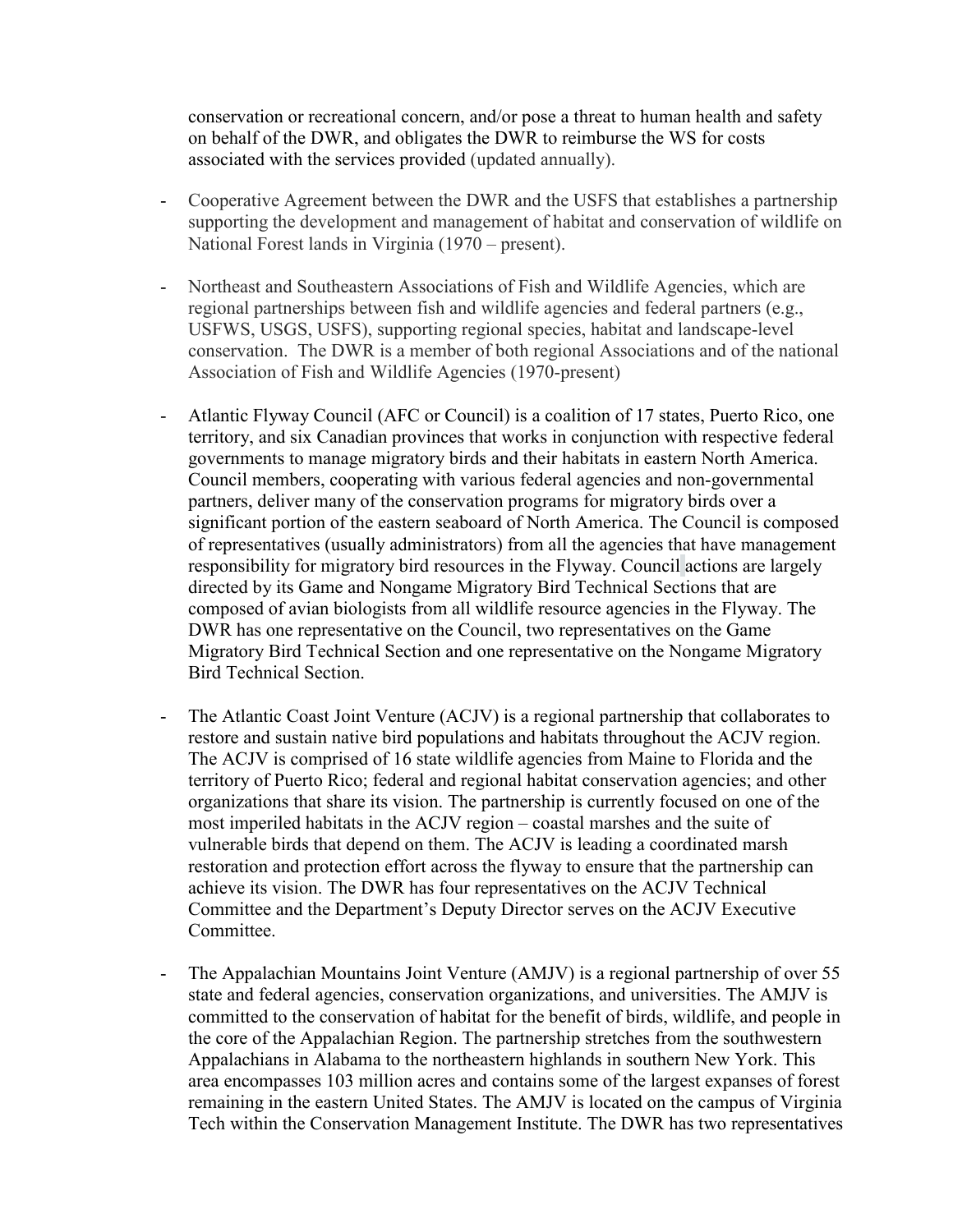conservation or recreational concern, and/or pose a threat to human health and safety on behalf of the DWR, and obligates the DWR to reimburse the WS for costs associated with the services provided (updated annually).

- Cooperative Agreement between the DWR and the USFS that establishes a partnership supporting the development and management of habitat and conservation of wildlife on National Forest lands in Virginia (1970 – present).
- Northeast and Southeastern Associations of Fish and Wildlife Agencies, which are regional partnerships between fish and wildlife agencies and federal partners (e.g., USFWS, USGS, USFS), supporting regional species, habitat and landscape-level conservation. The DWR is a member of both regional Associations and of the national Association of Fish and Wildlife Agencies (1970-present)
- Atlantic Flyway Council (AFC or Council) is a coalition of 17 states, Puerto Rico, one territory, and six Canadian provinces that works in conjunction with respective federal governments to manage migratory birds and their habitats in eastern North America. Council members, cooperating with various federal agencies and non-governmental partners, deliver many of the conservation programs for migratory birds over a significant portion of the eastern seaboard of North America. The Council is composed of representatives (usually administrators) from all the agencies that have management responsibility for migratory bird resources in the Flyway. Council actions are largely directed by its Game and Nongame Migratory Bird Technical Sections that are composed of avian biologists from all wildlife resource agencies in the Flyway. The DWR has one representative on the Council, two representatives on the Game Migratory Bird Technical Section and one representative on the Nongame Migratory Bird Technical Section.
- The Atlantic Coast Joint Venture (ACJV) is a regional partnership that collaborates to restore and sustain native bird populations and habitats throughout the ACJV region. The ACJV is comprised of 16 state wildlife agencies from Maine to Florida and the territory of Puerto Rico; federal and regional habitat conservation agencies; and other organizations that share its vision. The partnership is currently focused on one of the most imperiled habitats in the ACJV region – coastal marshes and the suite of vulnerable birds that depend on them. The ACJV is leading a coordinated marsh restoration and protection effort across the flyway to ensure that the partnership can achieve its vision. The DWR has four representatives on the ACJV Technical Committee and the Department's Deputy Director serves on the ACJV Executive Committee.
- The Appalachian Mountains Joint Venture (AMJV) is a regional partnership of over 55 state and federal agencies, conservation organizations, and universities. The AMJV is committed to the conservation of habitat for the benefit of birds, wildlife, and people in the core of the Appalachian Region. The partnership stretches from the southwestern Appalachians in Alabama to the northeastern highlands in southern New York. This area encompasses 103 million acres and contains some of the largest expanses of forest remaining in the eastern United States. The AMJV is located on the campus of Virginia Tech within the Conservation Management Institute. The DWR has two representatives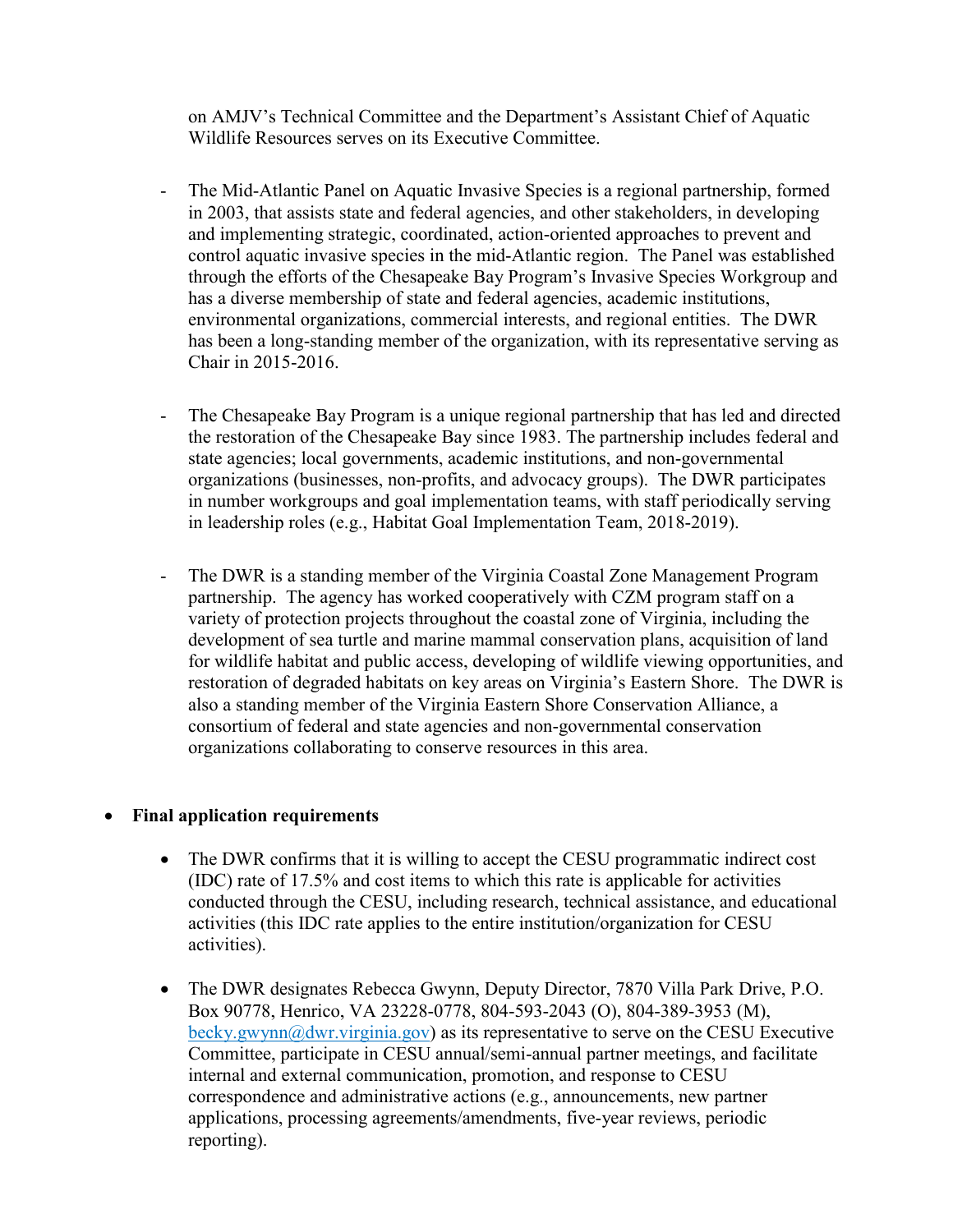on AMJV's Technical Committee and the Department's Assistant Chief of Aquatic Wildlife Resources serves on its Executive Committee.

- The Mid-Atlantic Panel on Aquatic Invasive Species is a regional partnership, formed in 2003, that assists state and federal agencies, and other stakeholders, in developing and implementing strategic, coordinated, action-oriented approaches to prevent and control aquatic invasive species in the mid-Atlantic region. The Panel was established through the efforts of the Chesapeake Bay Program's Invasive Species Workgroup and has a diverse membership of state and federal agencies, academic institutions, environmental organizations, commercial interests, and regional entities. The DWR has been a long-standing member of the organization, with its representative serving as Chair in 2015-2016.
- The Chesapeake Bay Program is a unique regional partnership that has led and directed the restoration of the Chesapeake Bay since 1983. The partnership includes federal and state agencies; local governments, academic institutions, and non-governmental organizations (businesses, non-profits, and advocacy groups). The DWR participates in number workgroups and goal implementation teams, with staff periodically serving in leadership roles (e.g., Habitat Goal Implementation Team, 2018-2019).
- The DWR is a standing member of the Virginia Coastal Zone Management Program partnership. The agency has worked cooperatively with CZM program staff on a variety of protection projects throughout the coastal zone of Virginia, including the development of sea turtle and marine mammal conservation plans, acquisition of land for wildlife habitat and public access, developing of wildlife viewing opportunities, and restoration of degraded habitats on key areas on Virginia's Eastern Shore. The DWR is also a standing member of the Virginia Eastern Shore Conservation Alliance, a consortium of federal and state agencies and non-governmental conservation organizations collaborating to conserve resources in this area.

# • **Final application requirements**

- The DWR confirms that it is willing to accept the CESU programmatic indirect cost (IDC) rate of 17.5% and cost items to which this rate is applicable for activities conducted through the CESU, including research, technical assistance, and educational activities (this IDC rate applies to the entire institution/organization for CESU activities).
- The DWR designates Rebecca Gwynn, Deputy Director, 7870 Villa Park Drive, P.O. Box 90778, Henrico, VA 23228-0778, 804-593-2043 (O), 804-389-3953 (M), [becky.gwynn@dwr.virginia.gov\)](mailto:becky.gwynn@dwr.virginia.gov) as its representative to serve on the CESU Executive Committee, participate in CESU annual/semi-annual partner meetings, and facilitate internal and external communication, promotion, and response to CESU correspondence and administrative actions (e.g., announcements, new partner applications, processing agreements/amendments, five-year reviews, periodic reporting).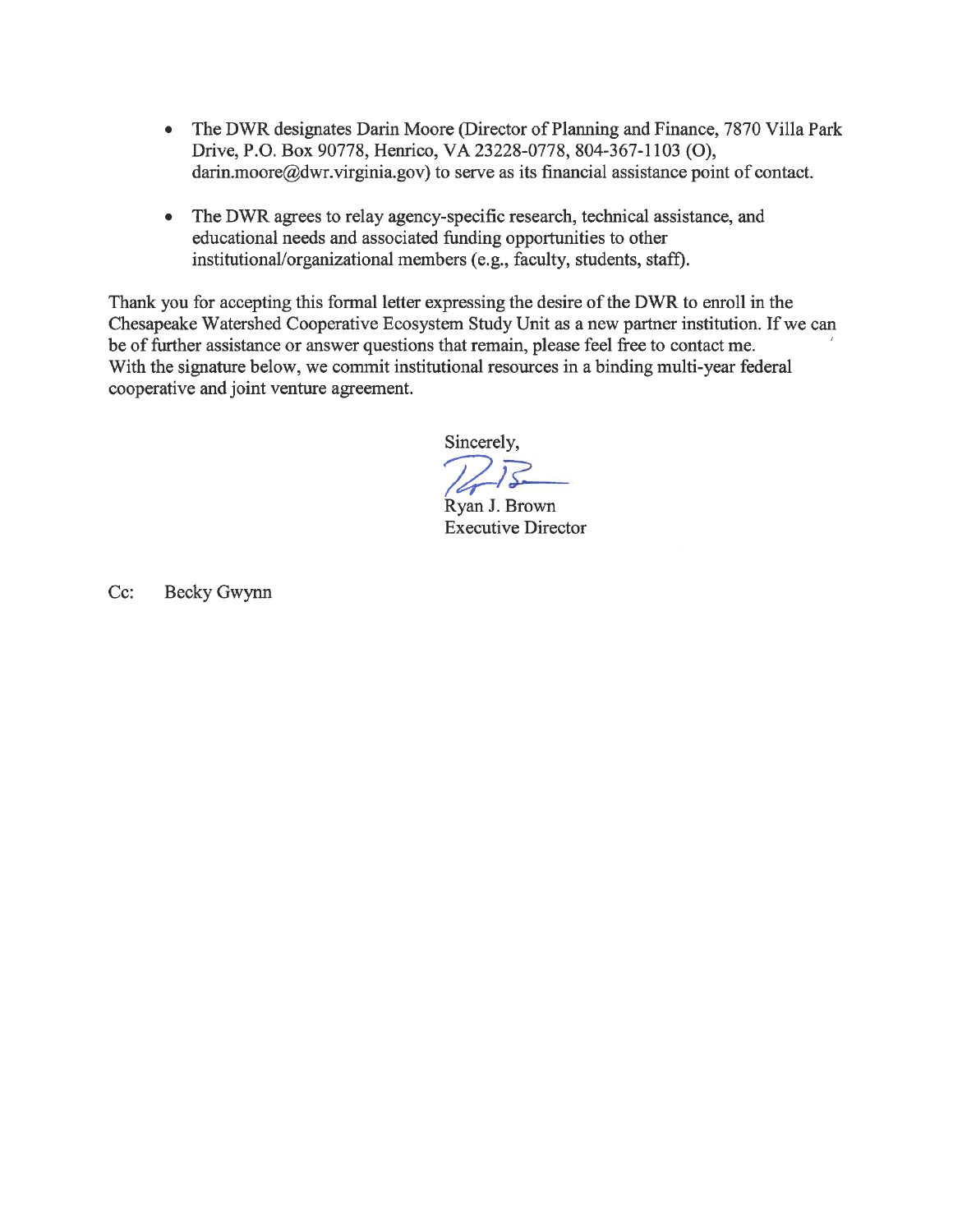- The DWR designates Darin Moore (Director of Planning and Finance, 7870 Villa Park  $\bullet$ Drive, P.O. Box 90778, Henrico, VA 23228-0778, 804-367-1103 (O), darin.moore@dwr.virginia.gov) to serve as its financial assistance point of contact.
- The DWR agrees to relay agency-specific research, technical assistance, and  $\bullet$ educational needs and associated funding opportunities to other institutional/organizational members (e.g., faculty, students, staff).

Thank you for accepting this formal letter expressing the desire of the DWR to enroll in the Chesapeake Watershed Cooperative Ecosystem Study Unit as a new partner institution. If we can be of further assistance or answer questions that remain, please feel free to contact me. With the signature below, we commit institutional resources in a binding multi-year federal cooperative and joint venture agreement.

Sincerely,

 $272$ 

Ryan J. Brown **Executive Director** 

Cc: Becky Gwynn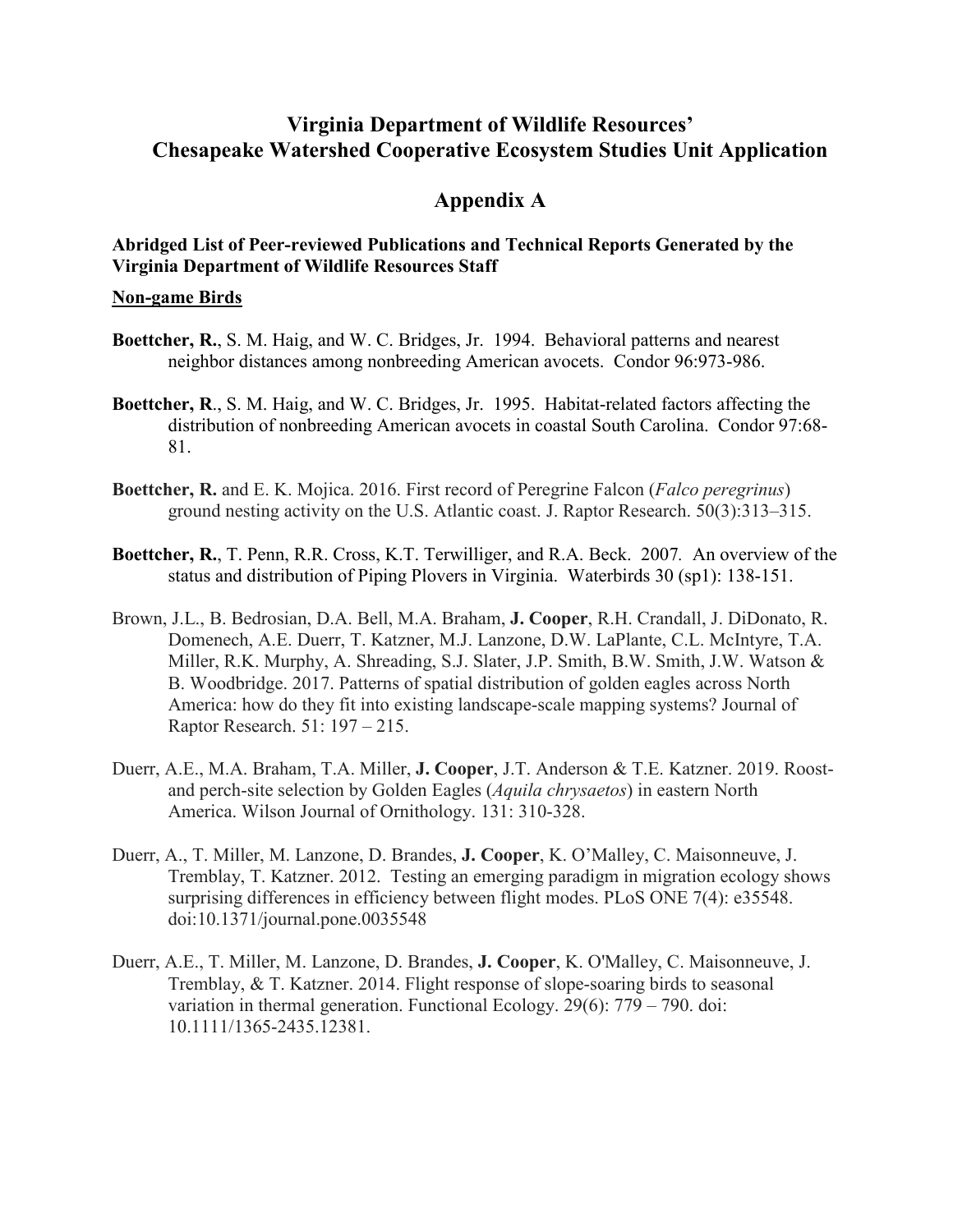# **Virginia Department of Wildlife Resources' Chesapeake Watershed Cooperative Ecosystem Studies Unit Application**

# **Appendix A**

# **Abridged List of Peer-reviewed Publications and Technical Reports Generated by the Virginia Department of Wildlife Resources Staff**

#### **Non-game Birds**

- **Boettcher, R.**, S. M. Haig, and W. C. Bridges, Jr. 1994. Behavioral patterns and nearest neighbor distances among nonbreeding American avocets. Condor 96:973-986.
- **Boettcher, R**., S. M. Haig, and W. C. Bridges, Jr. 1995. Habitat-related factors affecting the distribution of nonbreeding American avocets in coastal South Carolina. Condor 97:68- 81.
- **Boettcher, R.** and E. K. Mojica. 2016. First record of Peregrine Falcon (*Falco peregrinus*) ground nesting activity on the U.S. Atlantic coast. J. Raptor Research. 50(3):313–315.
- **Boettcher, R.**, T. Penn, R.R. Cross, K.T. Terwilliger, and R.A. Beck. 2007*.* An overview of the status and distribution of Piping Plovers in Virginia. Waterbirds 30 (sp1): 138-151.
- Brown, J.L., B. Bedrosian, D.A. Bell, M.A. Braham, **J. Cooper**, R.H. Crandall, J. DiDonato, R. Domenech, A.E. Duerr, T. Katzner, M.J. Lanzone, D.W. LaPlante, C.L. McIntyre, T.A. Miller, R.K. Murphy, A. Shreading, S.J. Slater, J.P. Smith, B.W. Smith, J.W. Watson & B. Woodbridge. 2017. Patterns of spatial distribution of golden eagles across North America: how do they fit into existing landscape-scale mapping systems? Journal of Raptor Research. 51: 197 – 215.
- Duerr, A.E., M.A. Braham, T.A. Miller, **J. Cooper**, J.T. Anderson & T.E. Katzner. 2019. Roostand perch-site selection by Golden Eagles (*Aquila chrysaetos*) in eastern North America. Wilson Journal of Ornithology. 131: 310-328.
- Duerr, A., T. Miller, M. Lanzone, D. Brandes, **J. Cooper**, K. O'Malley, C. Maisonneuve, J. Tremblay, T. Katzner. 2012. Testing an emerging paradigm in migration ecology shows surprising differences in efficiency between flight modes. PLoS ONE 7(4): e35548. doi:10.1371/journal.pone.0035548
- Duerr, A.E., T. Miller, M. Lanzone, D. Brandes, **J. Cooper**, K. O'Malley, C. Maisonneuve, J. Tremblay, & T. Katzner. 2014. Flight response of slope-soaring birds to seasonal variation in thermal generation. Functional Ecology. 29(6): 779 – 790. doi: 10.1111/1365-2435.12381.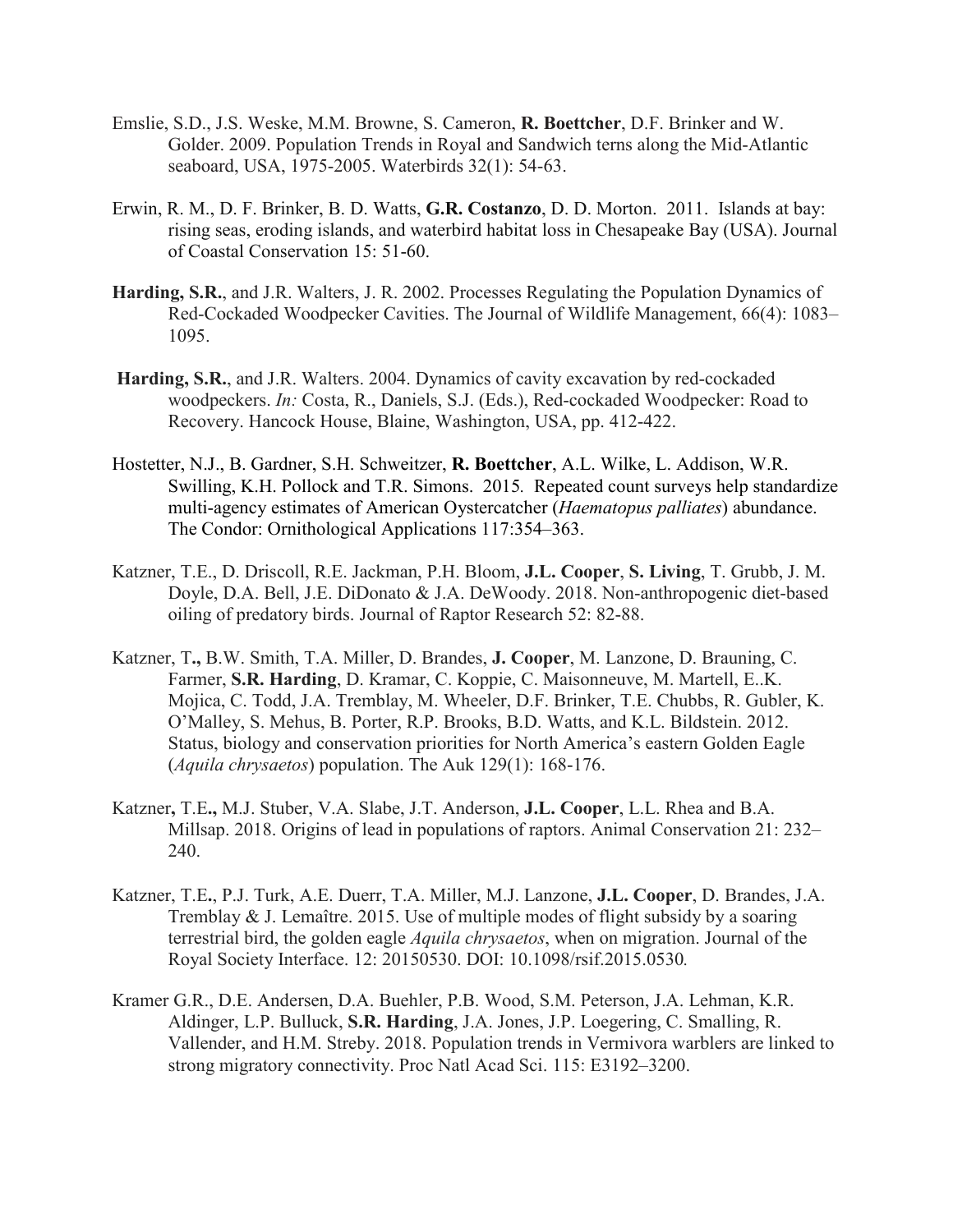- Emslie, S.D., J.S. Weske, M.M. Browne, S. Cameron, **R. Boettcher**, D.F. Brinker and W. Golder. 2009. Population Trends in Royal and Sandwich terns along the Mid-Atlantic seaboard, USA, 1975-2005. Waterbirds 32(1): 54-63.
- Erwin, R. M., D. F. Brinker, B. D. Watts, **G.R. Costanzo**, D. D. Morton. 2011. Islands at bay: rising seas, eroding islands, and waterbird habitat loss in Chesapeake Bay (USA). Journal of Coastal Conservation 15: 51-60.
- **Harding, S.R.**, and J.R. Walters, J. R. 2002. Processes Regulating the Population Dynamics of Red-Cockaded Woodpecker Cavities. The Journal of Wildlife Management, 66(4): 1083– 1095.
- **Harding, S.R.**, and J.R. Walters. 2004. Dynamics of cavity excavation by red-cockaded woodpeckers. *In:* Costa, R., Daniels, S.J. (Eds.), Red-cockaded Woodpecker: Road to Recovery. Hancock House, Blaine, Washington, USA, pp. 412-422.
- Hostetter, N.J., B. Gardner, S.H. Schweitzer, **R. Boettcher**, A.L. Wilke, L. Addison, W.R. Swilling, K.H. Pollock and T.R. Simons. 2015*.* Repeated count surveys help standardize multi-agency estimates of American Oystercatcher (*Haematopus palliates*) abundance. The Condor: Ornithological Applications 117:354–363.
- Katzner, T.E., D. Driscoll, R.E. Jackman, P.H. Bloom, **J.L. Cooper**, **S. Living**, T. Grubb, J. M. Doyle, D.A. Bell, J.E. DiDonato & J.A. DeWoody. 2018. Non-anthropogenic diet-based oiling of predatory birds. Journal of Raptor Research 52: 82-88.
- Katzner, T**.,** B.W. Smith, T.A. Miller, D. Brandes, **J. Cooper**, M. Lanzone, D. Brauning, C. Farmer, **S.R. Harding**, D. Kramar, C. Koppie, C. Maisonneuve, M. Martell, E..K. Mojica, C. Todd, J.A. Tremblay, M. Wheeler, D.F. Brinker, T.E. Chubbs, R. Gubler, K. O'Malley, S. Mehus, B. Porter, R.P. Brooks, B.D. Watts, and K.L. Bildstein. 2012. Status, biology and conservation priorities for North America's eastern Golden Eagle (*Aquila chrysaetos*) population. The Auk 129(1): 168-176.
- Katzner**,** T.E**.,** M.J. Stuber, V.A. Slabe, J.T. Anderson, **J.L. Cooper**, L.L. Rhea and B.A. Millsap. 2018. Origins of lead in populations of raptors. Animal Conservation 21: 232– 240.
- Katzner, T.E**.**, P.J. Turk, A.E. Duerr, T.A. Miller, M.J. Lanzone, **J.L. Cooper**, D. Brandes, J.A. Tremblay & J. Lemaître. 2015. Use of multiple modes of flight subsidy by a soaring terrestrial bird, the golden eagle *Aquila chrysaetos*, when on migration. Journal of the Royal Society Interface. 12: 20150530. DOI: 10.1098/rsif.2015.0530*.*
- Kramer G.R., D.E. Andersen, D.A. Buehler, P.B. Wood, S.M. Peterson, J.A. Lehman, K.R. Aldinger, L.P. Bulluck, **S.R. Harding**, J.A. Jones, J.P. Loegering, C. Smalling, R. Vallender, and H.M. Streby. 2018. Population trends in Vermivora warblers are linked to strong migratory connectivity. Proc Natl Acad Sci. 115: E3192–3200.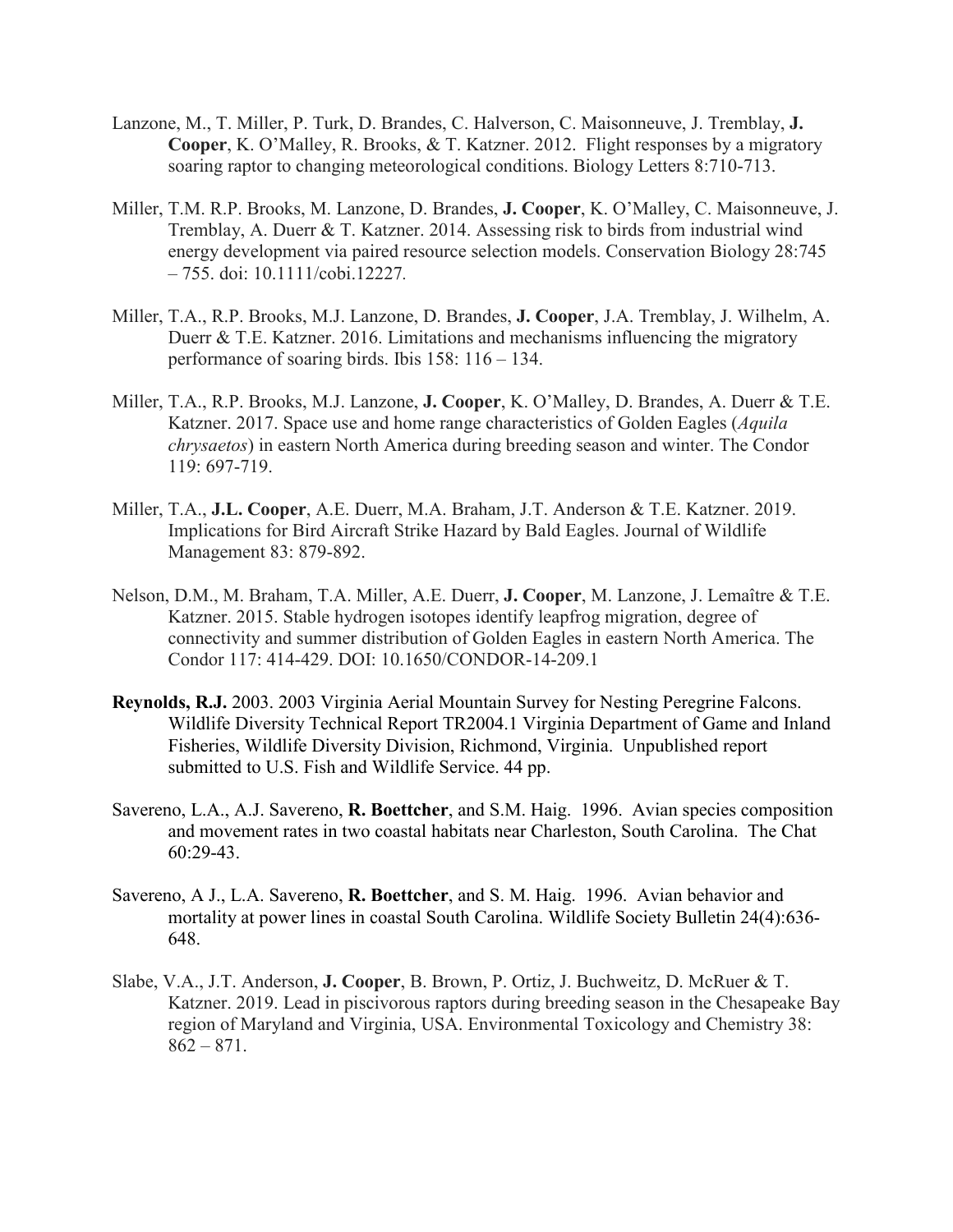- Lanzone, M., T. Miller, P. Turk, D. Brandes, C. Halverson, C. Maisonneuve, J. Tremblay, **J. Cooper**, K. O'Malley, R. Brooks, & T. Katzner. 2012. Flight responses by a migratory soaring raptor to changing meteorological conditions. Biology Letters 8:710-713.
- Miller, T.M. R.P. Brooks, M. Lanzone, D. Brandes, **J. Cooper**, K. O'Malley, C. Maisonneuve, J. Tremblay, A. Duerr & T. Katzner. 2014. Assessing risk to birds from industrial wind energy development via paired resource selection models. Conservation Biology 28:745 – 755. doi: 10.1111/cobi.12227*.*
- Miller, T.A., R.P. Brooks, M.J. Lanzone, D. Brandes, **J. Cooper**, J.A. Tremblay, J. Wilhelm, A. Duerr & T.E. Katzner. 2016. Limitations and mechanisms influencing the migratory performance of soaring birds. Ibis 158: 116 – 134.
- Miller, T.A., R.P. Brooks, M.J. Lanzone, **J. Cooper**, K. O'Malley, D. Brandes, A. Duerr & T.E. Katzner. 2017. Space use and home range characteristics of Golden Eagles (*Aquila chrysaetos*) in eastern North America during breeding season and winter. The Condor 119: 697-719.
- Miller, T.A., **J.L. Cooper**, A.E. Duerr, M.A. Braham, J.T. Anderson & T.E. Katzner. 2019. Implications for Bird Aircraft Strike Hazard by Bald Eagles. Journal of Wildlife Management 83: 879-892.
- Nelson, D.M., M. Braham, T.A. Miller, A.E. Duerr, **J. Cooper**, M. Lanzone, J. Lemaître & T.E. Katzner. 2015. Stable hydrogen isotopes identify leapfrog migration, degree of connectivity and summer distribution of Golden Eagles in eastern North America. The Condor 117: 414-429. DOI: 10.1650/CONDOR-14-209.1
- **Reynolds, R.J.** 2003. 2003 Virginia Aerial Mountain Survey for Nesting Peregrine Falcons. Wildlife Diversity Technical Report TR2004.1 Virginia Department of Game and Inland Fisheries, Wildlife Diversity Division, Richmond, Virginia. Unpublished report submitted to U.S. Fish and Wildlife Service. 44 pp.
- Savereno, L.A., A.J. Savereno, **R. Boettcher**, and S.M. Haig. 1996. Avian species composition and movement rates in two coastal habitats near Charleston, South Carolina. The Chat 60:29-43.
- Savereno, A J., L.A. Savereno, **R. Boettcher**, and S. M. Haig. 1996. Avian behavior and mortality at power lines in coastal South Carolina. Wildlife Society Bulletin 24(4):636- 648.
- Slabe, V.A., J.T. Anderson, **J. Cooper**, B. Brown, P. Ortiz, J. Buchweitz, D. McRuer & T. Katzner. 2019. Lead in piscivorous raptors during breeding season in the Chesapeake Bay region of Maryland and Virginia, USA. Environmental Toxicology and Chemistry 38:  $862 - 871.$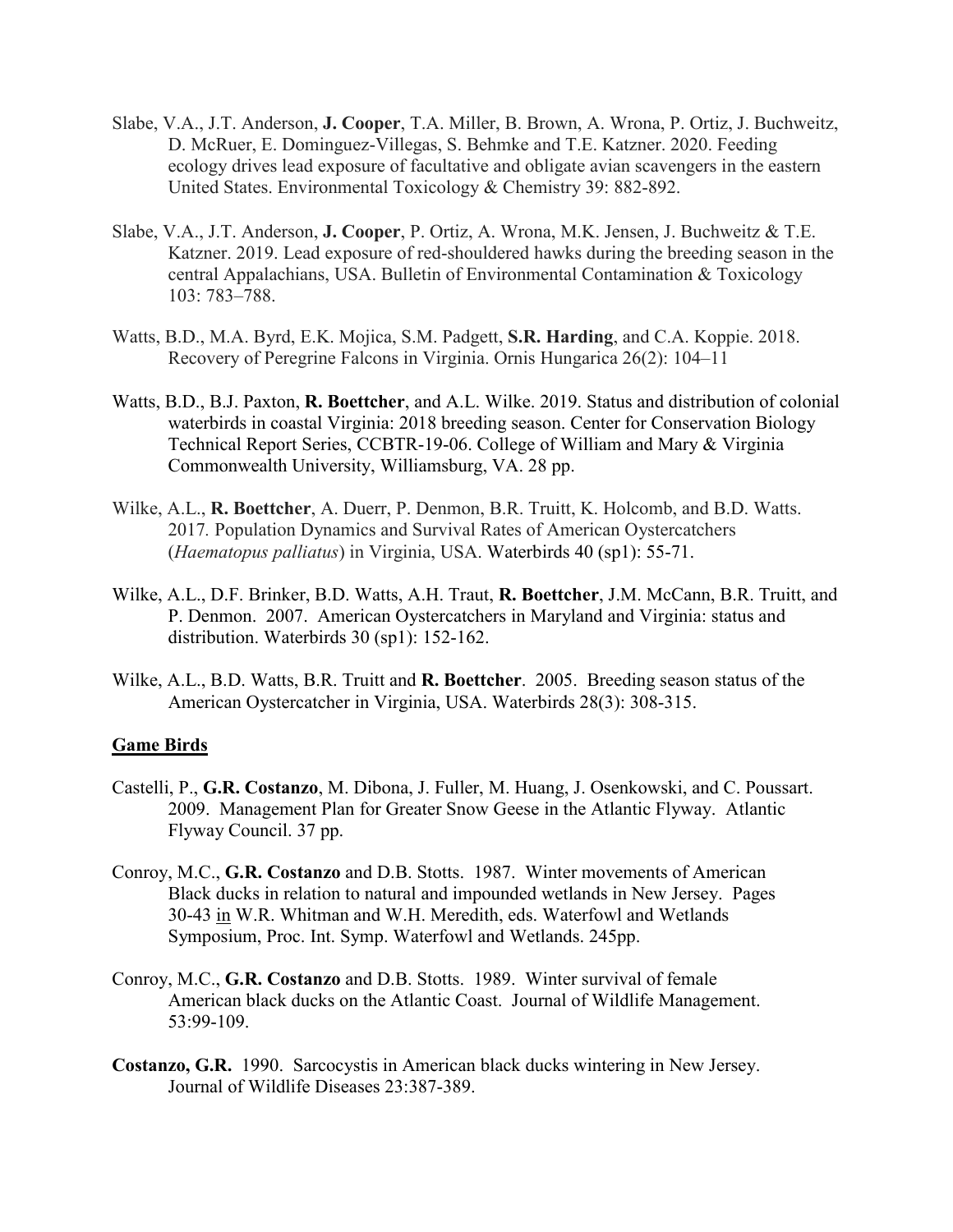- Slabe, V.A., J.T. Anderson, **J. Cooper**, T.A. Miller, B. Brown, A. Wrona, P. Ortiz, J. Buchweitz, D. McRuer, E. Dominguez-Villegas, S. Behmke and T.E. Katzner. 2020. Feeding ecology drives lead exposure of facultative and obligate avian scavengers in the eastern United States. Environmental Toxicology & Chemistry 39: 882-892.
- Slabe, V.A., J.T. Anderson, **J. Cooper**, P. Ortiz, A. Wrona, M.K. Jensen, J. Buchweitz & T.E. Katzner. 2019. Lead exposure of red-shouldered hawks during the breeding season in the central Appalachians, USA. Bulletin of Environmental Contamination & Toxicology 103: 783–788.
- Watts, B.D., M.A. Byrd, E.K. Mojica, S.M. Padgett, **S.R. Harding**, and C.A. Koppie. 2018. Recovery of Peregrine Falcons in Virginia. Ornis Hungarica 26(2): 104–11
- Watts, B.D., B.J. Paxton, **R. Boettcher**, and A.L. Wilke. 2019. Status and distribution of colonial waterbirds in coastal Virginia: 2018 breeding season. Center for Conservation Biology Technical Report Series, CCBTR-19-06. College of William and Mary & Virginia Commonwealth University, Williamsburg, VA. 28 pp.
- Wilke, A.L., **R. Boettcher**, A. Duerr, P. Denmon, B.R. Truitt, K. Holcomb, and B.D. Watts. 2017*.* Population Dynamics and Survival Rates of American Oystercatchers (*Haematopus palliatus*) in Virginia, USA. Waterbirds 40 (sp1): 55-71.
- Wilke, A.L., D.F. Brinker, B.D. Watts, A.H. Traut, **R. Boettcher**, J.M. McCann, B.R. Truitt, and P. Denmon. 2007. American Oystercatchers in Maryland and Virginia: status and distribution. Waterbirds 30 (sp1): 152‐162.
- Wilke, A.L., B.D. Watts, B.R. Truitt and **R. Boettcher**. 2005. Breeding season status of the American Oystercatcher in Virginia, USA. Waterbirds 28(3): 308-315.

#### **Game Birds**

- Castelli, P., **G.R. Costanzo**, M. Dibona, J. Fuller, M. Huang, J. Osenkowski, and C. Poussart. 2009. Management Plan for Greater Snow Geese in the Atlantic Flyway. Atlantic Flyway Council. 37 pp.
- Conroy, M.C., **G.R. Costanzo** and D.B. Stotts. 1987. Winter movements of American Black ducks in relation to natural and impounded wetlands in New Jersey. Pages 30-43 in W.R. Whitman and W.H. Meredith, eds. Waterfowl and Wetlands Symposium, Proc. Int. Symp. Waterfowl and Wetlands. 245pp.
- Conroy, M.C., **G.R. Costanzo** and D.B. Stotts. 1989. Winter survival of female American black ducks on the Atlantic Coast. Journal of Wildlife Management. 53:99-109.
- **Costanzo, G.R.** 1990. Sarcocystis in American black ducks wintering in New Jersey. Journal of Wildlife Diseases 23:387-389.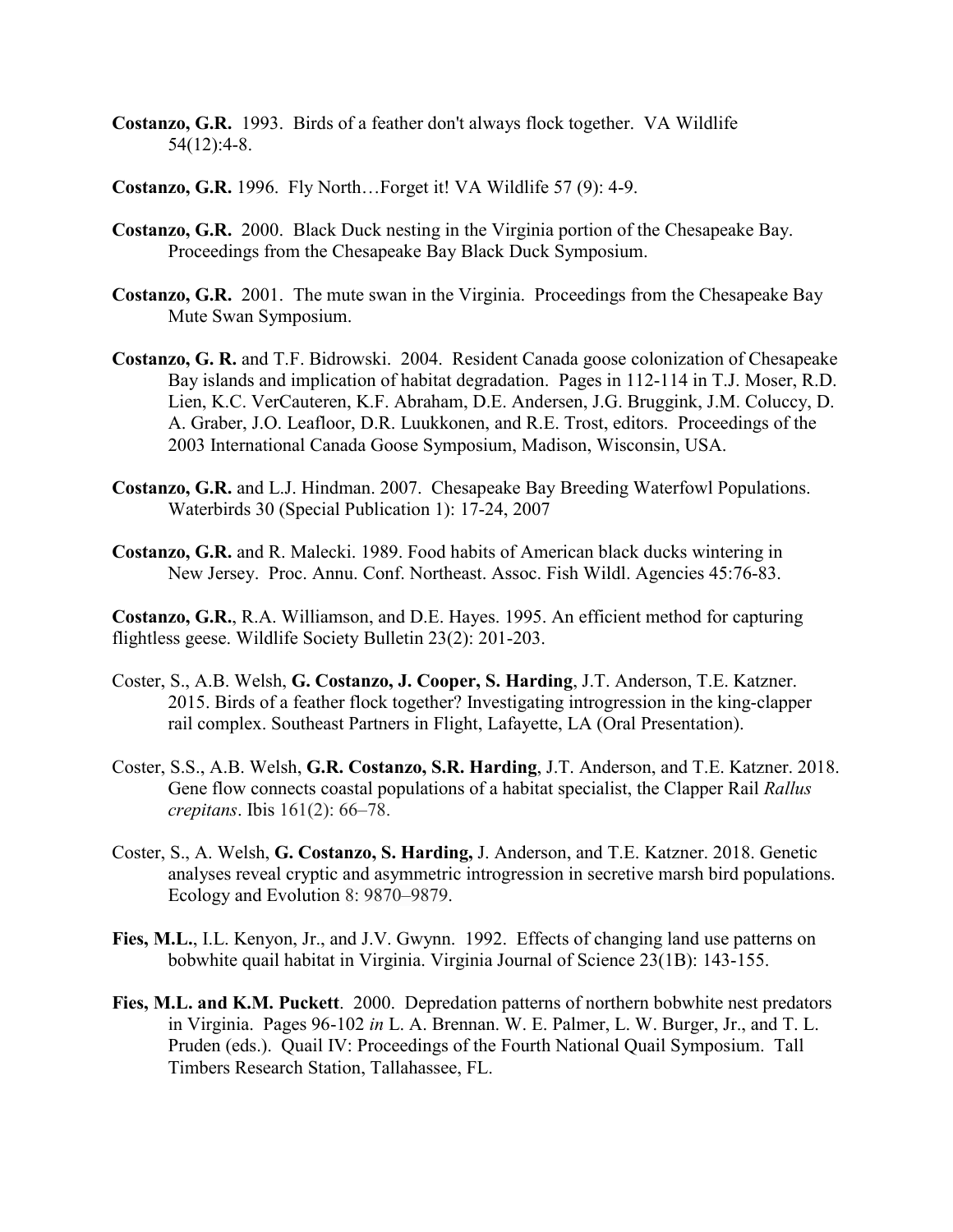- **Costanzo, G.R.** 1993. Birds of a feather don't always flock together. VA Wildlife 54(12):4-8.
- **Costanzo, G.R.** 1996. Fly North…Forget it! VA Wildlife 57 (9): 4-9.
- **Costanzo, G.R.** 2000. Black Duck nesting in the Virginia portion of the Chesapeake Bay. Proceedings from the Chesapeake Bay Black Duck Symposium.
- **Costanzo, G.R.** 2001. The mute swan in the Virginia. Proceedings from the Chesapeake Bay Mute Swan Symposium.
- **Costanzo, G. R.** and T.F. Bidrowski. 2004. Resident Canada goose colonization of Chesapeake Bay islands and implication of habitat degradation. Pages in 112-114 in T.J. Moser, R.D. Lien, K.C. VerCauteren, K.F. Abraham, D.E. Andersen, J.G. Bruggink, J.M. Coluccy, D. A. Graber, J.O. Leafloor, D.R. Luukkonen, and R.E. Trost, editors. Proceedings of the 2003 International Canada Goose Symposium, Madison, Wisconsin, USA.
- **Costanzo, G.R.** and L.J. Hindman. 2007. Chesapeake Bay Breeding Waterfowl Populations. Waterbirds 30 (Special Publication 1): 17-24, 2007
- **Costanzo, G.R.** and R. Malecki. 1989. Food habits of American black ducks wintering in New Jersey. Proc. Annu. Conf. Northeast. Assoc. Fish Wildl. Agencies 45:76-83.
- **Costanzo, G.R.**, R.A. Williamson, and D.E. Hayes. 1995. An efficient method for capturing flightless geese. Wildlife Society Bulletin 23(2): 201-203.
- Coster, S., A.B. Welsh, **G. Costanzo, J. Cooper, S. Harding**, J.T. Anderson, T.E. Katzner. 2015. Birds of a feather flock together? Investigating introgression in the king-clapper rail complex. Southeast Partners in Flight, Lafayette, LA (Oral Presentation).
- Coster, S.S., A.B. Welsh, **G.R. Costanzo, S.R. Harding**, J.T. Anderson, and T.E. Katzner. 2018. Gene flow connects coastal populations of a habitat specialist, the Clapper Rail *Rallus crepitans*. Ibis 161(2): 66–78.
- Coster, S., A. Welsh, **G. Costanzo, S. Harding,** J. Anderson, and T.E. Katzner. 2018. Genetic analyses reveal cryptic and asymmetric introgression in secretive marsh bird populations. Ecology and Evolution 8: 9870–9879.
- **Fies, M.L.**, I.L. Kenyon, Jr., and J.V. Gwynn. 1992. Effects of changing land use patterns on bobwhite quail habitat in Virginia. Virginia Journal of Science 23(1B): 143-155.
- **Fies, M.L. and K.M. Puckett**. 2000. Depredation patterns of northern bobwhite nest predators in Virginia. Pages 96-102 *in* L. A. Brennan. W. E. Palmer, L. W. Burger, Jr., and T. L. Pruden (eds.). Quail IV: Proceedings of the Fourth National Quail Symposium. Tall Timbers Research Station, Tallahassee, FL.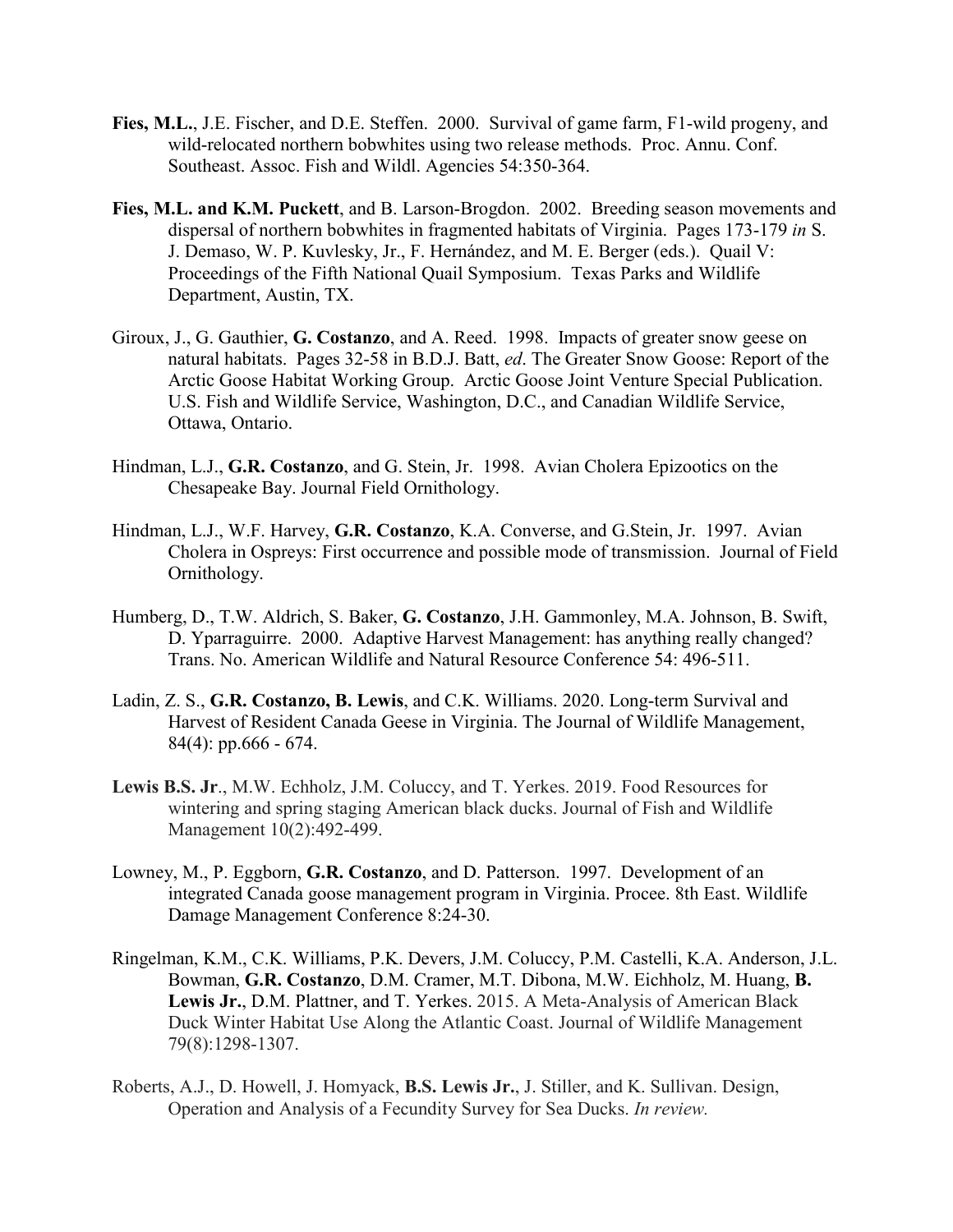- **Fies, M.L.**, J.E. Fischer, and D.E. Steffen. 2000. Survival of game farm, F1-wild progeny, and wild-relocated northern bobwhites using two release methods. Proc. Annu. Conf. Southeast. Assoc. Fish and Wildl. Agencies 54:350-364.
- **Fies, M.L. and K.M. Puckett**, and B. Larson-Brogdon. 2002. Breeding season movements and dispersal of northern bobwhites in fragmented habitats of Virginia. Pages 173-179 *in* S. J. Demaso, W. P. Kuvlesky, Jr., F. Hernández, and M. E. Berger (eds.). Quail V: Proceedings of the Fifth National Quail Symposium. Texas Parks and Wildlife Department, Austin, TX.
- Giroux, J., G. Gauthier, **G. Costanzo**, and A. Reed. 1998. Impacts of greater snow geese on natural habitats. Pages 32-58 in B.D.J. Batt, *ed*. The Greater Snow Goose: Report of the Arctic Goose Habitat Working Group. Arctic Goose Joint Venture Special Publication. U.S. Fish and Wildlife Service, Washington, D.C., and Canadian Wildlife Service, Ottawa, Ontario.
- Hindman, L.J., **G.R. Costanzo**, and G. Stein, Jr. 1998. Avian Cholera Epizootics on the Chesapeake Bay. Journal Field Ornithology.
- Hindman, L.J., W.F. Harvey, **G.R. Costanzo**, K.A. Converse, and G.Stein, Jr. 1997. Avian Cholera in Ospreys: First occurrence and possible mode of transmission. Journal of Field Ornithology.
- Humberg, D., T.W. Aldrich, S. Baker, **G. Costanzo**, J.H. Gammonley, M.A. Johnson, B. Swift, D. Yparraguirre. 2000. Adaptive Harvest Management: has anything really changed? Trans. No. American Wildlife and Natural Resource Conference 54: 496-511.
- Ladin, Z. S., **G.R. Costanzo, B. Lewis**, and C.K. Williams. 2020. Long-term Survival and Harvest of Resident Canada Geese in Virginia. The Journal of Wildlife Management, 84(4): pp.666 - 674.
- **Lewis B.S. Jr**., M.W. Echholz, J.M. Coluccy, and T. Yerkes. 2019. Food Resources for wintering and spring staging American black ducks. Journal of Fish and Wildlife Management 10(2):492-499.
- Lowney, M., P. Eggborn, **G.R. Costanzo**, and D. Patterson. 1997. Development of an integrated Canada goose management program in Virginia. Procee. 8th East. Wildlife Damage Management Conference 8:24-30.
- Ringelman, K.M., C.K. Williams, P.K. Devers, J.M. Coluccy, P.M. Castelli, K.A. Anderson, J.L. Bowman, **G.R. Costanzo**, D.M. Cramer, M.T. Dibona, M.W. Eichholz, M. Huang, **B. Lewis Jr.**, D.M. Plattner, and T. Yerkes. 2015. A Meta-Analysis of American Black Duck Winter Habitat Use Along the Atlantic Coast. Journal of Wildlife Management 79(8):1298-1307.
- Roberts, A.J., D. Howell, J. Homyack, **B.S. Lewis Jr.**, J. Stiller, and K. Sullivan. Design, Operation and Analysis of a Fecundity Survey for Sea Ducks. *In review.*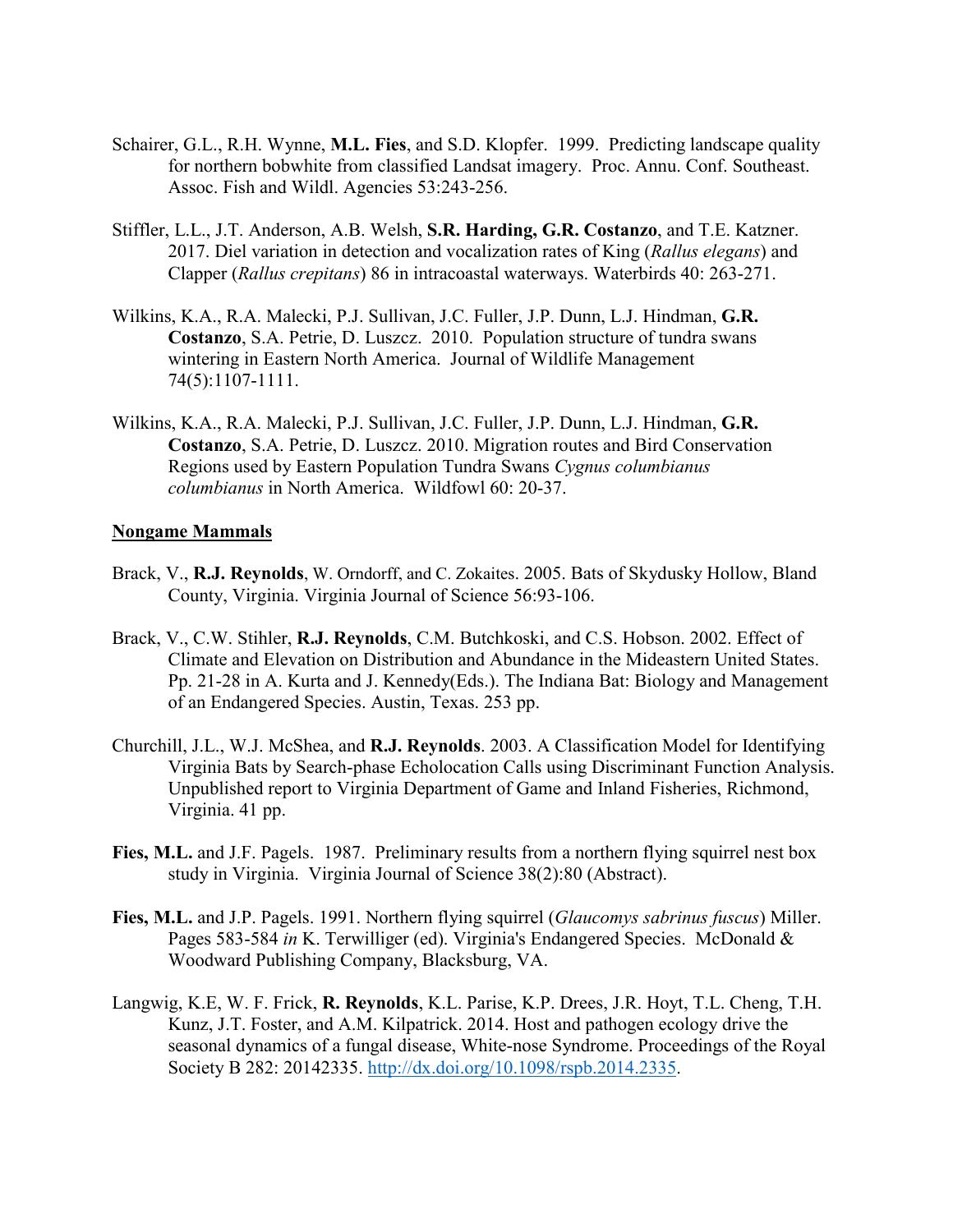- Schairer, G.L., R.H. Wynne, **M.L. Fies**, and S.D. Klopfer. 1999. Predicting landscape quality for northern bobwhite from classified Landsat imagery. Proc. Annu. Conf. Southeast. Assoc. Fish and Wildl. Agencies 53:243-256.
- Stiffler, L.L., J.T. Anderson, A.B. Welsh, **S.R. Harding, G.R. Costanzo**, and T.E. Katzner. 2017. Diel variation in detection and vocalization rates of King (*Rallus elegans*) and Clapper (*Rallus crepitans*) 86 in intracoastal waterways. Waterbirds 40: 263-271.
- Wilkins, K.A., R.A. Malecki, P.J. Sullivan, J.C. Fuller, J.P. Dunn, L.J. Hindman, **G.R. Costanzo**, S.A. Petrie, D. Luszcz. 2010. Population structure of tundra swans wintering in Eastern North America. Journal of Wildlife Management 74(5):1107-1111.
- Wilkins, K.A., R.A. Malecki, P.J. Sullivan, J.C. Fuller, J.P. Dunn, L.J. Hindman, **G.R. Costanzo**, S.A. Petrie, D. Luszcz. 2010. Migration routes and Bird Conservation Regions used by Eastern Population Tundra Swans *Cygnus columbianus columbianus* in North America. Wildfowl 60: 20-37.

#### **Nongame Mammals**

- Brack, V., **R.J. Reynolds**, W. Orndorff, and C. Zokaites. 2005. Bats of Skydusky Hollow, Bland County, Virginia. Virginia Journal of Science 56:93-106.
- Brack, V., C.W. Stihler, **R.J. Reynolds**, C.M. Butchkoski, and C.S. Hobson. 2002. Effect of Climate and Elevation on Distribution and Abundance in the Mideastern United States. Pp. 21-28 in A. Kurta and J. Kennedy(Eds.). The Indiana Bat: Biology and Management of an Endangered Species. Austin, Texas. 253 pp.
- Churchill, J.L., W.J. McShea, and **R.J. Reynolds**. 2003. A Classification Model for Identifying Virginia Bats by Search-phase Echolocation Calls using Discriminant Function Analysis. Unpublished report to Virginia Department of Game and Inland Fisheries, Richmond, Virginia. 41 pp.
- **Fies, M.L.** and J.F. Pagels. 1987. Preliminary results from a northern flying squirrel nest box study in Virginia. Virginia Journal of Science 38(2):80 (Abstract).
- **Fies, M.L.** and J.P. Pagels. 1991. Northern flying squirrel (*Glaucomys sabrinus fuscus*) Miller. Pages 583-584 *in* K. Terwilliger (ed). Virginia's Endangered Species. McDonald & Woodward Publishing Company, Blacksburg, VA.
- Langwig, K.E, W. F. Frick, **R. Reynolds**, K.L. Parise, K.P. Drees, J.R. Hoyt, T.L. Cheng, T.H. Kunz, J.T. Foster, and A.M. Kilpatrick. 2014. Host and pathogen ecology drive the seasonal dynamics of a fungal disease, White-nose Syndrome. Proceedings of the Royal Society B 282: 20142335. [http://dx.doi.org/10.1098/rspb.2014.2335.](http://dx.doi.org/10.1098/rspb.2014.2335)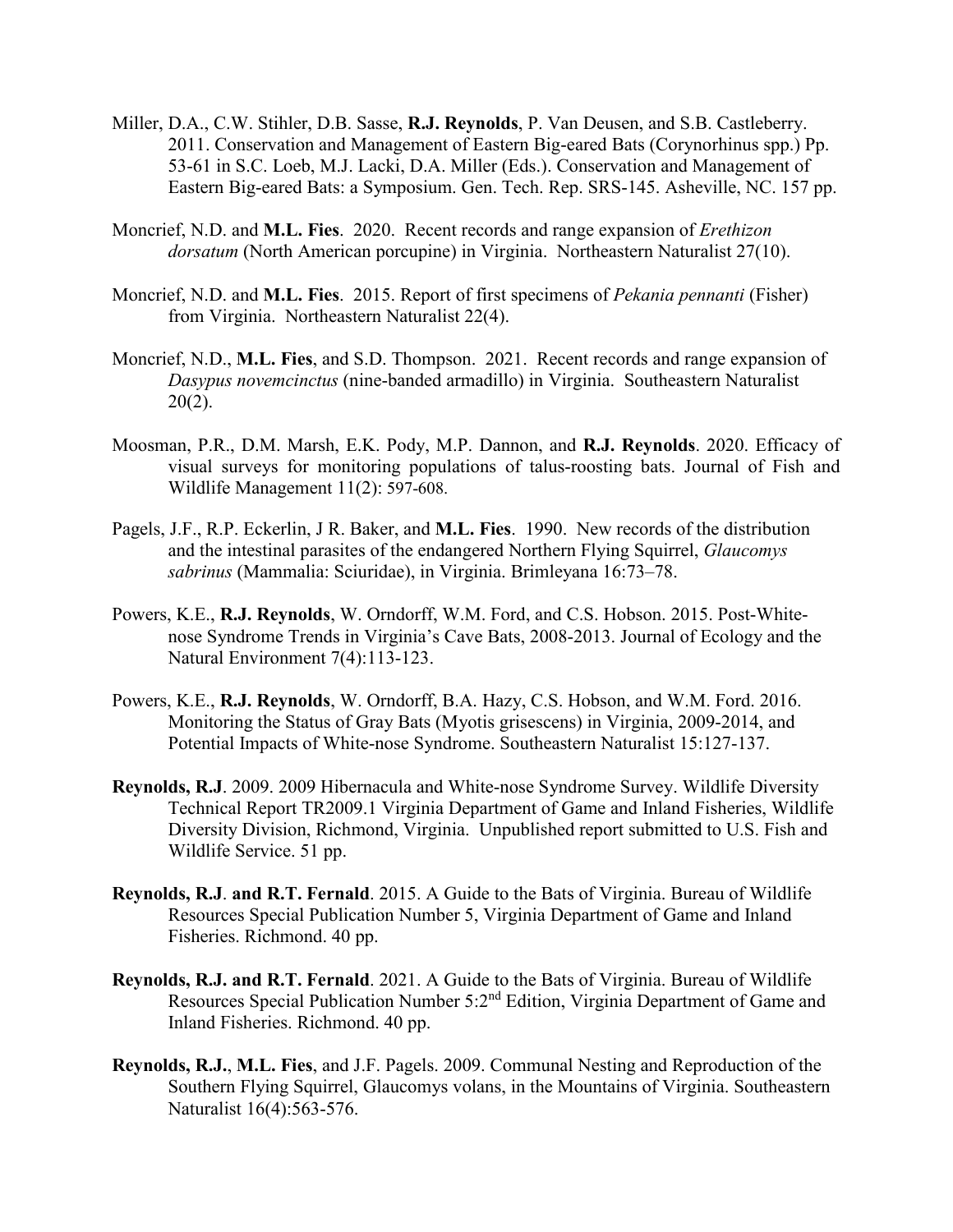- Miller, D.A., C.W. Stihler, D.B. Sasse, **R.J. Reynolds**, P. Van Deusen, and S.B. Castleberry. 2011. Conservation and Management of Eastern Big-eared Bats (Corynorhinus spp.) Pp. 53-61 in S.C. Loeb, M.J. Lacki, D.A. Miller (Eds.). Conservation and Management of Eastern Big-eared Bats: a Symposium. Gen. Tech. Rep. SRS-145. Asheville, NC. 157 pp.
- Moncrief, N.D. and **M.L. Fies**. 2020. Recent records and range expansion of *Erethizon dorsatum* (North American porcupine) in Virginia. Northeastern Naturalist 27(10).
- Moncrief, N.D. and **M.L. Fies**. 2015. Report of first specimens of *Pekania pennanti* (Fisher) from Virginia. Northeastern Naturalist 22(4).
- Moncrief, N.D., **M.L. Fies**, and S.D. Thompson. 2021. Recent records and range expansion of *Dasypus novemcinctus* (nine-banded armadillo) in Virginia. Southeastern Naturalist  $20(2)$ .
- Moosman, P.R., D.M. Marsh, E.K. Pody, M.P. Dannon, and **R.J. Reynolds**. 2020. Efficacy of visual surveys for monitoring populations of talus-roosting bats. Journal of Fish and Wildlife Management 11(2): 597-608.
- Pagels, J.F., R.P. Eckerlin, J R. Baker, and **M.L. Fies**. 1990. New records of the distribution and the intestinal parasites of the endangered Northern Flying Squirrel, *Glaucomys sabrinus* (Mammalia: Sciuridae), in Virginia. Brimleyana 16:73–78.
- Powers, K.E., **R.J. Reynolds**, W. Orndorff, W.M. Ford, and C.S. Hobson. 2015. Post-Whitenose Syndrome Trends in Virginia's Cave Bats, 2008-2013. Journal of Ecology and the Natural Environment 7(4):113-123.
- Powers, K.E., **R.J. Reynolds**, W. Orndorff, B.A. Hazy, C.S. Hobson, and W.M. Ford. 2016. Monitoring the Status of Gray Bats (Myotis grisescens) in Virginia, 2009-2014, and Potential Impacts of White-nose Syndrome. Southeastern Naturalist 15:127-137.
- **Reynolds, R.J**. 2009. 2009 Hibernacula and White-nose Syndrome Survey. Wildlife Diversity Technical Report TR2009.1 Virginia Department of Game and Inland Fisheries, Wildlife Diversity Division, Richmond, Virginia. Unpublished report submitted to U.S. Fish and Wildlife Service. 51 pp.
- **Reynolds, R.J**. **and R.T. Fernald**. 2015. A Guide to the Bats of Virginia. Bureau of Wildlife Resources Special Publication Number 5, Virginia Department of Game and Inland Fisheries. Richmond. 40 pp.
- **Reynolds, R.J. and R.T. Fernald**. 2021. A Guide to the Bats of Virginia. Bureau of Wildlife Resources Special Publication Number 5:2<sup>nd</sup> Edition, Virginia Department of Game and Inland Fisheries. Richmond. 40 pp.
- **Reynolds, R.J.**, **M.L. Fies**, and J.F. Pagels. 2009. Communal Nesting and Reproduction of the Southern Flying Squirrel, Glaucomys volans, in the Mountains of Virginia. Southeastern Naturalist 16(4):563-576.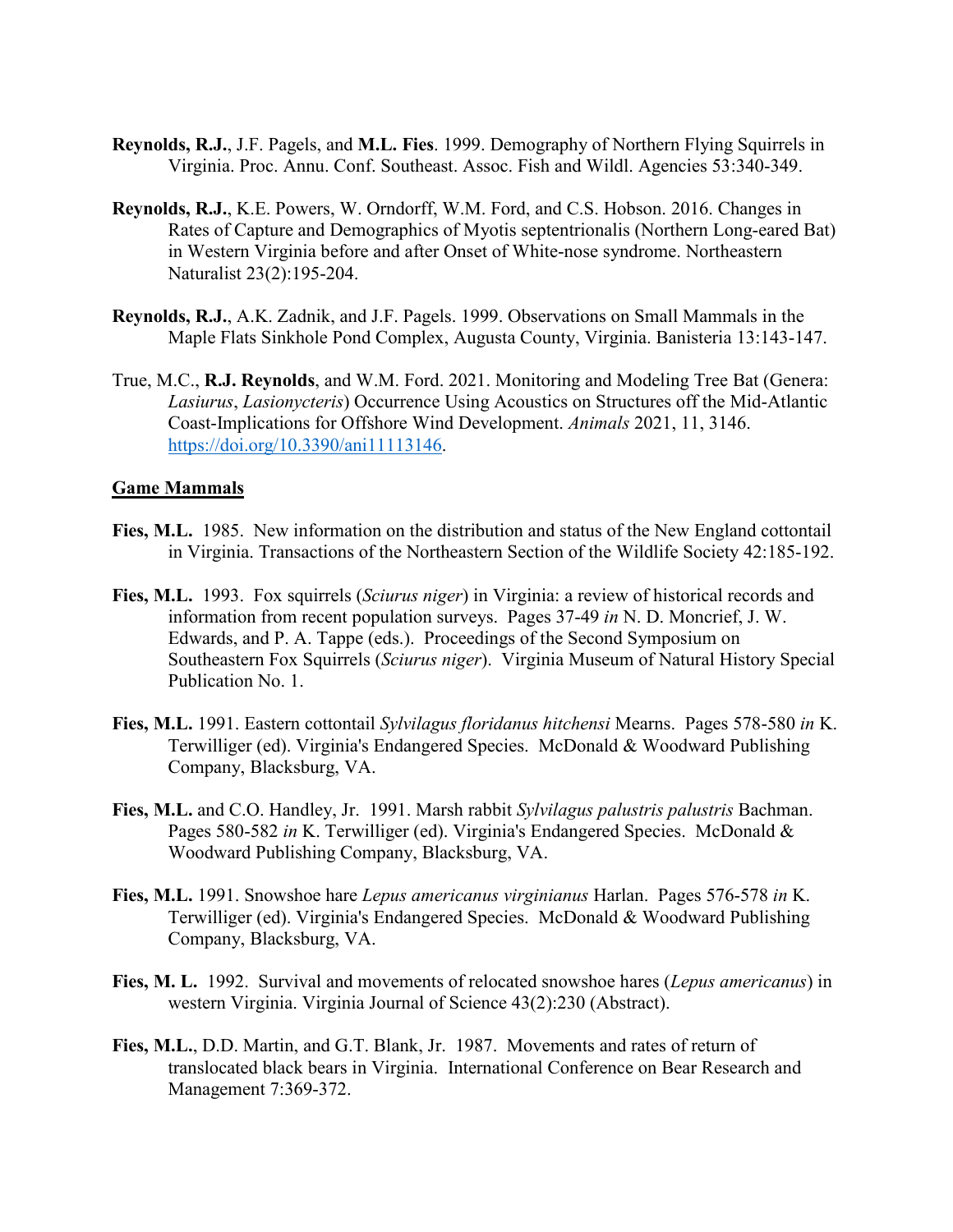- **Reynolds, R.J.**, J.F. Pagels, and **M.L. Fies**. 1999. Demography of Northern Flying Squirrels in Virginia. Proc. Annu. Conf. Southeast. Assoc. Fish and Wildl. Agencies 53:340-349.
- **Reynolds, R.J.**, K.E. Powers, W. Orndorff, W.M. Ford, and C.S. Hobson. 2016. Changes in Rates of Capture and Demographics of Myotis septentrionalis (Northern Long-eared Bat) in Western Virginia before and after Onset of White-nose syndrome. Northeastern Naturalist 23(2):195-204.
- **Reynolds, R.J.**, A.K. Zadnik, and J.F. Pagels. 1999. Observations on Small Mammals in the Maple Flats Sinkhole Pond Complex, Augusta County, Virginia. Banisteria 13:143-147.
- True, M.C., **R.J. Reynolds**, and W.M. Ford. 2021. Monitoring and Modeling Tree Bat (Genera: *Lasiurus*, *Lasionycteris*) Occurrence Using Acoustics on Structures off the Mid-Atlantic Coast-Implications for Offshore Wind Development. *Animals* 2021, 11, 3146. [https://doi.org/10.3390/ani11113146.](https://doi.org/10.3390/ani11113146)

#### **Game Mammals**

- **Fies, M.L.** 1985. New information on the distribution and status of the New England cottontail in Virginia. Transactions of the Northeastern Section of the Wildlife Society 42:185-192.
- **Fies, M.L.** 1993. Fox squirrels (*Sciurus niger*) in Virginia: a review of historical records and information from recent population surveys. Pages 37-49 *in* N. D. Moncrief, J. W. Edwards, and P. A. Tappe (eds.). Proceedings of the Second Symposium on Southeastern Fox Squirrels (*Sciurus niger*). Virginia Museum of Natural History Special Publication No. 1.
- **Fies, M.L.** 1991. Eastern cottontail *Sylvilagus floridanus hitchensi* Mearns. Pages 578-580 *in* K. Terwilliger (ed). Virginia's Endangered Species. McDonald & Woodward Publishing Company, Blacksburg, VA.
- **Fies, M.L.** and C.O. Handley, Jr. 1991. Marsh rabbit *Sylvilagus palustris palustris* Bachman. Pages 580-582 *in* K. Terwilliger (ed). Virginia's Endangered Species. McDonald & Woodward Publishing Company, Blacksburg, VA.
- **Fies, M.L.** 1991. Snowshoe hare *Lepus americanus virginianus* Harlan. Pages 576-578 *in* K. Terwilliger (ed). Virginia's Endangered Species. McDonald & Woodward Publishing Company, Blacksburg, VA.
- **Fies, M. L.** 1992. Survival and movements of relocated snowshoe hares (*Lepus americanus*) in western Virginia. Virginia Journal of Science 43(2):230 (Abstract).
- **Fies, M.L.**, D.D. Martin, and G.T. Blank, Jr. 1987. Movements and rates of return of translocated black bears in Virginia. International Conference on Bear Research and Management 7:369-372.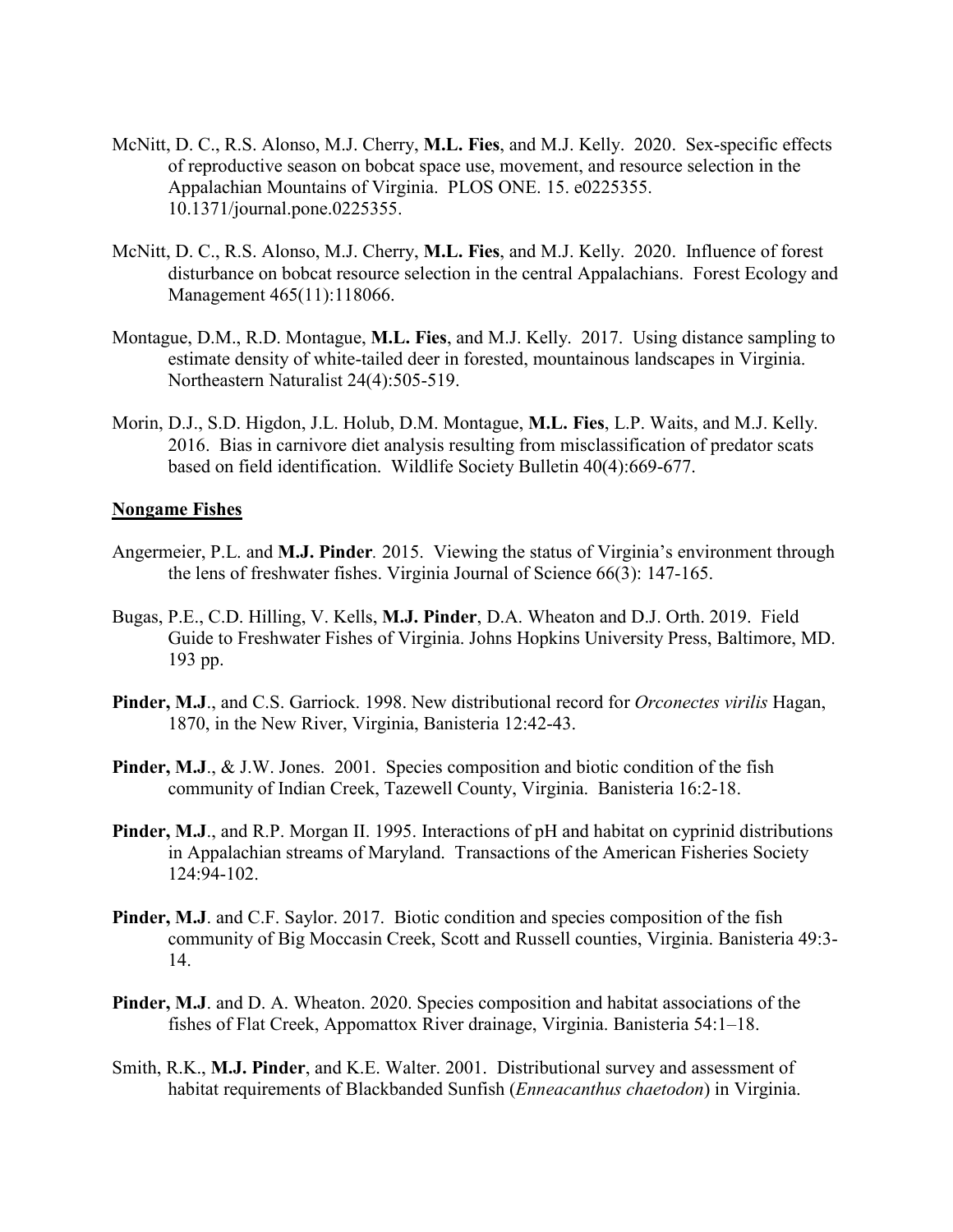- McNitt, D. C., R.S. Alonso, M.J. Cherry, **M.L. Fies**, and M.J. Kelly. 2020. Sex-specific effects of reproductive season on bobcat space use, movement, and resource selection in the Appalachian Mountains of Virginia. PLOS ONE. 15. e0225355. 10.1371/journal.pone.0225355.
- McNitt, D. C., R.S. Alonso, M.J. Cherry, **M.L. Fies**, and M.J. Kelly. 2020. Influence of forest disturbance on bobcat resource selection in the central Appalachians. Forest Ecology and Management 465(11):118066.
- Montague, D.M., R.D. Montague, **M.L. Fies**, and M.J. Kelly. 2017. Using distance sampling to estimate density of white-tailed deer in forested, mountainous landscapes in Virginia. Northeastern Naturalist 24(4):505-519.
- Morin, D.J., S.D. Higdon, J.L. Holub, D.M. Montague, **M.L. Fies**, L.P. Waits, and M.J. Kelly. 2016. Bias in carnivore diet analysis resulting from misclassification of predator scats based on field identification. Wildlife Society Bulletin 40(4):669-677.

#### **Nongame Fishes**

- Angermeier, P.L. and **M.J. Pinder***.* 2015.Viewing the status of Virginia's environment through the lens of freshwater fishes. Virginia Journal of Science 66(3): 147-165.
- Bugas, P.E., C.D. Hilling, V. Kells, **M.J. Pinder**, D.A. Wheaton and D.J. Orth. 2019. Field Guide to Freshwater Fishes of Virginia. Johns Hopkins University Press, Baltimore, MD. 193 pp.
- **Pinder, M.J**., and C.S. Garriock. 1998. New distributional record for *Orconectes virilis* Hagan, 1870, in the New River, Virginia, Banisteria 12:42-43.
- **Pinder, M.J., & J.W. Jones. 2001. Species composition and biotic condition of the fish** community of Indian Creek, Tazewell County, Virginia. Banisteria 16:2-18.
- **Pinder, M.J**., and R.P. Morgan II. 1995. Interactions of pH and habitat on cyprinid distributions in Appalachian streams of Maryland. Transactions of the American Fisheries Society 124:94-102.
- **Pinder, M.J**. and C.F. Saylor. 2017. Biotic condition and species composition of the fish community of Big Moccasin Creek, Scott and Russell counties, Virginia. Banisteria 49:3- 14.
- **Pinder, M.J**. and D. A. Wheaton. 2020. Species composition and habitat associations of the fishes of Flat Creek, Appomattox River drainage, Virginia. Banisteria 54:1–18.
- Smith, R.K., **M.J. Pinder**, and K.E. Walter. 2001. Distributional survey and assessment of habitat requirements of Blackbanded Sunfish (*Enneacanthus chaetodon*) in Virginia.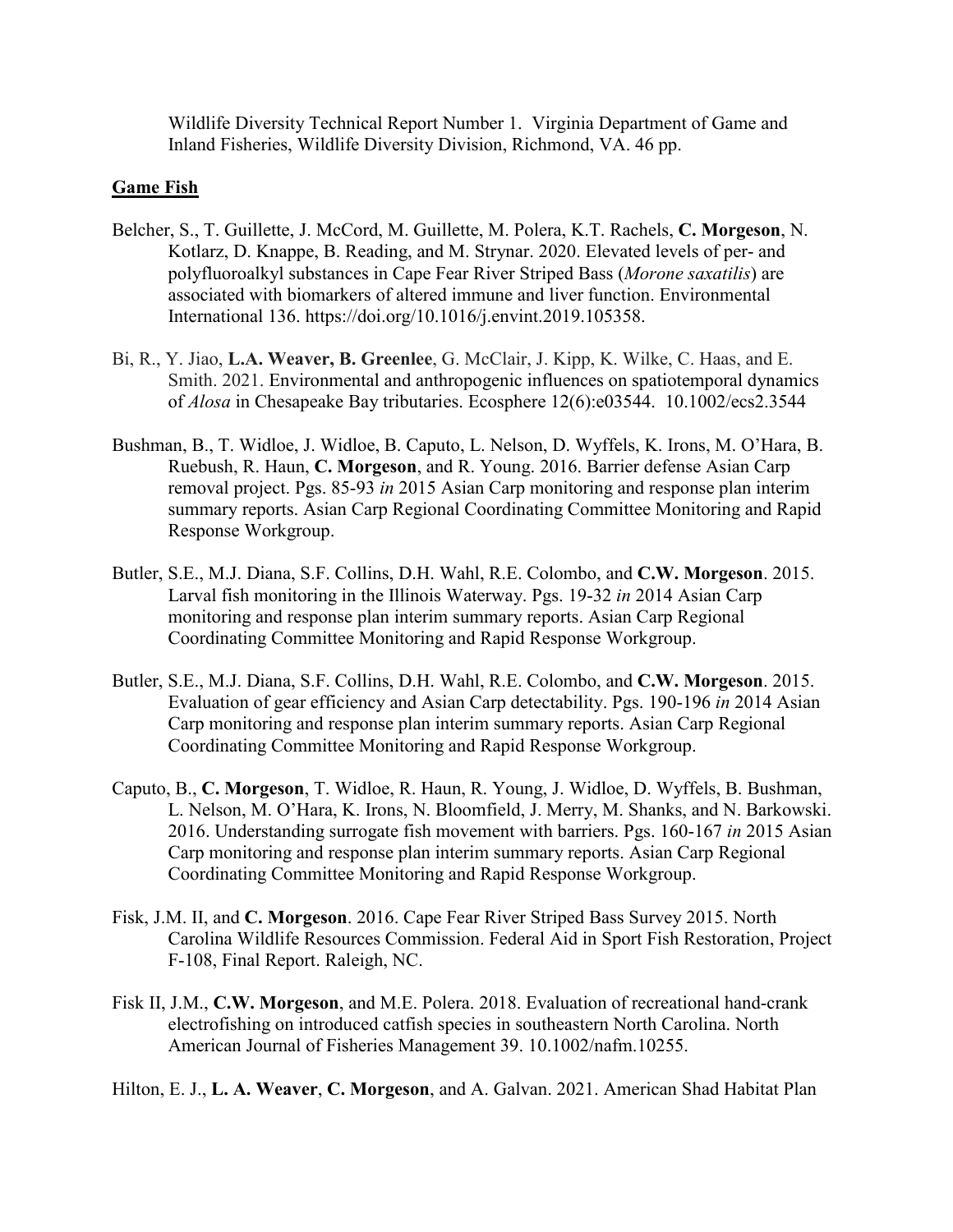Wildlife Diversity Technical Report Number 1. Virginia Department of Game and Inland Fisheries, Wildlife Diversity Division, Richmond, VA. 46 pp.

# **Game Fish**

- Belcher, S., T. Guillette, J. McCord, M. Guillette, M. Polera, K.T. Rachels, **C. Morgeson**, N. Kotlarz, D. Knappe, B. Reading, and M. Strynar. 2020. Elevated levels of per- and polyfluoroalkyl substances in Cape Fear River Striped Bass (*Morone saxatilis*) are associated with biomarkers of altered immune and liver function. Environmental International 136. https://doi.org/10.1016/j.envint.2019.105358.
- Bi, R., Y. Jiao, **L.A. Weaver, B. Greenlee**, G. McClair, J. Kipp, K. Wilke, C. Haas, and E. Smith. 2021. Environmental and anthropogenic influences on spatiotemporal dynamics of *Alosa* in Chesapeake Bay tributaries. Ecosphere 12(6):e03544. 10.1002/ecs2.3544
- Bushman, B., T. Widloe, J. Widloe, B. Caputo, L. Nelson, D. Wyffels, K. Irons, M. O'Hara, B. Ruebush, R. Haun, **C. Morgeson**, and R. Young. 2016. Barrier defense Asian Carp removal project. Pgs. 85-93 *in* 2015 Asian Carp monitoring and response plan interim summary reports. Asian Carp Regional Coordinating Committee Monitoring and Rapid Response Workgroup.
- Butler, S.E., M.J. Diana, S.F. Collins, D.H. Wahl, R.E. Colombo, and **C.W. Morgeson**. 2015. Larval fish monitoring in the Illinois Waterway. Pgs. 19-32 *in* 2014 Asian Carp monitoring and response plan interim summary reports. Asian Carp Regional Coordinating Committee Monitoring and Rapid Response Workgroup.
- Butler, S.E., M.J. Diana, S.F. Collins, D.H. Wahl, R.E. Colombo, and **C.W. Morgeson**. 2015. Evaluation of gear efficiency and Asian Carp detectability. Pgs. 190-196 *in* 2014 Asian Carp monitoring and response plan interim summary reports. Asian Carp Regional Coordinating Committee Monitoring and Rapid Response Workgroup.
- Caputo, B., **C. Morgeson**, T. Widloe, R. Haun, R. Young, J. Widloe, D. Wyffels, B. Bushman, L. Nelson, M. O'Hara, K. Irons, N. Bloomfield, J. Merry, M. Shanks, and N. Barkowski. 2016. Understanding surrogate fish movement with barriers. Pgs. 160-167 *in* 2015 Asian Carp monitoring and response plan interim summary reports. Asian Carp Regional Coordinating Committee Monitoring and Rapid Response Workgroup.
- Fisk, J.M. II, and **C. Morgeson**. 2016. Cape Fear River Striped Bass Survey 2015. North Carolina Wildlife Resources Commission. Federal Aid in Sport Fish Restoration, Project F-108, Final Report. Raleigh, NC.
- Fisk II, J.M., **C.W. Morgeson**, and M.E. Polera. 2018. Evaluation of recreational hand-crank electrofishing on introduced catfish species in southeastern North Carolina. North American Journal of Fisheries Management 39. 10.1002/nafm.10255.

Hilton, E. J., **L. A. Weaver**, **C. Morgeson**, and A. Galvan. 2021. American Shad Habitat Plan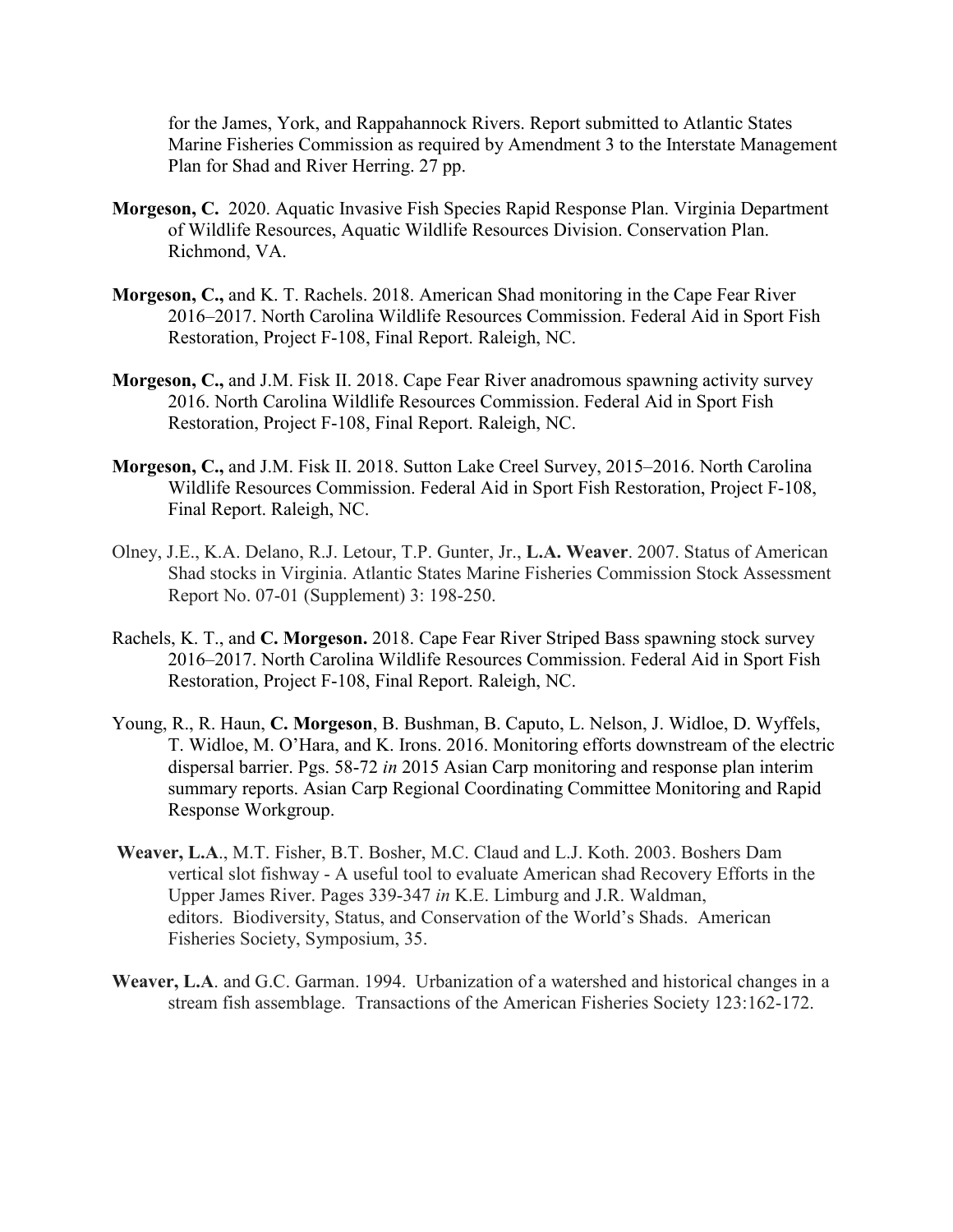for the James, York, and Rappahannock Rivers. Report submitted to Atlantic States Marine Fisheries Commission as required by Amendment 3 to the Interstate Management Plan for Shad and River Herring. 27 pp.

- **Morgeson, C.** 2020. Aquatic Invasive Fish Species Rapid Response Plan. Virginia Department of Wildlife Resources, Aquatic Wildlife Resources Division. Conservation Plan. Richmond, VA.
- **Morgeson, C.,** and K. T. Rachels. 2018. American Shad monitoring in the Cape Fear River 2016–2017. North Carolina Wildlife Resources Commission. Federal Aid in Sport Fish Restoration, Project F-108, Final Report. Raleigh, NC.
- **Morgeson, C.,** and J.M. Fisk II. 2018. Cape Fear River anadromous spawning activity survey 2016. North Carolina Wildlife Resources Commission. Federal Aid in Sport Fish Restoration, Project F-108, Final Report. Raleigh, NC.
- **Morgeson, C.,** and J.M. Fisk II. 2018. Sutton Lake Creel Survey, 2015–2016. North Carolina Wildlife Resources Commission. Federal Aid in Sport Fish Restoration, Project F-108, Final Report. Raleigh, NC.
- Olney, J.E., K.A. Delano, R.J. Letour, T.P. Gunter, Jr., **L.A. Weaver**. 2007. Status of American Shad stocks in Virginia. Atlantic States Marine Fisheries Commission Stock Assessment Report No. 07-01 (Supplement) 3: 198-250.
- Rachels, K. T., and **C. Morgeson.** 2018. Cape Fear River Striped Bass spawning stock survey 2016–2017. North Carolina Wildlife Resources Commission. Federal Aid in Sport Fish Restoration, Project F-108, Final Report. Raleigh, NC.
- Young, R., R. Haun, **C. Morgeson**, B. Bushman, B. Caputo, L. Nelson, J. Widloe, D. Wyffels, T. Widloe, M. O'Hara, and K. Irons. 2016. Monitoring efforts downstream of the electric dispersal barrier. Pgs. 58-72 *in* 2015 Asian Carp monitoring and response plan interim summary reports. Asian Carp Regional Coordinating Committee Monitoring and Rapid Response Workgroup.
- **Weaver, L.A**., M.T. Fisher, B.T. Bosher, M.C. Claud and L.J. Koth. 2003. Boshers Dam vertical slot fishway - A useful tool to evaluate American shad Recovery Efforts in the Upper James River. Pages 339-347 *in* K.E. Limburg and J.R. Waldman, editors. Biodiversity, Status, and Conservation of the World's Shads. American Fisheries Society, Symposium, 35.
- **Weaver, L.A**. and G.C. Garman. 1994. Urbanization of a watershed and historical changes in a stream fish assemblage. Transactions of the American Fisheries Society 123:162-172.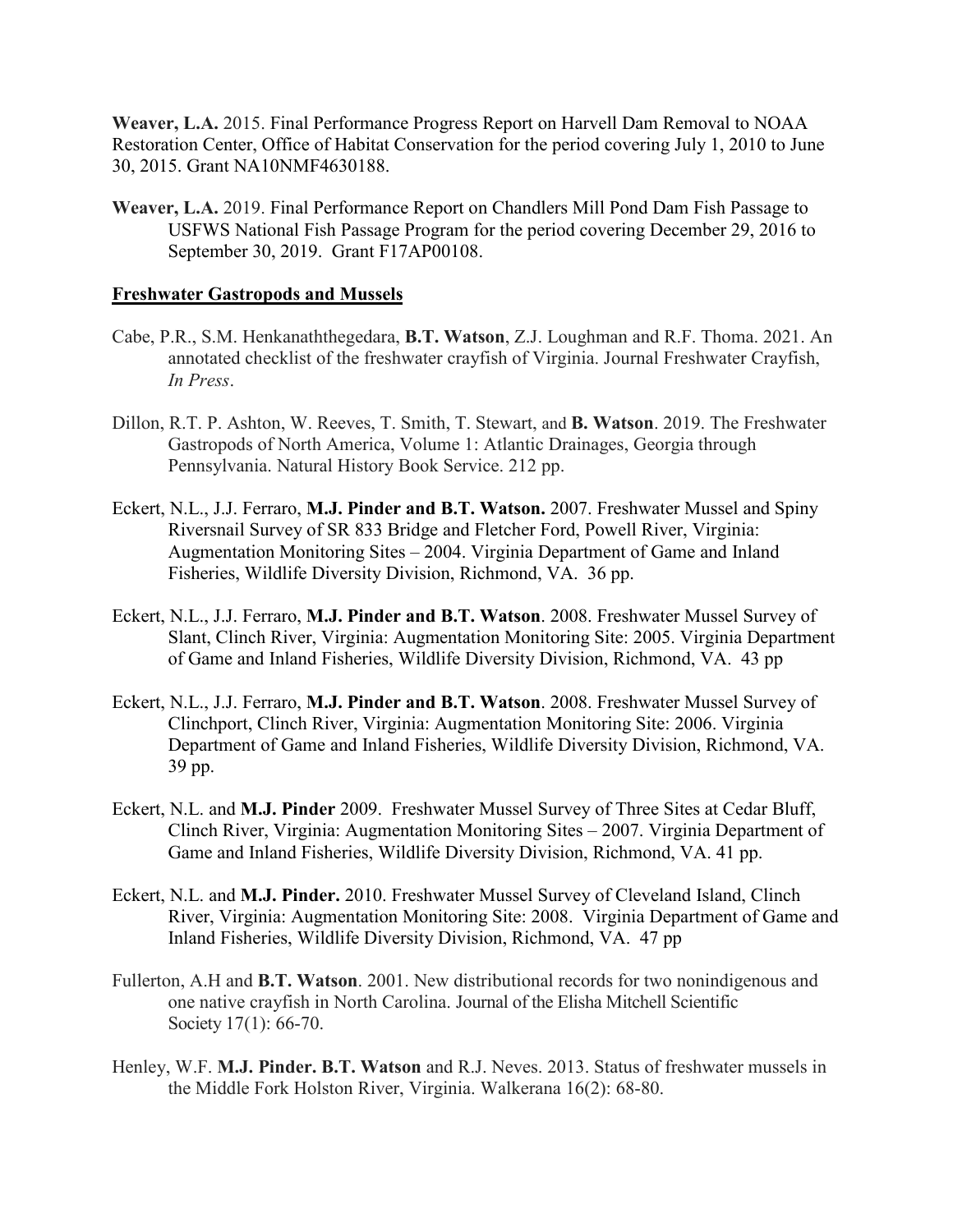**Weaver, L.A.** 2015. Final Performance Progress Report on Harvell Dam Removal to NOAA Restoration Center, Office of Habitat Conservation for the period covering July 1, 2010 to June 30, 2015. Grant NA10NMF4630188.

**Weaver, L.A.** 2019. Final Performance Report on Chandlers Mill Pond Dam Fish Passage to USFWS National Fish Passage Program for the period covering December 29, 2016 to September 30, 2019. Grant F17AP00108.

#### **Freshwater Gastropods and Mussels**

- Cabe, P.R., S.M. Henkanaththegedara, **B.T. Watson**, Z.J. Loughman and R.F. Thoma. 2021. An annotated checklist of the freshwater crayfish of Virginia. Journal Freshwater Crayfish, *In Press*.
- Dillon, R.T. P. Ashton, W. Reeves, T. Smith, T. Stewart, and **B. Watson**. 2019. The Freshwater Gastropods of North America, Volume 1: Atlantic Drainages, Georgia through Pennsylvania. Natural History Book Service. 212 pp.
- Eckert, N.L., J.J. Ferraro, **M.J. Pinder and B.T. Watson.** 2007. Freshwater Mussel and Spiny Riversnail Survey of SR 833 Bridge and Fletcher Ford, Powell River, Virginia: Augmentation Monitoring Sites – 2004. Virginia Department of Game and Inland Fisheries, Wildlife Diversity Division, Richmond, VA. 36 pp.
- Eckert, N.L., J.J. Ferraro, **M.J. Pinder and B.T. Watson**. 2008. Freshwater Mussel Survey of Slant, Clinch River, Virginia: Augmentation Monitoring Site: 2005. Virginia Department of Game and Inland Fisheries, Wildlife Diversity Division, Richmond, VA. 43 pp
- Eckert, N.L., J.J. Ferraro, **M.J. Pinder and B.T. Watson**. 2008. Freshwater Mussel Survey of Clinchport, Clinch River, Virginia: Augmentation Monitoring Site: 2006. Virginia Department of Game and Inland Fisheries, Wildlife Diversity Division, Richmond, VA. 39 pp.
- Eckert, N.L. and **M.J. Pinder** 2009. Freshwater Mussel Survey of Three Sites at Cedar Bluff, Clinch River, Virginia: Augmentation Monitoring Sites – 2007. Virginia Department of Game and Inland Fisheries, Wildlife Diversity Division, Richmond, VA. 41 pp.
- Eckert, N.L. and **M.J. Pinder.** 2010. Freshwater Mussel Survey of Cleveland Island, Clinch River, Virginia: Augmentation Monitoring Site: 2008. Virginia Department of Game and Inland Fisheries, Wildlife Diversity Division, Richmond, VA. 47 pp
- Fullerton, A.H and **B.T. Watson**. 2001. New distributional records for two nonindigenous and one native crayfish in North Carolina. Journal of the Elisha Mitchell Scientific Society 17(1): 66-70.
- Henley, W.F. **M.J. Pinder. B.T. Watson** and R.J. Neves. 2013. Status of freshwater mussels in the Middle Fork Holston River, Virginia. Walkerana 16(2): 68-80.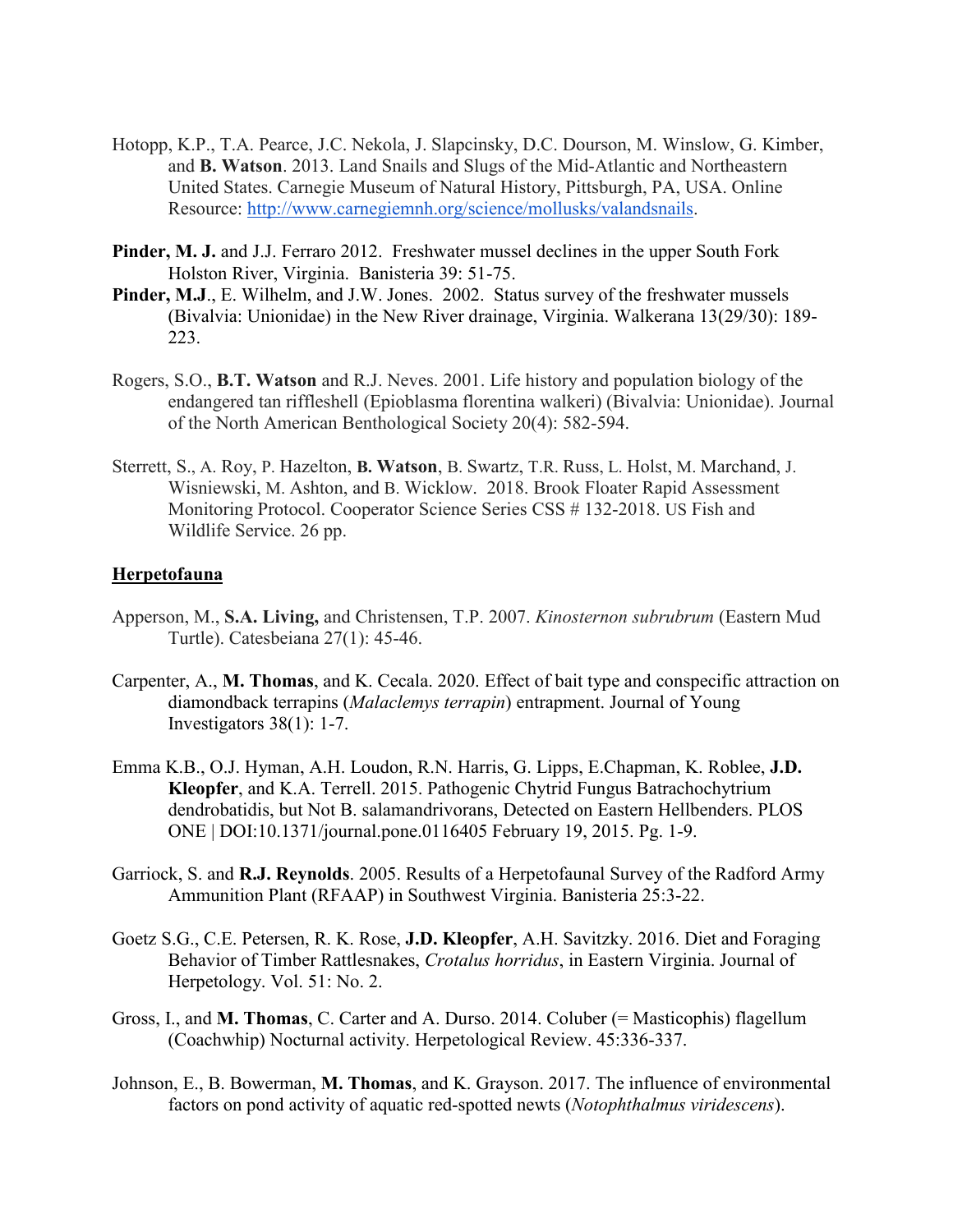- Hotopp, K.P., T.A. Pearce, J.C. Nekola, J. Slapcinsky, D.C. Dourson, M. Winslow, G. Kimber, and **B. Watson**. 2013. Land Snails and Slugs of the Mid-Atlantic and Northeastern United States. Carnegie Museum of Natural History, Pittsburgh, PA, USA. Online Resource: [http://www.carnegiemnh.org/science/mollusks/valandsnails.](http://www.carnegiemnh.org/science/mollusks/valandsnails)
- **Pinder, M. J.** and J.J. Ferraro 2012. Freshwater mussel declines in the upper South Fork Holston River, Virginia. Banisteria 39: 51-75.
- **Pinder, M.J**., E. Wilhelm, and J.W. Jones. 2002. Status survey of the freshwater mussels (Bivalvia: Unionidae) in the New River drainage, Virginia. Walkerana 13(29/30): 189- 223.
- Rogers, S.O., **B.T. Watson** and R.J. Neves. 2001. Life history and population biology of the endangered tan riffleshell (Epioblasma florentina walkeri) (Bivalvia: Unionidae). Journal of the North American Benthological Society 20(4): 582-594.
- Sterrett, S., A. Roy, P. Hazelton, **B. Watson**, B. Swartz, T.R. Russ, L. Holst, M. Marchand, J. Wisniewski, M. Ashton, and B. Wicklow. 2018. Brook Floater Rapid Assessment Monitoring Protocol. Cooperator Science Series CSS # 132-2018. US Fish and Wildlife Service. 26 pp.

# **Herpetofauna**

- Apperson, M., **S.A. Living,** and Christensen, T.P. 2007. *Kinosternon subrubrum* (Eastern Mud Turtle). Catesbeiana 27(1): 45-46.
- Carpenter, A., **M. Thomas**, and K. Cecala. 2020. Effect of bait type and conspecific attraction on diamondback terrapins (*Malaclemys terrapin*) entrapment. Journal of Young Investigators 38(1): 1-7.
- Emma K.B., O.J. Hyman, A.H. Loudon, R.N. Harris, G. Lipps, E.Chapman, K. Roblee, **J.D. Kleopfer**, and K.A. Terrell. 2015. Pathogenic Chytrid Fungus Batrachochytrium dendrobatidis, but Not B. salamandrivorans, Detected on Eastern Hellbenders. PLOS ONE | DOI:10.1371/journal.pone.0116405 February 19, 2015. Pg. 1-9.
- Garriock, S. and **R.J. Reynolds**. 2005. Results of a Herpetofaunal Survey of the Radford Army Ammunition Plant (RFAAP) in Southwest Virginia. Banisteria 25:3-22.
- Goetz S.G., C.E. Petersen, R. K. Rose, **J.D. Kleopfer**, A.H. Savitzky. 2016. Diet and Foraging Behavior of Timber Rattlesnakes, *Crotalus horridus*, in Eastern Virginia. Journal of Herpetology. Vol. 51: No. 2.
- Gross, I., and **M. Thomas**, C. Carter and A. Durso. 2014. Coluber (= Masticophis) flagellum (Coachwhip) Nocturnal activity. Herpetological Review. 45:336-337.
- Johnson, E., B. Bowerman, **M. Thomas**, and K. Grayson. 2017. The influence of environmental factors on pond activity of aquatic red-spotted newts (*Notophthalmus viridescens*).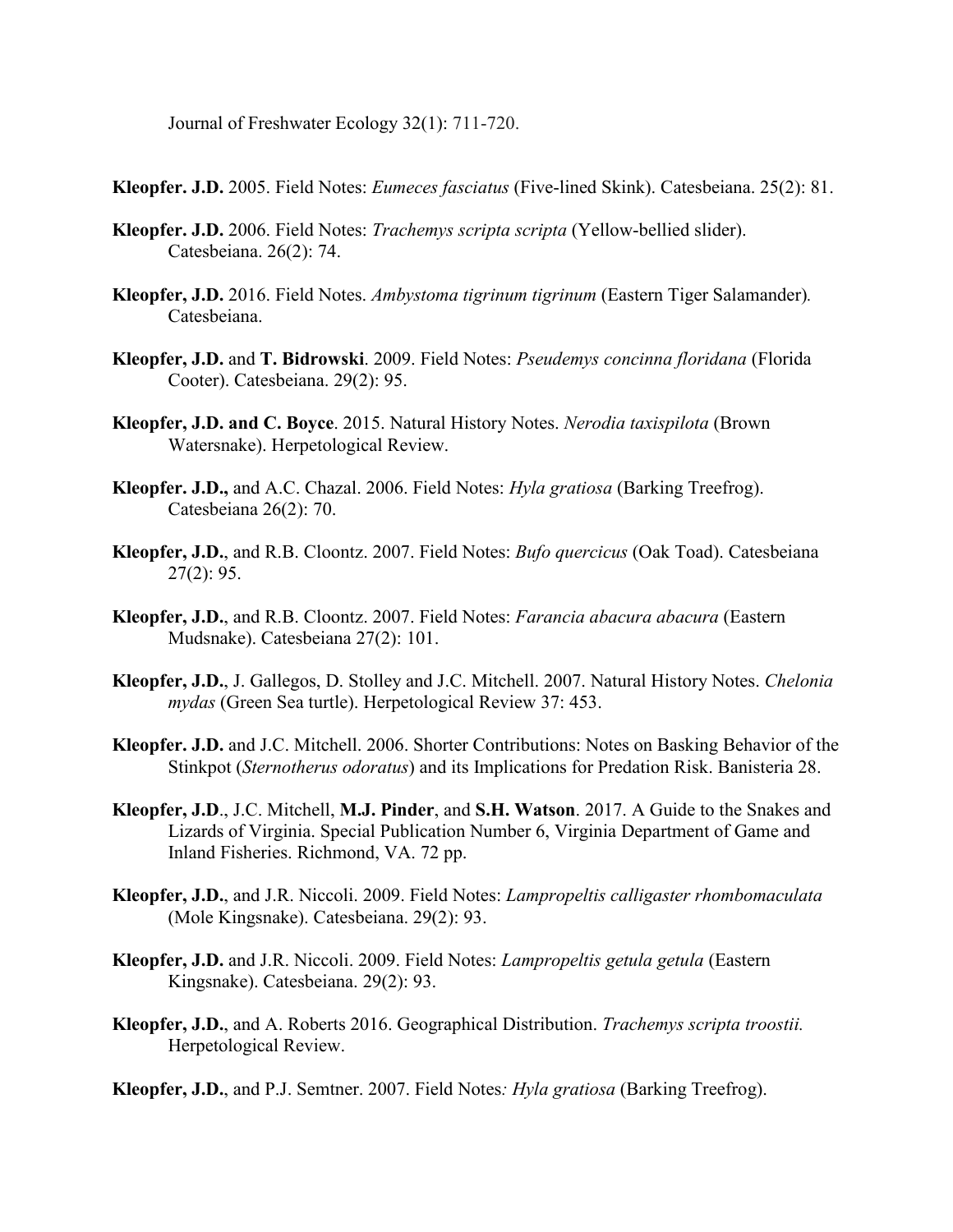Journal of Freshwater Ecology 32(1): 711-720.

**Kleopfer. J.D.** 2005. Field Notes: *Eumeces fasciatus* (Five-lined Skink). Catesbeiana. 25(2): 81.

- **Kleopfer. J.D.** 2006. Field Notes: *Trachemys scripta scripta* (Yellow-bellied slider). Catesbeiana. 26(2): 74.
- **Kleopfer, J.D.** 2016. Field Notes. *Ambystoma tigrinum tigrinum* (Eastern Tiger Salamander)*.* Catesbeiana.
- **Kleopfer, J.D.** and **T. Bidrowski**. 2009. Field Notes: *Pseudemys concinna floridana* (Florida Cooter). Catesbeiana. 29(2): 95.
- **Kleopfer, J.D. and C. Boyce**. 2015. Natural History Notes. *Nerodia taxispilota* (Brown Watersnake). Herpetological Review.
- **Kleopfer. J.D.,** and A.C. Chazal. 2006. Field Notes: *Hyla gratiosa* (Barking Treefrog). Catesbeiana 26(2): 70.
- **Kleopfer, J.D.**, and R.B. Cloontz. 2007. Field Notes: *Bufo quercicus* (Oak Toad). Catesbeiana 27(2): 95.
- **Kleopfer, J.D.**, and R.B. Cloontz. 2007. Field Notes: *Farancia abacura abacura* (Eastern Mudsnake). Catesbeiana 27(2): 101.
- **Kleopfer, J.D.**, J. Gallegos, D. Stolley and J.C. Mitchell. 2007. Natural History Notes. *Chelonia mydas* (Green Sea turtle). Herpetological Review 37: 453.
- **Kleopfer. J.D.** and J.C. Mitchell. 2006. Shorter Contributions: Notes on Basking Behavior of the Stinkpot (*Sternotherus odoratus*) and its Implications for Predation Risk. Banisteria 28.
- **Kleopfer, J.D**., J.C. Mitchell, **M.J. Pinder**, and **S.H. Watson**. 2017. A Guide to the Snakes and Lizards of Virginia. Special Publication Number 6, Virginia Department of Game and Inland Fisheries. Richmond, VA. 72 pp.
- **Kleopfer, J.D.**, and J.R. Niccoli. 2009. Field Notes: *Lampropeltis calligaster rhombomaculata* (Mole Kingsnake). Catesbeiana. 29(2): 93.
- **Kleopfer, J.D.** and J.R. Niccoli. 2009. Field Notes: *Lampropeltis getula getula* (Eastern Kingsnake). Catesbeiana. 29(2): 93.
- **Kleopfer, J.D.**, and A. Roberts 2016. Geographical Distribution. *Trachemys scripta troostii.* Herpetological Review.
- **Kleopfer, J.D.**, and P.J. Semtner. 2007. Field Notes*: Hyla gratiosa* (Barking Treefrog).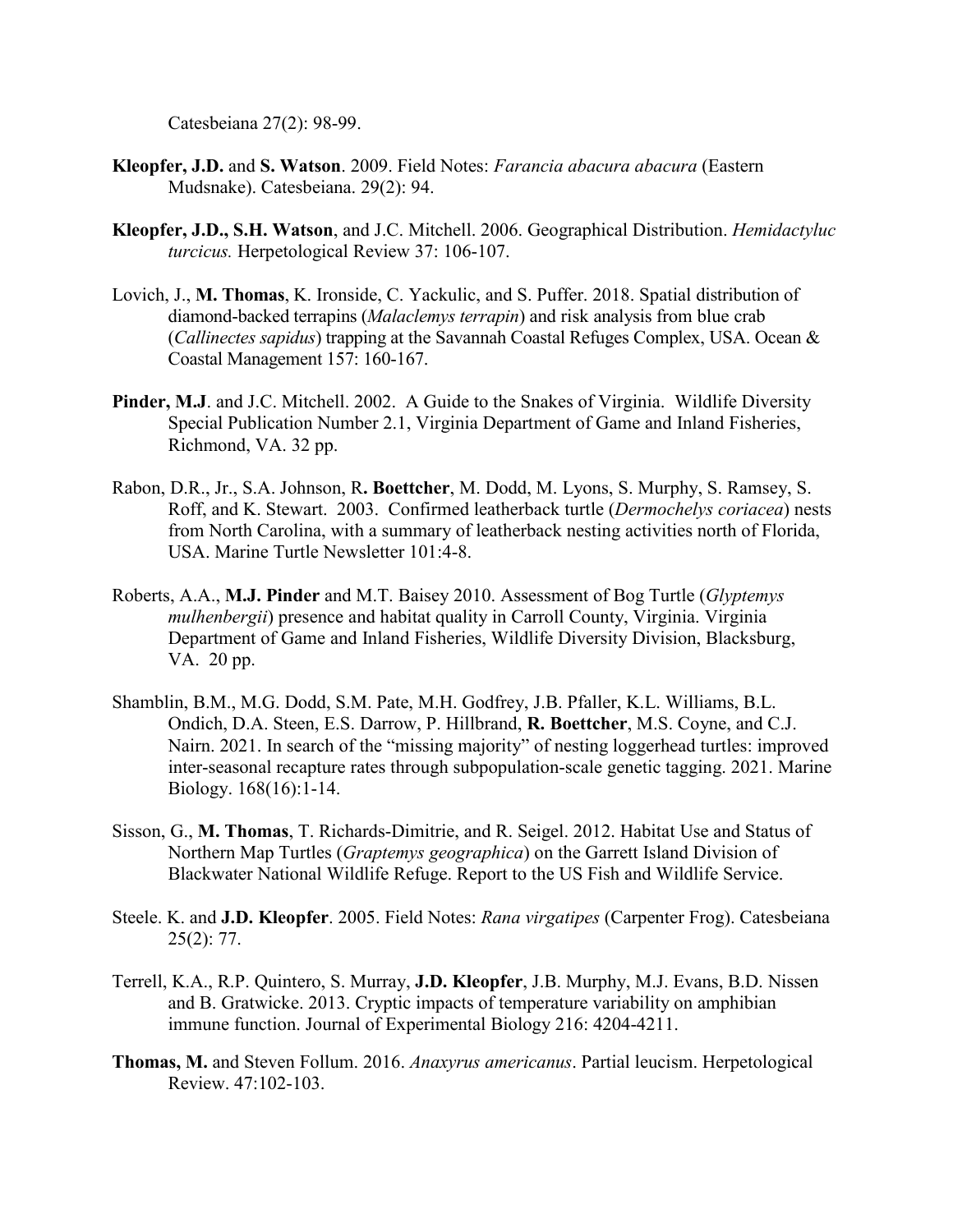Catesbeiana 27(2): 98-99.

- **Kleopfer, J.D.** and **S. Watson**. 2009. Field Notes: *Farancia abacura abacura* (Eastern Mudsnake). Catesbeiana. 29(2): 94.
- **Kleopfer, J.D., S.H. Watson**, and J.C. Mitchell. 2006. Geographical Distribution. *Hemidactyluc turcicus.* Herpetological Review 37: 106-107.
- Lovich, J., **M. Thomas**, K. Ironside, C. Yackulic, and S. Puffer. 2018. Spatial distribution of diamond-backed terrapins (*Malaclemys terrapin*) and risk analysis from blue crab (*Callinectes sapidus*) trapping at the Savannah Coastal Refuges Complex, USA. Ocean & Coastal Management 157: 160-167.
- Pinder, M.J. and J.C. Mitchell. 2002. A Guide to the Snakes of Virginia. Wildlife Diversity Special Publication Number 2.1, Virginia Department of Game and Inland Fisheries, Richmond, VA. 32 pp.
- Rabon, D.R., Jr., S.A. Johnson, R**. Boettcher**, M. Dodd, M. Lyons, S. Murphy, S. Ramsey, S. Roff, and K. Stewart. 2003. Confirmed leatherback turtle (*Dermochelys coriacea*) nests from North Carolina, with a summary of leatherback nesting activities north of Florida, USA. Marine Turtle Newsletter 101:4-8.
- Roberts, A.A., **M.J. Pinder** and M.T. Baisey 2010. Assessment of Bog Turtle (*Glyptemys mulhenbergii*) presence and habitat quality in Carroll County, Virginia. Virginia Department of Game and Inland Fisheries, Wildlife Diversity Division, Blacksburg, VA. 20 pp.
- Shamblin, B.M., M.G. Dodd, S.M. Pate, M.H. Godfrey, J.B. Pfaller, K.L. Williams, B.L. Ondich, D.A. Steen, E.S. Darrow, P. Hillbrand, **R. Boettcher**, M.S. Coyne, and C.J. Nairn. 2021. In search of the "missing majority" of nesting loggerhead turtles: improved inter-seasonal recapture rates through subpopulation-scale genetic tagging. 2021. Marine Biology. 168(16):1-14.
- Sisson, G., **M. Thomas**, T. Richards-Dimitrie, and R. Seigel. 2012. Habitat Use and Status of Northern Map Turtles (*Graptemys geographica*) on the Garrett Island Division of Blackwater National Wildlife Refuge. Report to the US Fish and Wildlife Service.
- Steele. K. and **J.D. Kleopfer**. 2005. Field Notes: *Rana virgatipes* (Carpenter Frog). Catesbeiana 25(2): 77.
- Terrell, K.A., R.P. Quintero, S. Murray, **J.D. Kleopfer**, J.B. Murphy, M.J. Evans, B.D. Nissen and B. Gratwicke. 2013. Cryptic impacts of temperature variability on amphibian immune function. Journal of Experimental Biology 216: 4204-4211.
- **Thomas, M.** and Steven Follum. 2016. *Anaxyrus americanus*. Partial leucism. Herpetological Review. 47:102-103.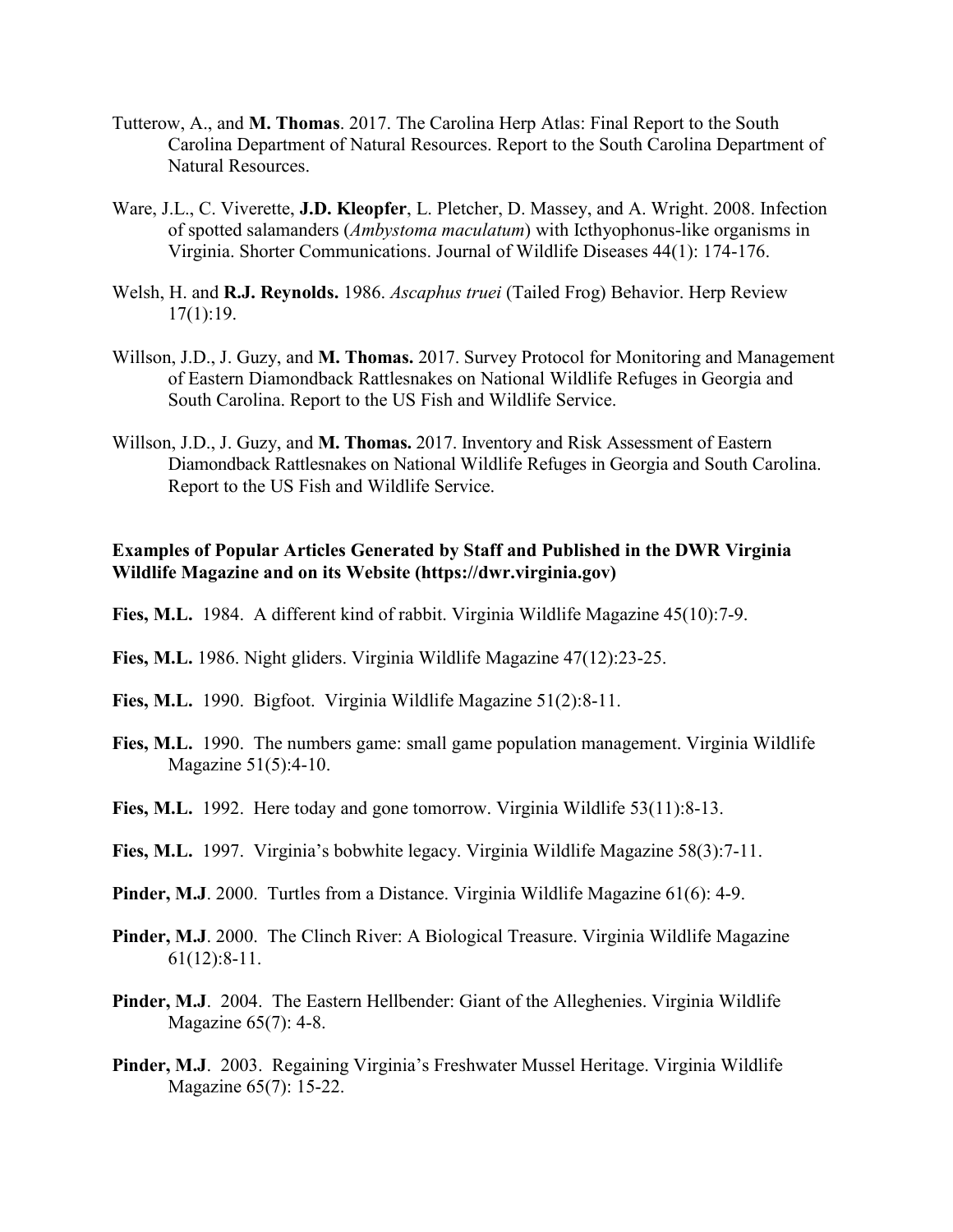- Tutterow, A., and **M. Thomas**. 2017. The Carolina Herp Atlas: Final Report to the South Carolina Department of Natural Resources. Report to the South Carolina Department of Natural Resources.
- Ware, J.L., C. Viverette, **J.D. Kleopfer**, L. Pletcher, D. Massey, and A. Wright. 2008. Infection of spotted salamanders (*Ambystoma maculatum*) with Icthyophonus-like organisms in Virginia. Shorter Communications. Journal of Wildlife Diseases 44(1): 174-176.
- Welsh, H. and **R.J. Reynolds.** 1986. *Ascaphus truei* (Tailed Frog) Behavior. Herp Review 17(1):19.
- Willson, J.D., J. Guzy, and **M. Thomas.** 2017. Survey Protocol for Monitoring and Management of Eastern Diamondback Rattlesnakes on National Wildlife Refuges in Georgia and South Carolina. Report to the US Fish and Wildlife Service.
- Willson, J.D., J. Guzy, and **M. Thomas.** 2017. Inventory and Risk Assessment of Eastern Diamondback Rattlesnakes on National Wildlife Refuges in Georgia and South Carolina. Report to the US Fish and Wildlife Service.

# **Examples of Popular Articles Generated by Staff and Published in the DWR Virginia Wildlife Magazine and on its Website (https://dwr.virginia.gov)**

- **Fies, M.L.** 1984. A different kind of rabbit. Virginia Wildlife Magazine 45(10):7-9.
- **Fies, M.L.** 1986. Night gliders. Virginia Wildlife Magazine 47(12):23-25.
- **Fies, M.L.** 1990. Bigfoot. Virginia Wildlife Magazine 51(2):8-11.
- Fies, M.L. 1990. The numbers game: small game population management. Virginia Wildlife Magazine 51(5):4-10.
- **Fies, M.L.** 1992. Here today and gone tomorrow. Virginia Wildlife 53(11):8-13.
- **Fies, M.L.** 1997. Virginia's bobwhite legacy. Virginia Wildlife Magazine 58(3):7-11.
- **Pinder, M.J.** 2000. Turtles from a Distance. Virginia Wildlife Magazine 61(6): 4-9.
- **Pinder, M.J**. 2000. The Clinch River: A Biological Treasure. Virginia Wildlife Magazine 61(12):8-11.
- Pinder, M.J. 2004. The Eastern Hellbender: Giant of the Alleghenies. Virginia Wildlife Magazine 65(7): 4-8.
- **Pinder, M.J**. 2003. Regaining Virginia's Freshwater Mussel Heritage. Virginia Wildlife Magazine 65(7): 15-22.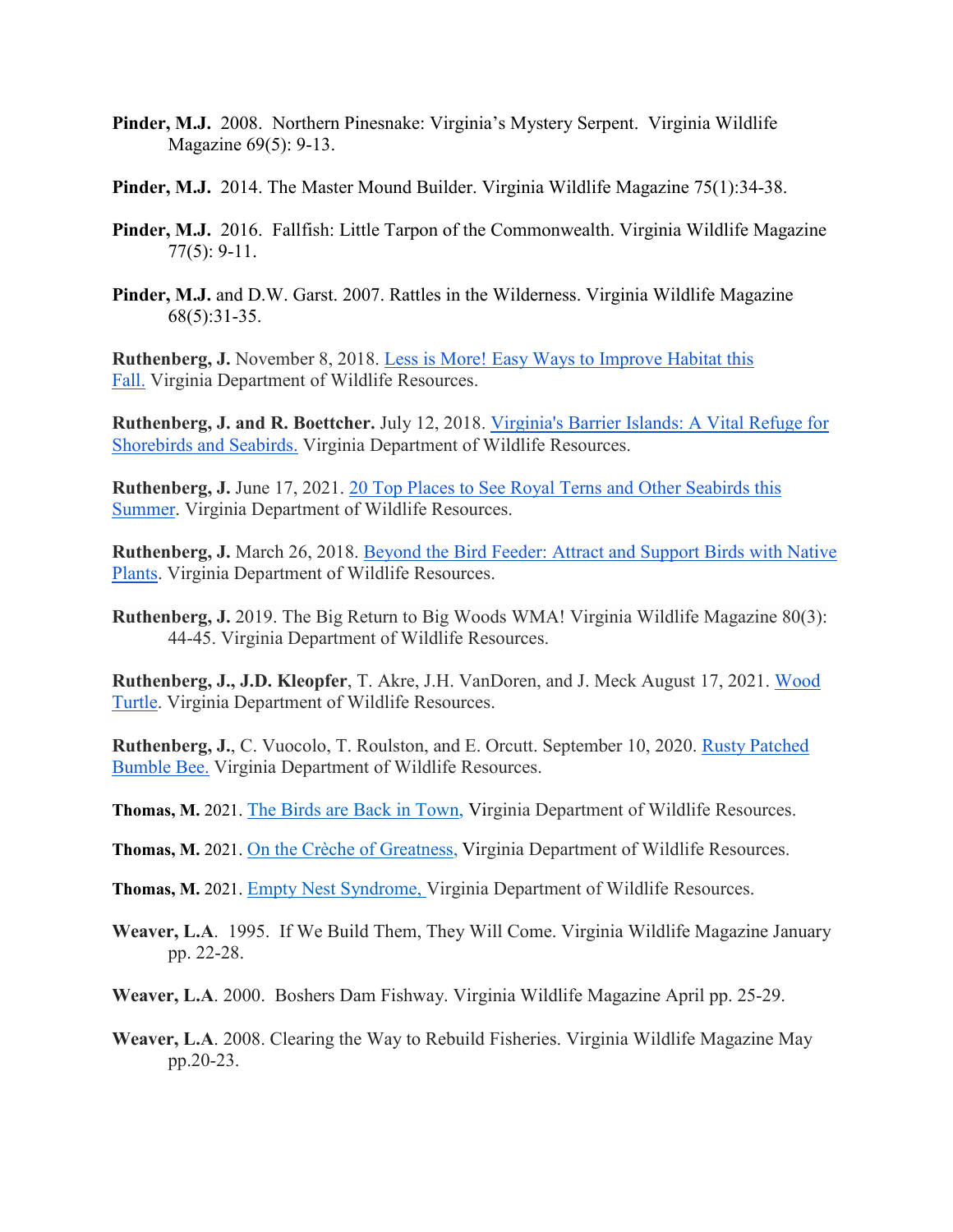- **Pinder, M.J.** 2008. Northern Pinesnake: Virginia's Mystery Serpent. Virginia Wildlife Magazine 69(5): 9-13.
- **Pinder, M.J.** 2014. The Master Mound Builder. Virginia Wildlife Magazine 75(1):34-38.
- **Pinder, M.J.** 2016. Fallfish: Little Tarpon of the Commonwealth. Virginia Wildlife Magazine 77(5): 9-11.
- **Pinder, M.J.** and D.W. Garst. 2007. Rattles in the Wilderness. Virginia Wildlife Magazine 68(5):31-35.

**Ruthenberg, J.** November 8, 2018. [Less is More! Easy Ways to Improve Habitat this](https://dwr.virginia.gov/blog/less-is-more-easy-ways-to-improve-habitat-for-birds-this-fall/)  [Fall.](https://dwr.virginia.gov/blog/less-is-more-easy-ways-to-improve-habitat-for-birds-this-fall/) Virginia Department of Wildlife Resources.

**Ruthenberg, J. and R. Boettcher.** July 12, 2018. [Virginia's Barrier Islands: A Vital Refuge for](https://dwr.virginia.gov/blog/virginias-barrier-islands-a-vital-refuge-for-shorebirds-and-seabirds/)  [Shorebirds and Seabirds.](https://dwr.virginia.gov/blog/virginias-barrier-islands-a-vital-refuge-for-shorebirds-and-seabirds/) Virginia Department of Wildlife Resources.

**Ruthenberg, J.** June 17, 2021. [20 Top Places to See Royal Terns and Other Seabirds this](https://dwr.virginia.gov/blog/20-top-places-to-see-royal-terns-and-other-seabirds-this-summer/)  [Summer.](https://dwr.virginia.gov/blog/20-top-places-to-see-royal-terns-and-other-seabirds-this-summer/) Virginia Department of Wildlife Resources.

**Ruthenberg, J.** March 26, 2018. [Beyond the Bird Feeder: Attract and Support Birds with Native](https://dwr.virginia.gov/blog/beyond-the-bird-feeder-attract-and-support-birds-with-native-plants/)  [Plants.](https://dwr.virginia.gov/blog/beyond-the-bird-feeder-attract-and-support-birds-with-native-plants/) Virginia Department of Wildlife Resources.

**Ruthenberg, J.** 2019. The Big Return to Big Woods WMA! Virginia Wildlife Magazine 80(3): 44-45. Virginia Department of Wildlife Resources.

**Ruthenberg, J., J.D. Kleopfer**, T. Akre, J.H. VanDoren, and J. Meck August 17, 2021. [Wood](https://dwr.virginia.gov/wildlife/information/wood-turtle/)  [Turtle.](https://dwr.virginia.gov/wildlife/information/wood-turtle/) Virginia Department of Wildlife Resources.

**Ruthenberg, J.**, C. Vuocolo, T. Roulston, and E. Orcutt. September 10, 2020. [Rusty Patched](https://dwr.virginia.gov/wildlife/information/rusty-patched-bumble-bee/)  [Bumble Bee.](https://dwr.virginia.gov/wildlife/information/rusty-patched-bumble-bee/) Virginia Department of Wildlife Resources.

**Thomas, M.** 2021. [The Birds are Back in Town,](https://dwr.virginia.gov/blog/hrbt-may-update-the-birds-are-back-in-town/) Virginia Department of Wildlife Resources.

**Thomas, M.** 2021. [On the Crèche of Greatness,](https://dwr.virginia.gov/blog/hrbt-june-update-creche-greatness/) Virginia Department of Wildlife Resources.

**Thomas, M.** 2021. [Empty Nest Syndrome,](https://dwr.virginia.gov/blog/hrbt-august-update-empty-nest-syndrome/) Virginia Department of Wildlife Resources.

**Weaver, L.A**. 1995. If We Build Them, They Will Come. Virginia Wildlife Magazine January pp. 22-28.

**Weaver, L.A**. 2000. Boshers Dam Fishway. Virginia Wildlife Magazine April pp. 25-29.

**Weaver, L.A**. 2008. Clearing the Way to Rebuild Fisheries. Virginia Wildlife Magazine May pp.20-23.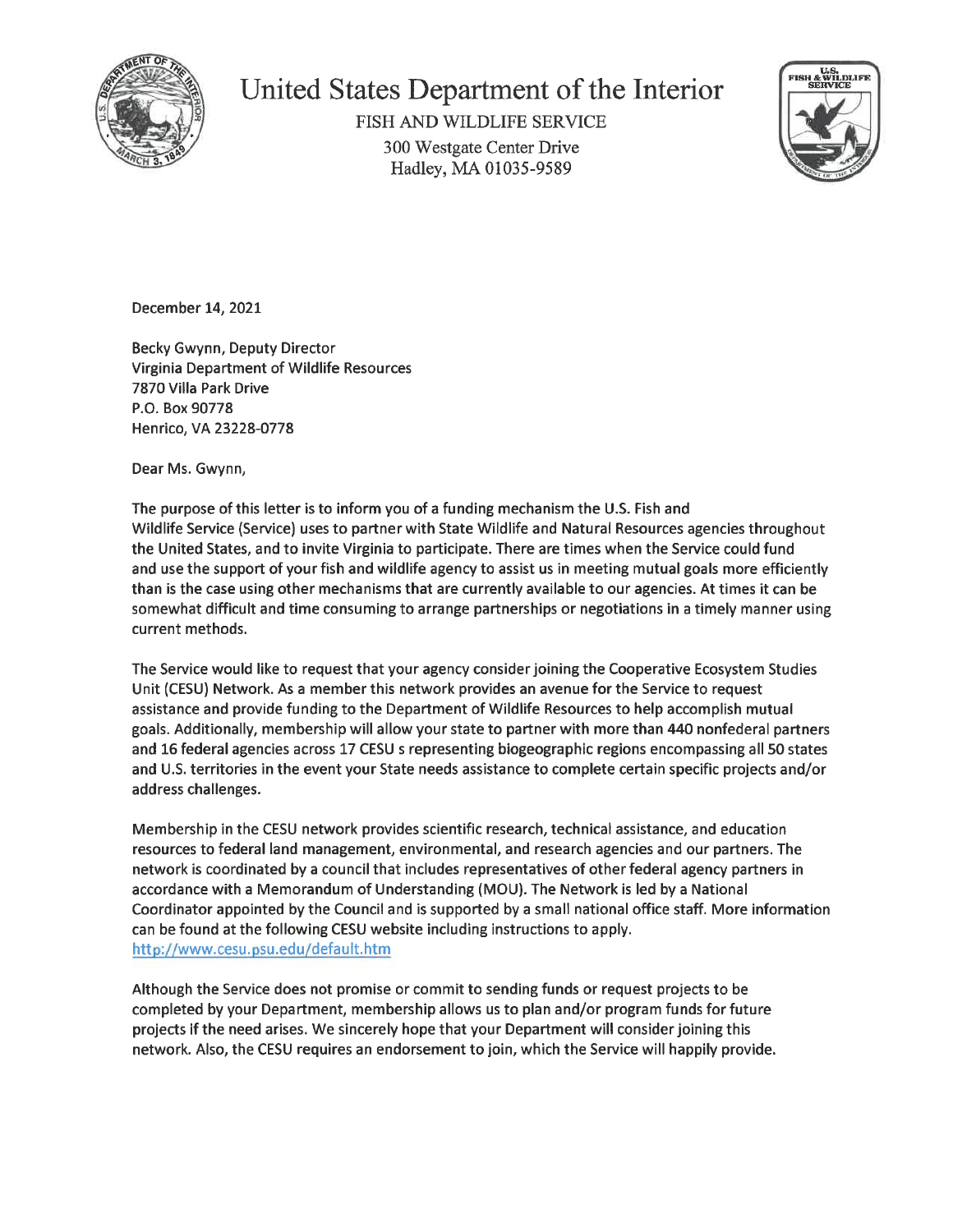

# United States Department of the Interior

FISH AND WILDLIFE SERVICE 300 Westgate Center Drive Hadley, MA 01035-9589



December 14, 2021

Becky Gwynn, Deputy Director Virginia Department of Wildlife Resources 7870 Villa Park Drive P.O. Box 90778 Henrico, VA 23228-0778

Dear Ms. Gwynn,

The purpose of this letter is to inform you of a funding mechanism the U.S. Fish and Wildlife Service (Service) uses to partner with State Wildlife and Natural Resources agencies throughout the United States, and to invite Virginia to participate. There are times when the Service could fund and use the support of your fish and wildlife agency to assist us in meeting mutual goals more efficiently than is the case using other mechanisms that are currently available to our agencies. At times it can be somewhat difficult and time consuming to arrange partnerships or negotiations in a timely manner using current methods.

The Service would like to request that your agency consider joining the Cooperative Ecosystem Studies Unit (CESU) Network. As a member this network provides an avenue for the Service to request assistance and provide funding to the Department of Wildlife Resources to help accomplish mutual goals. Additionally, membership will allow your state to partner with more than 440 nonfederal partners and 16 federal agencies across 17 CESU s representing biogeographic regions encompassing all 50 states and U.S. territories in the event your State needs assistance to complete certain specific projects and/or address challenges.

Membership in the CESU network provides scientific research, technical assistance, and education resources to federal land management, environmental, and research agencies and our partners. The network is coordinated by a council that includes representatives of other federal agency partners in accordance with a Memorandum of Understanding (MOU). The Network is led by a National Coordinator appointed by the Council and is supported by a small national office staff. More information can be found at the following CESU website including instructions to apply. http://www.cesu.psu.edu/default.htm

Although the Service does not promise or commit to sending funds or request projects to be completed by your Department, membership allows us to plan and/or program funds for future projects if the need arises. We sincerely hope that your Department will consider joining this network. Also, the CESU requires an endorsement to join, which the Service will happily provide.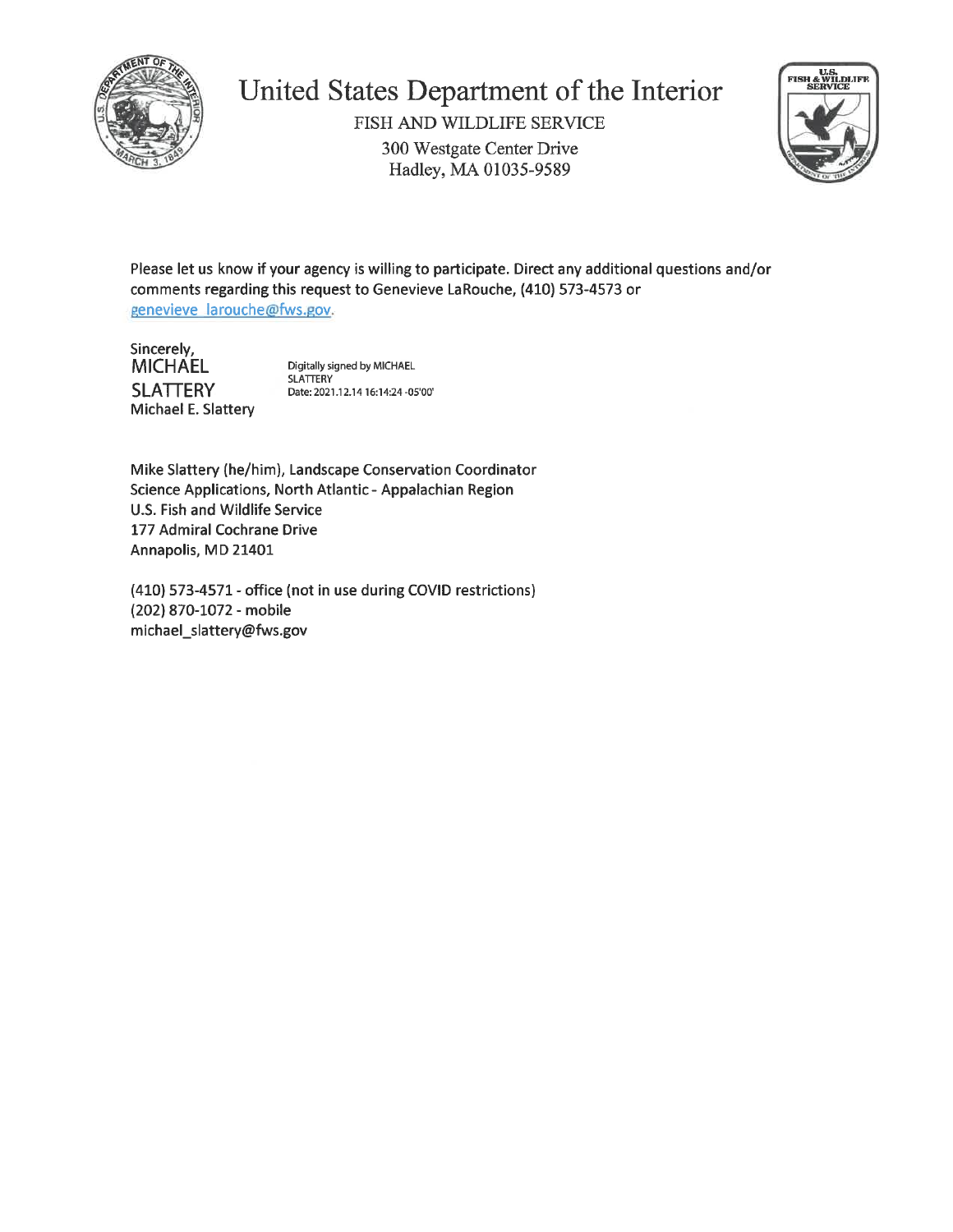

# United States Department of the Interior

FISH AND WILDLIFE SERVICE 300 Westgate Center Drive Hadley, MA 01035-9589



Please let us know if your agency is willing to participate. Direct any additional questions and/or comments regarding this request to Genevieve LaRouche, (410) 573-4573 or genevieve larouche@fws.gov.

Sincerely, **MICHAEL SLATTERY** Michael E. Slattery

Digitally signed by MICHAEL SLATTERY Date: 2021.12.14 16:14:24 -05'00'

Mike Slattery (he/him), Landscape Conservation Coordinator Science Applications, North Atlantic - Appalachian Region U.S. Fish and Wildlife Service 177 Admiral Cochrane Drive Annapolis, MD 21401

(410) 573-4571 - office (not in use during COVID restrictions) (202) 870-1072 - mobile michael\_slattery@fws.gov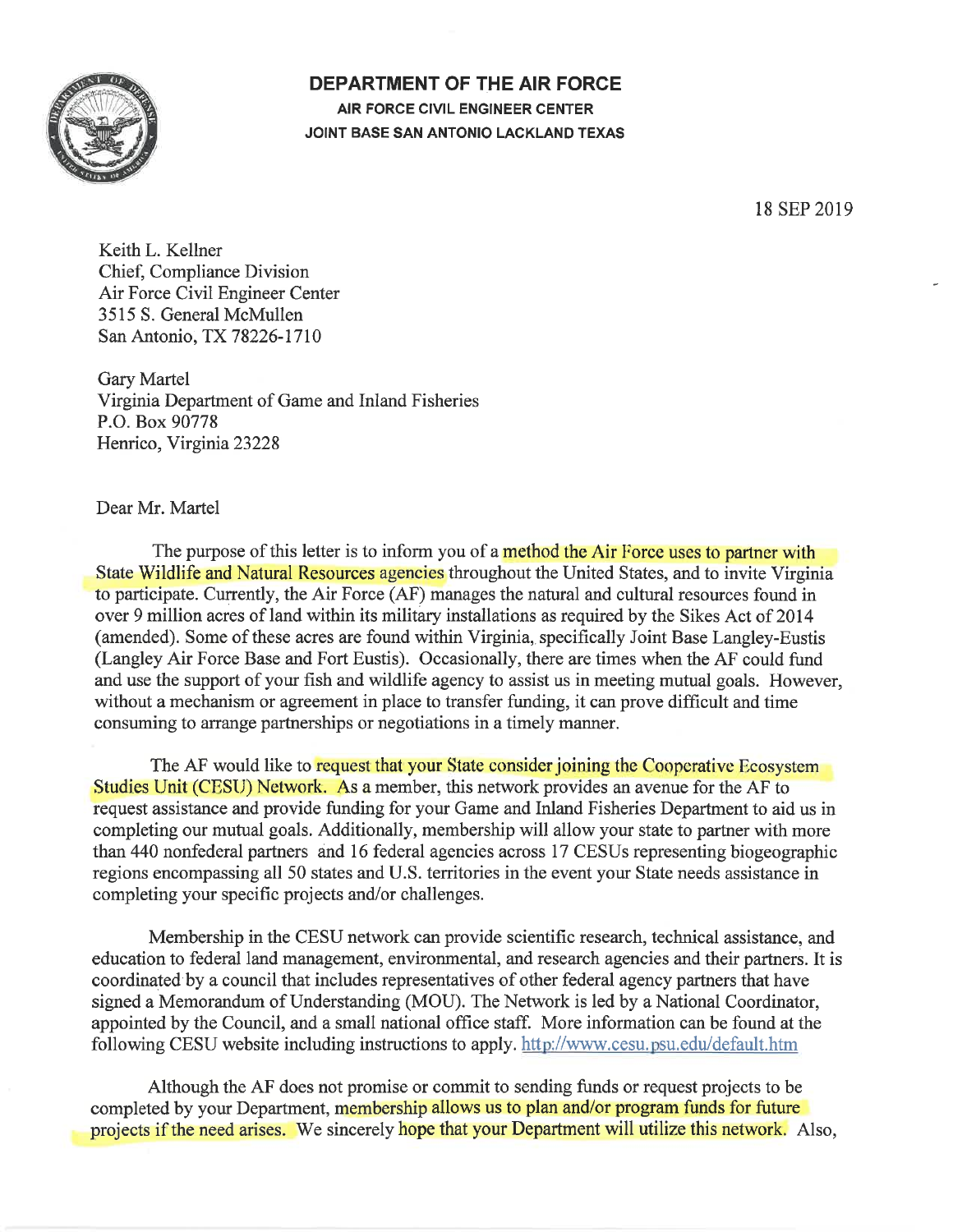

**DEPARTMENT OF THE AIR FORCE** AIR FORCE CIVIL ENGINEER CENTER JOINT BASE SAN ANTONIO LACKLAND TEXAS

18 SEP 2019

Keith L. Kellner Chief, Compliance Division Air Force Civil Engineer Center 3515 S. General McMullen San Antonio, TX 78226-1710

**Gary Martel** Virginia Department of Game and Inland Fisheries P.O. Box 90778 Henrico, Virginia 23228

Dear Mr. Martel

The purpose of this letter is to inform you of a method the Air Force uses to partner with State Wildlife and Natural Resources agencies throughout the United States, and to invite Virginia to participate. Currently, the Air Force (AF) manages the natural and cultural resources found in over 9 million acres of land within its military installations as required by the Sikes Act of 2014 (amended). Some of these acres are found within Virginia, specifically Joint Base Langley-Eustis (Langley Air Force Base and Fort Eustis). Occasionally, there are times when the AF could fund and use the support of your fish and wildlife agency to assist us in meeting mutual goals. However, without a mechanism or agreement in place to transfer funding, it can prove difficult and time consuming to arrange partnerships or negotiations in a timely manner.

The AF would like to request that your State consider joining the Cooperative Ecosystem Studies Unit (CESU) Network. As a member, this network provides an avenue for the AF to request assistance and provide funding for your Game and Inland Fisheries Department to aid us in completing our mutual goals. Additionally, membership will allow your state to partner with more than 440 nonfederal partners and 16 federal agencies across 17 CESUs representing biogeographic regions encompassing all 50 states and U.S. territories in the event your State needs assistance in completing your specific projects and/or challenges.

Membership in the CESU network can provide scientific research, technical assistance, and education to federal land management, environmental, and research agencies and their partners. It is coordinated by a council that includes representatives of other federal agency partners that have signed a Memorandum of Understanding (MOU). The Network is led by a National Coordinator, appointed by the Council, and a small national office staff. More information can be found at the following CESU website including instructions to apply. http://www.cesu.psu.edu/default.htm

Although the AF does not promise or commit to sending funds or request projects to be completed by your Department, membership allows us to plan and/or program funds for future projects if the need arises. We sincerely hope that your Department will utilize this network. Also,